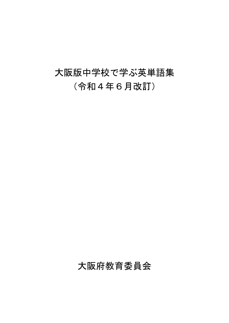## 大阪版中学校で学ぶ英単語集 (令和4年6月改訂)

## 大阪府教育委員会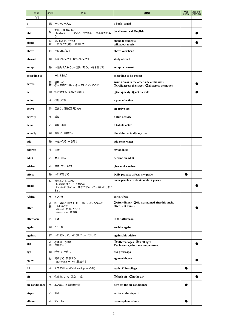| 単語              | 品詞     | 意味                                                                              | 用例                                                                                           | 単語<br>を追加 | 品詞·意味·<br>用例を追加 |
|-----------------|--------|---------------------------------------------------------------------------------|----------------------------------------------------------------------------------------------|-----------|-----------------|
| $\bf(a)$        |        |                                                                                 |                                                                                              |           |                 |
| $\bf{a}$        | 冠      | -つの、一人の                                                                         | a book / a girl                                                                              |           |                 |
| able            | 形      | できる、能力がある<br>be able to ~ ~することができる、~する能力があ<br>る                                | be able to speak English                                                                     |           |                 |
| about           | 副<br>前 | 約、およそ、~ぐらい<br>~について(の)、~に関して                                                    | about 40 students<br>talk about music                                                        |           |                 |
| above           | 前      | ~の上に〔の〕                                                                         | above your head                                                                              |           |                 |
| abroad          | 副      | 外国に〔へ・で〕、海外に〔へ・で〕                                                               | study abroad                                                                                 |           |                 |
| accept          | 動      | ~を受け入れる、~を受け取る、~を承諾する                                                           | accept a present                                                                             |           |                 |
| according to    |        | ~によれば                                                                           | according to his report                                                                      |           |                 |
| across          | 副<br>前 | 横切って<br>①~の向こう側へ ②~のいたるところに                                                     | swim across to the other side of the river<br>Owalk across the street 2all across the nation |           |                 |
| act             | 動      | 1行動する 2(役を)演じる                                                                  | Dact quickly 2act the role                                                                   |           |                 |
| action          | 名      | 行動、行為                                                                           | a plan of action                                                                             |           |                 |
| active          | 形      | 活発な、行動〔活動〕的な                                                                    | an active life                                                                               |           |                 |
| activity        | 名      | 活動                                                                              | a club activity                                                                              |           |                 |
| actor           | 名      | 俳優、男優                                                                           | a kabuki actor                                                                               |           |                 |
| actually        | 副      | 本当に、実際には                                                                        | She didn't actually say that.                                                                |           |                 |
| add             | 動      | ~を加える、~を足す                                                                      | add some water                                                                               |           |                 |
| address         | 名      | 住所                                                                              | my address                                                                                   |           |                 |
| adult           | 名      | 大人、成人                                                                           | become an adult                                                                              |           |                 |
| advice          | 名      | 忠告、アドバイス                                                                        | give advice to her                                                                           |           |                 |
| affect          | 動      | ~に影響する                                                                          | Daily practice affects my grade.                                                             |           |                 |
| afraid          | 形      | 恐れている、こわい<br>be afraid of ~ ~を恐れる<br>I'm afraid (that) ~. 残念ですが~ではないかと思い<br>ます。 | Some people are afraid of dark places.                                                       |           |                 |
| Africa          | 名      | アフリカ                                                                            | go to Africa                                                                                 |           |                 |
| after           | 前<br>接 | (1)~のあとに〔で〕 ②~にならって、ちなんで<br>~したあとで<br>after all 結局、とうとう<br>after school 放課後     | Dafter dinner 2He was named after his uncle.<br>after I eat dinner                           |           |                 |
| afternoon       | 名      | 午後                                                                              | in the afternoon                                                                             |           |                 |
| again           | 副      | もう一度                                                                            | see him again                                                                                |           |                 |
| against         | 前      | ~に反対して、~に反して、~に対して                                                              | against his advice                                                                           |           |                 |
| age             | 名<br>動 | ①年齡 ②時代<br>熟成する                                                                 | <b>Odifferent ages</b> 2in all ages<br>Tea leaves age in room temperature.                   |           |                 |
| ago             | 副      | (今から)~前に                                                                        | five years ago                                                                               |           |                 |
| agree           | 動      | 賛成する、同意する<br>agree with ~ ~に賛成する                                                | agree with you                                                                               |           |                 |
| AI              | 名      | 人工知能 (artificial intelligence の略)                                               | study AI in college                                                                          |           |                 |
| air             | 名      | ①空気、大気 ②空中、空                                                                    | Ofresh air 2in the air                                                                       |           |                 |
| air conditioner | 名      | エアコン、空気調整装置                                                                     | turn off the air conditioner                                                                 |           |                 |
| airport         | 名      | 空港                                                                              | arrive at the airport                                                                        |           |                 |
| album           | 名      | アルバム                                                                            | make a photo album                                                                           |           |                 |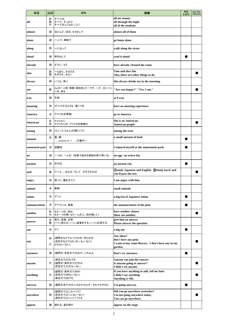| 単語             | 品詞          | 意味                                                   | 用例                                                                                                 | 単語<br>を追加 | 品詞·意味·<br>用例を追加 |
|----------------|-------------|------------------------------------------------------|----------------------------------------------------------------------------------------------------|-----------|-----------------|
| all            | 形<br>副<br>代 | すべての<br>すべて、すっかり<br>すべての人[もの・こと]                     | all my money<br>all through the night<br>all of the students                                       |           |                 |
| almost         | 副           | ほとんど、ほぼ、もう少しで                                        | almost all of them                                                                                 |           |                 |
| alone          | 副           | −人で、単独で                                              | go home alone                                                                                      |           |                 |
| along          | 前           | ~に沿って                                                | walk along the street                                                                              |           |                 |
| aloud          | 副           | 声を出して                                                | read it aloud                                                                                      |           |                 |
| already        | 副           | すでに、もう                                               | have already cleaned the room                                                                      |           |                 |
| also           | 副<br>接      | ~もまた、そのうえ<br>そのうえ、さらに                                | Tom and also Jim<br>Also, there are other things to do.                                            |           |                 |
| always         | 副           | いつも、常に                                               | She always drinks tea in the morning.                                                              |           |                 |
| am             | 動           | (beの一人称・単数・現在形)①~です、~だ ②(~に)<br>いる、ある                | "Are you happy?" "Yes, I am."                                                                      |           |                 |
| a.m.           | 副           | 午前                                                   | at 9 a.m.                                                                                          |           |                 |
| amazing        | 形           | びっくりするような、驚くべき                                       | have an amazing experience                                                                         |           |                 |
| America        | 名           | アメリカ(合衆国)                                            | go to America                                                                                      |           |                 |
| American       | 名<br>形      | アメリカ人<br>アメリカ人の、アメリカ合衆国の                             | She is an American.<br>American people                                                             |           |                 |
| among          | 前           | (3人・三つ以上)の間に〔で〕                                      | among the trees                                                                                    |           |                 |
| amount         | 名           | 量、額<br>amount of ~ の量の~                              | a small amount of food                                                                             |           |                 |
| amusement park | 名           | 遊園地                                                  | I enjoyed myself at the amusement park.                                                            |           |                 |
| an             | 冠           | -つの、一人の (母音で始まる単語の前で用いる)                             | an egg / an active boy                                                                             |           |                 |
| ancient        | 形           | 古代の                                                  | an ancient city                                                                                    |           |                 |
| and            | 接           | ①~と…、および、そして ②そうすれば                                  | <b>1</b> Ostudy Japanese and English 2Study hard, and<br>you'll pass the test.                     |           |                 |
| angry          | 形           | 怒った、腹を立てた                                            | I am angry with him.                                                                               |           |                 |
| animal         | 名           | 動物                                                   | small animals                                                                                      |           |                 |
| anime          | 名           | アニメ                                                  | a big fan of Japanese anime                                                                        |           |                 |
| announcement   | 名           | アナウンス、発表                                             | the announcement of the plan                                                                       |           |                 |
| another        | 形<br>代      | もう一つの、別の<br>もう一つの物、もう一人の人、別の物〔人〕                     | have another chance<br>Show me another.                                                            |           |                 |
| answer         | 名<br>動      | 答え、返事、応答<br>(~に)答える、(~に)返事をする、(~に)応答する               | give him an answer<br>Please answer the question.                                                  |           |                 |
| ant            | 名           | アリ                                                   | a big ant                                                                                          |           |                 |
| any            | 形<br>代      | (疑問文などで)いくらかの、何らかの<br>(否定文などで)少しの~も(~ない)<br>どれも(~ない) | Any ideas?<br>don't have any pens<br>I want to buy some flowers. I don't have any in my<br>garden. |           |                 |
| anymore        | 副           | (疑問文・否定文で)もはや、これ以上                                   | Don't cry anymore.                                                                                 |           |                 |
| anyone         | 代           | (肯定文で)だれでも<br>(疑問文・条件文で)だれか<br>(否定文で)だれも~ない          | Anyone can join the concert.<br>Is anyone going to answer?<br>I didn't see anyone.                 |           |                 |
| anything       | 代           | (疑問文・条件文で)何か<br>(否定文で)何も(~ない)<br>(肯定文で)何でも           | If you have anything to add, tell me later.<br>I didn't say anything.<br>Anything is OK.           |           |                 |
| anyway         | 副           | (通例文末で)それにもかかわらず、それでもやはり                             | I'm going anyway.                                                                                  |           |                 |
| anywhere       | 副           | (疑問文で)どこかへ〔で〕<br>(否定文で)どこにも(~ない)<br>(肯定文で)どこに〔へ〕でも   | Did you go anywhere yesterday?<br>I'm not going anywhere today.<br>You can go anywhere.            |           |                 |
| appear         | 動           | 現れる、姿を現す                                             | appear on the stage                                                                                |           |                 |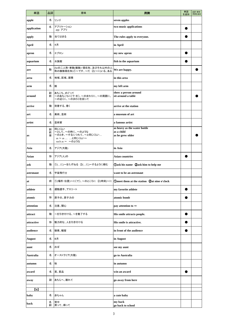| 名<br>リンゴ<br>seven apples<br>apple<br>two music applications<br>アプリケーション<br>名<br>app アプリ<br>動<br>当てはまる<br>The rules apply to everyone.<br>名<br>4月<br>in April<br>名<br>エプロン<br>my new apron<br>名<br>水族館<br>fish in the aquarium<br>(beの二人称·単数(複数)·現在形、及びそれ以外の人<br>We are happy.<br>動<br>称の複数現在形)①~です、~だ ②(~に)いる、ある<br>名<br>地域、区域、面積<br>in this area<br>名<br>腕<br>my left arm<br>show a person around<br>副<br>あちこち、めぐって<br>~のあちこちに[で·を]、~のまわりに、~の周囲に、<br>sit around a table<br>前<br>~の近くに、~のまわりを回って |  |
|--------------------------------------------------------------------------------------------------------------------------------------------------------------------------------------------------------------------------------------------------------------------------------------------------------------------------------------------------------------------------------------------------------------------------------------------------------------------------------------------------|--|
| application<br>arm                                                                                                                                                                                                                                                                                                                                                                                                                                                                               |  |
| apply<br>April                                                                                                                                                                                                                                                                                                                                                                                                                                                                                   |  |
|                                                                                                                                                                                                                                                                                                                                                                                                                                                                                                  |  |
| apron<br>aquarium<br>are<br>area<br>around                                                                                                                                                                                                                                                                                                                                                                                                                                                       |  |
|                                                                                                                                                                                                                                                                                                                                                                                                                                                                                                  |  |
|                                                                                                                                                                                                                                                                                                                                                                                                                                                                                                  |  |
|                                                                                                                                                                                                                                                                                                                                                                                                                                                                                                  |  |
|                                                                                                                                                                                                                                                                                                                                                                                                                                                                                                  |  |
|                                                                                                                                                                                                                                                                                                                                                                                                                                                                                                  |  |
|                                                                                                                                                                                                                                                                                                                                                                                                                                                                                                  |  |
| 動<br> 到着する、着く<br>arrive<br>arrive at the station                                                                                                                                                                                                                                                                                                                                                                                                                                                 |  |
| 名<br>美術、芸術<br>a museum of art<br>art                                                                                                                                                                                                                                                                                                                                                                                                                                                             |  |
| 名<br>芸術家<br>a famous artist<br>artist                                                                                                                                                                                                                                                                                                                                                                                                                                                            |  |
| as heavy as the water bottle<br>同じくらい<br>副<br>as a child<br>~として、~の時に、~のような<br>前<br>~のとき、~するにつれて、~と同じくらい<br>接<br>as he grew older<br>as<br>as ~ as  と同じくらい~<br>such as ~ ~のような                                                                                                                                                                                                                                                                                                                   |  |
| アジア(大陸)<br>名<br>in Asia<br>Asia                                                                                                                                                                                                                                                                                                                                                                                                                                                                  |  |
| 形<br>アジア(人)の<br><b>Asian countries</b><br>Asian                                                                                                                                                                                                                                                                                                                                                                                                                                                  |  |
| 1)(に)~をたずねる 2(に)~するように頼む<br><b>Oask his name 2ask him to help me</b><br>動<br>ask                                                                                                                                                                                                                                                                                                                                                                                                                 |  |
| 宇宙飛行士<br>名<br>astronaut<br>want to be an astronaut                                                                                                                                                                                                                                                                                                                                                                                                                                               |  |
| 前 ①(場所・位置)~に〔で〕、~のところに ②(時刻)~に 10meet them at the station 2at nine o'clock<br>at                                                                                                                                                                                                                                                                                                                                                                                                                 |  |
| 運動選手、アスリート<br>名<br>my favorite athlete<br>athlete                                                                                                                                                                                                                                                                                                                                                                                                                                                |  |
| atomic bomb<br>atomic<br>形<br>原子の、原子力の                                                                                                                                                                                                                                                                                                                                                                                                                                                           |  |
| 名<br>注意、関心<br>attention<br>pay attention to $\sim$                                                                                                                                                                                                                                                                                                                                                                                                                                               |  |
| ~を引き付ける、~を魅了する<br>動<br>His smile attracts people.<br>attract                                                                                                                                                                                                                                                                                                                                                                                                                                     |  |
| His smile is attractive.<br>attractive<br>形<br>魅力的な、人を引き付ける                                                                                                                                                                                                                                                                                                                                                                                                                                      |  |
| 聴衆、観客<br>in front of the audience<br>名<br>audience                                                                                                                                                                                                                                                                                                                                                                                                                                               |  |
| 名<br>8月<br><b>August</b><br>in August                                                                                                                                                                                                                                                                                                                                                                                                                                                            |  |
| 名<br>おば<br>see my aunt<br>aunt                                                                                                                                                                                                                                                                                                                                                                                                                                                                   |  |
| 名<br>オーストラリア(大陸)<br><b>Australia</b><br>go to Australia                                                                                                                                                                                                                                                                                                                                                                                                                                          |  |
| 名<br>秋<br>autumn<br>in autumn                                                                                                                                                                                                                                                                                                                                                                                                                                                                    |  |
| 賞、賞品<br>名<br>win an award<br>award                                                                                                                                                                                                                                                                                                                                                                                                                                                               |  |
| 副<br>あちらへ、離れて<br>go away from here<br>away                                                                                                                                                                                                                                                                                                                                                                                                                                                       |  |
| $\mathbf{[b]}$                                                                                                                                                                                                                                                                                                                                                                                                                                                                                   |  |
| 名<br>赤ちゃん<br>baby<br>a cute baby                                                                                                                                                                                                                                                                                                                                                                                                                                                                 |  |
| my back<br>背中<br>名<br>back<br>副<br>戻って、帰って<br>go back to school                                                                                                                                                                                                                                                                                                                                                                                                                                  |  |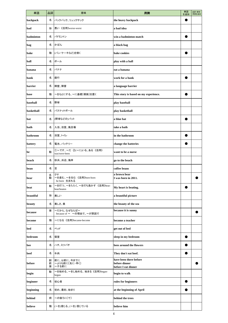| 単語         | 品詞          | 意味                                            | 用例                                                             | 単語<br>を追加 | 品詞·意味·<br>用例を追加 |
|------------|-------------|-----------------------------------------------|----------------------------------------------------------------|-----------|-----------------|
| backpack   | 名           | バックパック、リュックサック                                | the heavy backpack                                             |           |                 |
| bad        | 形           | 悪い《活用》worse-worst                             | a bad idea                                                     |           |                 |
| badminton  | 名           | バドミントン                                        | win a badminton match                                          |           |                 |
| bag        | 名           | かばん                                           | a black bag                                                    |           |                 |
| bake       | 動           | (パン・ケーキなど)を焼く                                 | bake cookies                                                   |           |                 |
| ball       | 名           | ボール                                           | play with a ball                                               |           |                 |
| banana     | 名           | バナナ                                           | eat a banana                                                   |           |                 |
| bank       | 名           | 銀行                                            | work for a bank                                                |           |                 |
| barrier    | 名           | 障壁、障害                                         | a language barrier                                             |           |                 |
| base       | 動           | ~をもとにする、~に基礎〔根拠〕を置く                           | This story is based on my experience.                          |           |                 |
| baseball   | 名           | 野球                                            | play baseball                                                  |           |                 |
| basketball | 名           | バスケットボール                                      | play basketball                                                |           |                 |
| bat        | 名           | (野球などの)バット                                    | a blue bat                                                     |           |                 |
| bath       | 名           | 入浴、浴室、風呂場                                     | take a bath                                                    |           |                 |
| bathroom   | 名           | 浴室、トイレ                                        | in the bathroom                                                |           |                 |
| battery    | 名           | 電池、バッテリー                                      | change the batteries                                           |           |                 |
| be         | 動           | ①~です、~だ ②(~に)いる、ある《活用》<br>was/were-been       | want to be a nurse                                             |           |                 |
| beach      | 名           | 砂浜、浜辺、海岸                                      | go to the beach                                                |           |                 |
| bean       | 名           | 쿄                                             | coffee beans                                                   |           |                 |
| bear       | 名<br>動      | クマ<br>~を産む、~を生む 《活用》bore-born<br>be born 生まれる | a brown bear<br>I was born in 2011.                            |           |                 |
| beat       | 動           | ~を打つ、~をたたく、~を打ち負かす 《活用》beat-<br>beat/beaten   | My heart is beating.                                           |           |                 |
| beautiful  | 形           | 美しい                                           | a beautiful picture                                            |           |                 |
| beauty     | 名           | 美しさ、美                                         | the beauty of the sea                                          |           |                 |
| because    | 接           | ~だから、なぜならば~<br>because of ~ ~の理由で、~が原因で       | because it is sunny                                            |           |                 |
| become     | 動           | ~になる《活用》became-become                         | become a teacher                                               |           |                 |
| bed        | 名           | ベッド                                           | get out of bed                                                 |           |                 |
| bedroom    | 名           | 寝室                                            | sleep in my bedroom                                            |           |                 |
| bee        | 名           | ハチ、ミツバチ                                       | bees around the flowers                                        |           |                 |
| beef       | 名           | 牛肉                                            | They don't eat beef.                                           |           |                 |
| before     | 副<br>前<br>接 | 前に、以前に、今までに<br>~よりも前に〔先に・早く〕<br>~する前に         | have been there before<br>before dinner<br>before I eat dinner |           |                 |
| begin      | 動           | ~を始める、~をし始める、始まる《活用》began-<br>begun           | begin to walk                                                  |           |                 |
| beginner   | 名           | 初心者                                           | rules for beginners                                            |           |                 |
| beginning  | 名           | 初め、最初、始まり                                     | at the beginning of April                                      |           |                 |
| behind     | 前           | ~の後ろに〔で〕                                      | behind the trees                                               |           |                 |
| believe    | 動           | (~を)信じる、(~を) 信じている                            | believe him                                                    |           |                 |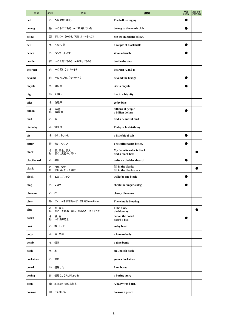| 単語         | 品詞     | 意味                           | 用例                                              | 単語<br>を追加 | 品詞·意味·<br>用例を追加 |
|------------|--------|------------------------------|-------------------------------------------------|-----------|-----------------|
| bell       | 名      | ベルや鈴(の音)                     | The bell is ringing.                            |           |                 |
| belong     | 動      | ~のものである、~に所属している             | belong to the tennis club                       |           |                 |
| below      | 副      | 下に〔へ・を・の〕、下記に〔へ・を・の〕         | See the questions below.                        |           |                 |
| belt       | 名      | ベルト、帯                        | a couple of black belts                         |           |                 |
| bench      | 名      | ベンチ、長いす                      | sit on a bench                                  |           |                 |
| beside     | 前      | ~のそばに〔の〕、~の隣りに〔の〕            | beside the door                                 |           |                 |
| between    | 前      | ~の間に〔で・の・を〕                  | between A and B                                 |           |                 |
| beyond     | 前      | ~の向こうに〔で・の・へ〕                | beyond the bridge                               |           |                 |
| bicycle    | 名      | 自転車                          | ride a bicycle                                  |           |                 |
| big        | 形      | 大きい                          | live in a big city                              |           |                 |
| bike       | 名      | 自転車                          | go by bike                                      |           |                 |
| billion    | 名<br>形 | 10億<br>10億の                  | billions of people<br>a billion dollars         |           |                 |
| bird       | 名      | 鳥                            | find a beautiful bird                           |           |                 |
| birthday   | 名      | 誕生日                          | Today is his birthday.                          |           |                 |
| bit        | 名      | 少し、ちょっと                      | a little bit of salt                            |           |                 |
| bitter     | 形      | 苦い、つらい                       | The coffee tastes bitter.                       |           |                 |
| black      | 名<br>形 | 黒、黒色、黒人<br>黒の、黒色の、黒い         | My favorite color is black.<br>find a black box |           |                 |
| blackboard | 名      | 黒板                           | write on the blackboard                         |           |                 |
| blank      | 名<br>形 | 白紙、空白<br>空白の、からっぽの           | fill in the blanks<br>fill in the blank space   |           |                 |
| block      | 名      | 区画、ブロック                      | walk for one block                              |           |                 |
| blog       | 名      | ブログ                          | check the singer's blog                         |           |                 |
| blossom    | 名      | 花                            | cherry blossoms                                 |           |                 |
| blow       | 動      | 吹く、~を吹き動かす《活用》blew-blown     | The wind is blowing.                            |           |                 |
| blue       | 名<br>形 | 青、青色<br>青の、青色の、青い、青ざめた、ゆううつな | I like blue.<br>the blue sky                    |           |                 |
| board      | 名<br>動 | 板、台<br>~に乗り込む                | cut on the board<br>board a bus                 |           |                 |
| boat       | 名      | ボート、船                        | go by boat                                      |           |                 |
| body       | 名      | 体、肉体                         | a human body                                    |           |                 |
| bomb       | 名      | 爆弾                           | a time bomb                                     |           |                 |
| book       | 名      | 本                            | an English book                                 |           |                 |
| bookstore  | 名      | 書店                           | go to a bookstore                               |           |                 |
| bored      | 形      | 退屈した                         | I am bored.                                     |           |                 |
| boring     | 形      | 退屈な、うんざりさせる                  | a boring story                                  |           |                 |
| born       | 動      | (be born で)生まれる              | A baby was born.                                |           |                 |
| borrow     | 動      | ~を借りる                        | borrow a pencil                                 |           |                 |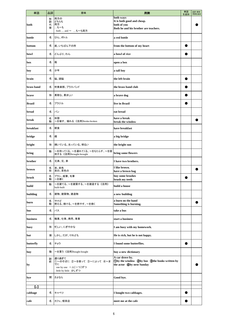| 単語                  | 品詞          | 意味                                                   | 用例                                                              | 単語<br>を追加 | 品詞·意味·<br>用例を追加 |
|---------------------|-------------|------------------------------------------------------|-----------------------------------------------------------------|-----------|-----------------|
|                     | 形           | 両方の                                                  | both ways<br>It is both good and cheap.                         |           |                 |
| both                | 副<br>代<br>接 | どちらも<br>両方<br>…も~も                                   | both of you                                                     |           |                 |
|                     |             | both  and ~ …も~も両方                                   | Both he and his brother are teachers.                           |           |                 |
| bottle              | 名           | びん、ボトル                                               | a red bottle                                                    |           |                 |
| bottom              | 名           | 底、いちばん下の所                                            | from the bottom of my heart                                     |           |                 |
| bowl                | 名           | どんぶり、わん                                              | a bowl of rice                                                  |           |                 |
| box                 | 名           | 箱                                                    | open a box                                                      |           |                 |
| boy                 | 名           | 少年                                                   | a tall boy                                                      |           |                 |
| brain               | 名           | 脳、頭脳                                                 | the left brain                                                  |           |                 |
| brass band          | 名           | 吹奏楽部、ブラスバンド                                          | the brass band club                                             |           |                 |
| brave               | 形           | 勇敢な、勇ましい                                             | a brave dog                                                     |           |                 |
| <b>Brazil</b>       | 名           | ブラジル                                                 | live in Brazil                                                  |           |                 |
| bread               | 名           | パン                                                   | eat bread                                                       |           |                 |
| break               | 名<br>動      | 休憩<br>~を壊す、壊れる《活用》broke-broken                       | have a break<br>break the window                                |           |                 |
| breakfast           | 名           | 朝食                                                   | have breakfast                                                  |           |                 |
| bridge              | 名           | 橋                                                    | a big bridge                                                    |           |                 |
| bright              | 形           | 輝いている、光っている、明るい                                      | the bright sun                                                  |           |                 |
| bring               | 動           | ~を持ってくる、~を連れてくる、~をもたらす、~を提<br>供する《活用》brought-brought | bring some flowers                                              |           |                 |
| brother             | 名           | 兄弟、兄、弟                                               | I have two brothers.                                            |           |                 |
| brown               | 名<br>形      | 茶、茶色<br>茶の、茶色の                                       | I like brown.<br>have a brown bag                               |           |                 |
| brush               | 名<br>動      | ブラシ、絵筆、毛筆<br>~を磨く                                    | buy some brushes<br>brush my teeth                              |           |                 |
| build               | 動           | ~を建てる、~を建築する、~を建造する《活用》<br>built-built               | build a house                                                   |           |                 |
| building            | 名           | 建物、建築物、建造物                                           | a new building                                                  |           |                 |
| burn                | 名<br>動      | やけど<br>燃える、焼ける、~を燃やす、~を焼く                            | a burn on the hand<br>Something is burning.                     |           |                 |
| bus                 | 名           | バス                                                   | take a bus                                                      |           |                 |
| business            | 名           | 職業、仕事、商売、事業                                          | start a business                                                |           |                 |
| busy                | 形           | 忙しい、にぎやかな                                            | I am busy with my homework.                                     |           |                 |
| but                 | 接           | しかし、だが、けれども                                          | He is rich, but he is not happy.                                |           |                 |
| butterfly           | 名           | チョウ                                                  | I found some butterflies.                                       |           |                 |
| buy                 | 動           | ~を買う《活用》bought-bought                                | buy a new dictionary                                            |           |                 |
|                     | 副<br>前      | 通り過ぎて<br>①~のそばに ②~を使って ③~によって ④~ま                    | A car drove by.<br>Oby the window 2by bus 3the books written by |           |                 |
| by                  |             | でに<br>one by one 一人[一つ]ずつ<br>little by little 少しずつ   | the actor @by next Sunday                                       |           |                 |
| bye                 | 間           | さよなら                                                 | Good bye.                                                       |           |                 |
| $\lbrack c \rbrack$ |             |                                                      |                                                                 |           |                 |
| cabbage             | 名           | キャベツ                                                 | I bought two cabbages.                                          |           |                 |
| cafe                | 名           | カフェ、喫茶店                                              | meet me at the cafe                                             |           |                 |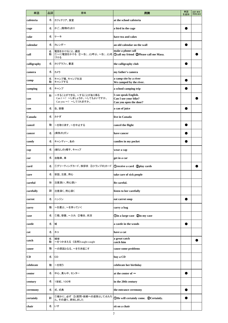| 単語          | 品詞     | 意味                                                                                       | 用例                                                                     | 単語<br>を追加 | 品詞·意味·<br>用例を追加 |
|-------------|--------|------------------------------------------------------------------------------------------|------------------------------------------------------------------------|-----------|-----------------|
| cafeteria   | 名      | カフェテリア、食堂                                                                                | at the school cafeteria                                                |           |                 |
| cage        | 名      | かご、(動物の)おり                                                                               | a bird in the cage                                                     |           |                 |
| cake        | 名      | ケーキ                                                                                      | have tea and cakes                                                     |           |                 |
| calendar    | 名      | カレンダー                                                                                    | an old calendar on the wall                                            |           |                 |
| call        | 名<br>動 | 電話をかけること、通話<br>①~に電話をかける ②~を(…と)呼ぶ、~を(…と)名  ①call my friend ②Please call me Masa.<br>づける | make a phone call                                                      |           |                 |
| calligraphy | 名      | カリグラフィ、書道                                                                                | the calligraphy club                                                   |           |                 |
| camera      | 名      | カメラ                                                                                      | my father's camera                                                     |           |                 |
| camp        | 名<br>動 | キャンプ場、キャンプ生活<br>キャンプする                                                                   | a camp site by a river<br>We camped by the river.                      |           |                 |
| camping     | 名      | キャンプ                                                                                     | a school camping trip                                                  |           |                 |
| can         | 助      | ~することができる、~することがあり得る<br>Can I~? ~しましょうか。~してもよいですか。<br>Can you ~? ~してくれますか。               | I can speak English.<br>Can I use your bike?<br>Can you open the door? |           |                 |
| can         | 名      | 缶、容器                                                                                     | a can of juice                                                         |           |                 |
| Canada      | 名      | カナダ                                                                                      | live in Canada                                                         |           |                 |
| cancel      | 動      | ~を取り消す、~を中止する                                                                            | cancel the flight                                                      |           |                 |
| cancer      | 名      | (病気の)ガン                                                                                  | have cancer                                                            |           |                 |
| candy       | 名      | キャンディー、あめ                                                                                | candies in my pocket                                                   |           |                 |
| cap         | 名      | (縁なしの)帽子、キャップ                                                                            | wear a cap                                                             |           |                 |
| car         | 名      | 自動車、車                                                                                    | get in a car                                                           |           |                 |
| card        | 名      | (1)グリーティングカード、挨拶状 (2)(トランプの)カード                                                          | <b>Oreceive a card C</b> play cards                                    |           |                 |
| care        | 名      | 世話、注意、用心                                                                                 | take care of sick people                                               |           |                 |
| careful     | 形      | 注意深い、用心深い                                                                                | Be careful.                                                            |           |                 |
| carefully   | 副      | 注意深く、用心深く                                                                                | listen to her carefully                                                |           |                 |
| carrot      | 名      | ニンジン                                                                                     | eat carrot soup                                                        |           |                 |
| carry       | 動      | ~を運ぶ、~を持っていく                                                                             | carry a bag                                                            |           |                 |
| case        | 名      | ①箱、容器、~入れ ②場合、状況                                                                         | <b>Oin a large case Qin my case</b>                                    |           |                 |
| castle      | 名      | 城                                                                                        | a castle in the woods                                                  |           |                 |
| cat         | 名      | ネコ                                                                                       | have a cat                                                             |           |                 |
| catch       | 名<br>動 | 捕球<br>~をつかまえる 《活用》caught-caught                                                          | a great catch<br>catch him                                             |           |                 |
| cause       | 動      | ~の原因となる、~を引き起こす                                                                          | cause some problems                                                    |           |                 |
| CD          | 名      | CD                                                                                       | buy a CD                                                               |           |                 |
| celebrate   | 動      | ~を祝う                                                                                     | celebrate her birthday                                                 |           |                 |
| center      | 名      | 中心、真ん中、センター                                                                              | at the center of $\sim$                                                |           |                 |
| century     | 名      | 1世紀、100年                                                                                 | in the 20th century                                                    |           |                 |
| ceremony    | 名      | 式、式典                                                                                     | the entrance ceremony                                                  |           |                 |
| certainly   | 副      | ①確かに、必ず ②(質問・依頼への返答として)もちろ<br>ん、その通り、承知しました                                              | <b>OHe will certainly come. @Certainly.</b>                            |           |                 |
| chair       | 名      | いす                                                                                       | sit on a chair                                                         |           |                 |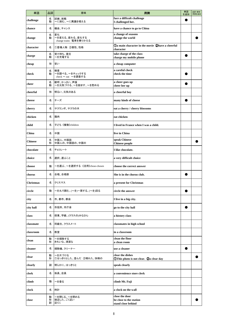| 単語             | 品詞          | 意味                                             | 用例                                                                    | 単語<br>を追加 | 品詞·意味·<br>用例を追加 |
|----------------|-------------|------------------------------------------------|-----------------------------------------------------------------------|-----------|-----------------|
| challenge      | 名<br>動      | 試練、挑戦<br>~に挑む、~に異議を唱える                         | face a difficult challenge<br>I challenged her.                       |           |                 |
| chance         | 名           | 機会、チャンス                                        | have a chance to go to China                                          |           |                 |
| change         | 名<br>動      | 変化<br>~を変える、変わる、変化する<br>change trains 電車を乗りかえる | a change of seasons<br>change the world                               |           |                 |
| character      | 名           | ①登場人物 ②個性、性格                                   | <b>1</b> Oa main character in the movie 2have a cheerful<br>character |           |                 |
| charge         | 名<br>動      | 受け持ち、責任<br>~を充電する                              | take charge of the class<br>charge my mobile phone                    |           |                 |
| cheap          | 形           | 安い                                             | a cheap computer                                                      |           |                 |
| check          | 名<br>動      | 検査<br>~を調べる、~をチェックする<br>check ~ out ~を調査する     | a careful check<br>check the time                                     |           |                 |
| cheer          | 名<br>動      | 歓呼、かっさい、声援<br>~を元気づける、~を励ます、~を慰める              | a cheer goes up<br>cheer her up                                       |           |                 |
| cheerful       | 形           | 明るい、元気のある                                      | a cheerful boy                                                        |           |                 |
| cheese         | 名           | チーズ                                            | many kinds of cheese                                                  |           |                 |
| cherry         | 名           | サクランボ、サクラの木                                    | eat a cherry / cherry blossoms                                        |           |                 |
| chicken        | 名           | 鶏肉                                             | eat chicken                                                           |           |                 |
| child          | 名           | 子ども《複数》children                                | I lived in France when I was a child.                                 |           |                 |
| China          | 名           | 中国                                             | live in China                                                         |           |                 |
| <b>Chinese</b> | 名<br>形      | 中国人、中国語<br>中国人の、中国語の、中国の                       | speak Chinese<br><b>Chinese people</b>                                |           |                 |
| chocolate      | 名           | チョコレート                                         | I like chocolate.                                                     |           |                 |
| choice         | 名           | 選択、選ぶこと                                        | a very difficult choice                                               |           |                 |
| choose         | 動           | ~を選ぶ、~を選択する《活用》chose-chosen                    | choose the correct answer                                             |           |                 |
| chorus         | 名           | 合唱、合唱部                                         | She is in the chorus club.                                            |           |                 |
| Christmas      | 名           | クリスマス                                          | a present for Christmas                                               |           |                 |
| circle         | 動           | ~を丸で囲む、(~を)一周する、(~を)回る                         | circle the answer                                                     |           |                 |
| city           | 名           | 市、都市、都会                                        | I live in a big city.                                                 |           |                 |
| city hall      | 名           | 市役所、市庁舎                                        | go to the city hall                                                   |           |                 |
| class          | 名           | 授業、学級、(クラスの)みなさん                               | a history class                                                       |           |                 |
| classmate      | 名           | 同級生、クラスメート                                     | classmates in high school                                             |           |                 |
| classroom      | 名           | 教室                                             | in a classroom                                                        |           |                 |
| clean          | 動<br>形      | ~を掃除する<br>きれいな、清潔な                             | clean the floor<br>a clean room                                       |           |                 |
| cleaner        | 名           | 掃除機、クリーナー                                      | use a cleaner                                                         |           |                 |
| clear          | 動<br>形      | ~を片づける<br>1はっきりとした、澄んだ 2晴れた、快晴の                | clear the dishes<br><b>This photo is not clear.</b> 2a clear day      |           |                 |
| clearly        | 副           | 明らかに、はっきりと                                     | speak clearly                                                         |           |                 |
| clerk          | 名           | 係員、店員                                          | a convenience store clerk                                             |           |                 |
| climb          | 動           | ~を登る                                           | climb Mt. Fuji                                                        |           |                 |
| clock          | 名           | 時計                                             | a clock on the wall                                                   |           |                 |
| close          | 動<br>形<br>副 | ~を閉じる、~を閉める<br>接近した、ごく近い<br>近くに                | close the door<br>be close to the station<br>stand close behind       |           |                 |
|                |             |                                                |                                                                       |           |                 |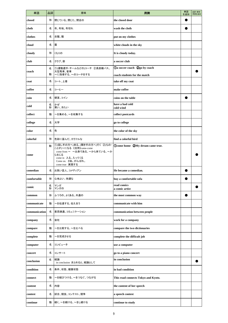| 単語            | 品詞     | 意味                                                                                                                                                        | 用例                                  | 単語<br>を追加 | 品詞·意味·<br>用例を追加 |
|---------------|--------|-----------------------------------------------------------------------------------------------------------------------------------------------------------|-------------------------------------|-----------|-----------------|
| closed        | 形      | 閉じている、閉じた、閉店の                                                                                                                                             | the closed door                     |           |                 |
| cloth         | 名      | 布、布地、布切れ                                                                                                                                                  | wash the cloth                      |           |                 |
| clothes       | 名      | 衣服、服                                                                                                                                                      | put on my clothes                   |           |                 |
| cloud         | 名      | 雲                                                                                                                                                         | white clouds in the sky             |           |                 |
| cloudy        | 形      | くもりの                                                                                                                                                      | It is cloudy today.                 |           |                 |
| club          | 名      | クラブ、部                                                                                                                                                     | a soccer club                       |           |                 |
| coach         | 名      | ①(運動選手・チームなどの)コーチ ②長距離バス、<br>大型馬車、客車                                                                                                                      | <b>Da soccer coach 2go by coach</b> |           |                 |
|               | 動      | ~に指導する、~のコーチをする                                                                                                                                           | coach students for the match        |           |                 |
| coat          | 名      | コート、上着                                                                                                                                                    | take off my coat                    |           |                 |
| coffee        | 名      | コーヒー                                                                                                                                                      | make coffee                         |           |                 |
| coin          | 名      | 硬貨、コイン                                                                                                                                                    | coins on the table                  |           |                 |
| cold          | 名<br>形 | かぜ<br>寒い、冷たい                                                                                                                                              | have a bad cold<br>cold wind        |           |                 |
| collect       | 動      | ~を集める、~を収集する                                                                                                                                              | collect postcards                   |           |                 |
| college       | 名      | 大学                                                                                                                                                        | go to college                       |           |                 |
| color         | 名      | 色                                                                                                                                                         | the color of the sky                |           |                 |
| colorful      | 形      | 色彩に富んだ、カラフルな                                                                                                                                              | find a colorful bird                |           |                 |
| come          | 動      | ①(話し手の方へ)来る、(聞き手の方へ)行く ②(もの・<br>ことが)~になる《活用》came-come<br>come from ~ ~出身である、~から来ている、~か<br>ら生じる<br>come in 入る、入ってくる<br>Come on. さあ。がんばれ。<br>come true 実現する | Ocome home 2My dream came true.     |           |                 |
| comedian      | 名      | お笑い芸人、コメディアン                                                                                                                                              | He became a comedian.               |           |                 |
| comfortable   | 形      | 心地よい、快適な                                                                                                                                                  | buy a comfortable sofa              |           |                 |
| comic         | 名<br>形 | マンガ<br>マンガの                                                                                                                                               | read comics<br>a comic artist       |           |                 |
| common        | 形      | ふつうの、よくある、共通の                                                                                                                                             | the most common way                 |           |                 |
| communicate   | 動      | ~を伝達する、伝え合う                                                                                                                                               | communicate with him                |           |                 |
| communication | 名      | 意思疎通、コミュニケーション                                                                                                                                            | communication between people        |           |                 |
| company       | 名      | 会社                                                                                                                                                        | work for a company                  |           |                 |
| compare       | 動      | ~を比較する、~を比べる                                                                                                                                              | compare the two dictionaries        |           |                 |
| complete      | 動      | ~を完成させる                                                                                                                                                   | complete the difficult job          |           |                 |
| computer      | 名      | コンピュータ                                                                                                                                                    | use a computer                      |           |                 |
| concert       | 名      | コンサート                                                                                                                                                     | go to a piano concert               |           |                 |
| conclusion    | 名      | 結論<br>in conclusion まとめると、結論として                                                                                                                           | in conclusion                       |           |                 |
| condition     | 名      | 条件、状態、健康状態                                                                                                                                                | in bad condition                    |           |                 |
| connect       | 動      | ~を結びつける、~をつなぐ、つながる                                                                                                                                        | This road connects Tokyo and Kyoto. |           |                 |
| content       | 名      | 内容                                                                                                                                                        | the content of her speech           |           |                 |
| contest       | 名      | 試合、競技、コンテスト、競争                                                                                                                                            | a speech contest                    |           |                 |
| continue      | 動      | 続く、~を続ける、~をし続ける                                                                                                                                           | continue to study                   |           |                 |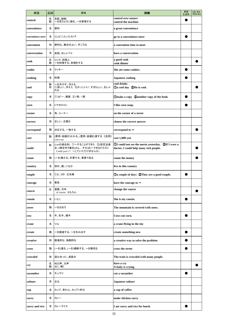| 単語                | 品詞     | 意味                                                                                    | 用例                                                                                              | 単語<br>を追加 | 品詞·意味·<br>用例を追加 |
|-------------------|--------|---------------------------------------------------------------------------------------|-------------------------------------------------------------------------------------------------|-----------|-----------------|
| control           | 名<br>動 | 支配、統制<br>~を思うように操る、~を管理する                                                             | control over nature<br>control the machine                                                      |           |                 |
| convenience       | 名      | 便利                                                                                    | a great convenience                                                                             |           |                 |
| convenience store | 名      | コンビニエンスストア                                                                            | go to a convenience store                                                                       |           |                 |
| convenient        | 形      | 便利な、都合のよい、手ごろな                                                                        | a convenient time to meet                                                                       |           |                 |
| conversation      | 名      | 会話、おしゃべり                                                                              | have a conversation                                                                             |           |                 |
| cook              | 名<br>動 | コック、料理人<br>~を料理する、料理をする                                                               | a good cook<br>cook dinner                                                                      |           |                 |
| cookie            | 名      | クッキー                                                                                  | She ate some cookies.                                                                           |           |                 |
| cooking           | 名      | 料理                                                                                    | <b>Japanese cooking</b>                                                                         |           |                 |
| cool              | 動<br>形 | ~を冷やす、冷える<br>①涼しい、冷えた ②かっこいい、すばらしい、おしゃ<br>れな                                          | cool drinks<br><b>1</b> Oa cool day <b>2</b> He is cool.                                        |           |                 |
| copy              | 名      | ①コピー、複製 ②1冊、1部                                                                        | <b>Omake a copy Qanother copy of the book</b>                                                   |           |                 |
| corn              | 名      | トウモロコシ                                                                                | I like corn soup.                                                                               |           |                 |
| corner            | 名      | 角、コーナー                                                                                | on the corner of a street                                                                       |           |                 |
| correct           | 形      | 正しい、正確な                                                                               | choose the correct answer                                                                       |           |                 |
| correspond        | 動      | 対応する、一致する                                                                             | correspond to $\sim$                                                                            |           |                 |
| cost              | 動      | (費用・金額が)かかる、(費用・金額を)要する《活用》<br>cost-cost                                              | cost 1,000 yen                                                                                  |           |                 |
| could             | 助      | (canの過去形) ①~することができた ②(仮定法過<br>去:if節を伴う場合)(もしすれば)~できるだろうに<br>Could you~? ~していただけませんか。 | 10 OI could not see the movie yesterday. 2If I were a<br>doctor, I could help many sick people. |           |                 |
| count             | 動      | (~を)数える、計算する、重要である                                                                    | count the money                                                                                 |           |                 |
| country           | 名      | 郊外、国、いなか                                                                              | live in this country                                                                            |           |                 |
| couple            | 名      | ①2、3の ②夫婦                                                                             | <b>1</b> Oa couple of days 2They are a good couple.                                             |           |                 |
| courage           | 名      | 勇気                                                                                    | have the courage to $\thicksim$                                                                 |           |                 |
| course            | 名      | 進路、方向<br>of course もちろん                                                               | change the course                                                                               |           |                 |
| cousin            | 名      | いとこ                                                                                   | She is my cousin.                                                                               |           |                 |
| cover             | 動      | ~をおおう                                                                                 | The mountain is covered with snow.                                                              |           |                 |
| cow               | 名      | 牛、乳牛、雌牛                                                                               | Cows eat corn.                                                                                  |           |                 |
| crane             | 名      | ツル                                                                                    | a crane flying in the sky                                                                       |           |                 |
| create            | 動      | ~を創造する、~を生み出す                                                                         | create something new                                                                            |           |                 |
| creative          | 形      | 創造的な、独創的な                                                                             | a creative way to solve the problem                                                             |           |                 |
| cross             | 動      | (~を)渡る、(~を)横断する、~を横切る                                                                 | cross the street                                                                                |           |                 |
| crowded           | 形      | 混み合った、満員の                                                                             | The train is crowded with many people.                                                          |           |                 |
| cry               | 名<br>動 | 叫び声、大声<br>泣く、鳴く                                                                       | have a cry<br>A baby is crying.                                                                 |           |                 |
| cucumber          | 名      | キュウリ                                                                                  | cut a cucumber                                                                                  |           |                 |
| culture           | 名      | 文化                                                                                    | Japanese culture                                                                                |           |                 |
| cup               | 名      | カップ、茶わん、カップ1杯分                                                                        | a cup of coffee                                                                                 |           |                 |
| curry             | 名      | カレー                                                                                   | make chicken curry                                                                              |           |                 |
| curry and rice    | 名      | カレーライス                                                                                | I ate curry and rice for lunch.                                                                 |           |                 |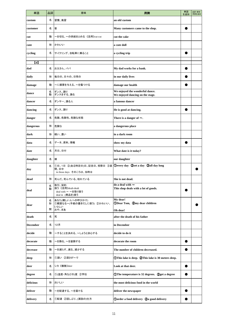| 単語              | 品詞          | 意味                                                                                                | 用例                                                                  | 単語<br>を追加 | 品詞·意味·<br>用例を追加 |
|-----------------|-------------|---------------------------------------------------------------------------------------------------|---------------------------------------------------------------------|-----------|-----------------|
| custom          | 名           | 習慣、風習                                                                                             | an old custom                                                       |           |                 |
| customer        | 名           | 客                                                                                                 | Many customers came to the shop.                                    |           |                 |
| cut             | 動           | ~を切る、~の供給をとめる 《活用》cut-cut                                                                         | cut the cake                                                        |           |                 |
| cute            | 形           | かわいい                                                                                              | a cute doll                                                         |           |                 |
| cycling         | 名           | サイクリング、自転車に乗ること                                                                                   | a cycling trip                                                      |           |                 |
| $\rm ^{(d)}$    |             |                                                                                                   |                                                                     |           |                 |
| dad             | 名           | お父さん、パパ                                                                                           | My dad works for a bank.                                            |           |                 |
| daily           | 形           | 毎日の、日々の、日常の                                                                                       | in our daily lives                                                  |           |                 |
| damage          | 動           | ~に損害を与える、~を傷つける                                                                                   | damage our health                                                   |           |                 |
| dance           | 名<br>動      | ダンス、踊り<br>ダンスをする、踊る                                                                               | We enjoyed the wonderful dance.<br>We enjoyed dancing on the stage. |           |                 |
| dancer          | 名           | ダンサー、踊る人                                                                                          | a famous dancer                                                     |           |                 |
| dancing         | 名           | ダンス、踊り                                                                                            | He is good at dancing.                                              |           |                 |
| danger          | 名           | 危険、危険性、危険な状態                                                                                      | There is a danger of $\sim$ .                                       |           |                 |
| dangerous       | 形           | 危険な                                                                                               | a dangerous place                                                   |           |                 |
| dark            | 形           | 暗い、濃い                                                                                             | in a dark room                                                      |           |                 |
| data            | 名           | データ、資料、情報                                                                                         | show my data                                                        |           |                 |
| date            | 名           | 月日、日付                                                                                             | What date is it today?                                              |           |                 |
| daughter        | 名           | 娘                                                                                                 | our daughter                                                        |           |                 |
| day             | 名           | ①日、1日 ②(ある特定の)日、記念日、祝祭日 ③昼 ①every day ②set a day ③all day long<br>間、日中<br>in those days そのころは、当時は |                                                                     |           |                 |
| dead            | 形           | 死んだ、死んでいる、枯れている                                                                                   | She is not dead.                                                    |           |                 |
| deal            | 名<br>動      | 取引、契約<br>扱う《活用》dealt-dealt<br>deal with ~ ~を取り扱う<br>deal in (商品を)扱う                               | do a deal with $\sim$<br>This shop deals with a lot of goods.       |           |                 |
| dear            | 名<br>形<br>間 | あなた(親しい人への呼びかけ)<br>①親愛なる~(手紙の書きだしに使う) ②かわいい、<br>いとしい<br>おや、まあ                                     | My dear!<br><b>ODear Tom, 2my dear children</b><br>Oh dear!         |           |                 |
| death           | 名           | 死                                                                                                 | after the death of his father                                       |           |                 |
| <b>December</b> | 名           | 12月                                                                                               | in December                                                         |           |                 |
| decide          | 動           | ~することを決める、~しようと決心する                                                                               | decide to do it                                                     |           |                 |
| decorate        | 動           | ~を飾る、~を装飾する                                                                                       | decorate the room                                                   |           |                 |
| decrease        | 動           | ~を減らす、減る、減少する                                                                                     | The number of children decreased.                                   |           |                 |
| deep            | 形           | ①深い ②深さが~で                                                                                        | <b>1</b> This lake is deep. <b>2</b> This lake is 30 meters deep.   |           |                 |
| deer            | 名           | シカ《複数》deer                                                                                        | Look at that deer.                                                  |           |                 |
| degree          | 名           | ①(温度・角などの)度 ②学位                                                                                   | <b>1DThe temperature is 32 degrees.</b> 2get a degree               |           |                 |
| delicious       | 形           | おいしい                                                                                              | the most delicious food in the world                                |           |                 |
| deliver         | 動           | ~を配達する、~を届ける                                                                                      | deliver the newspaper                                               |           |                 |
| delivery        | 名           | 1配達 2話しぶり、(演説の)仕方                                                                                 | <b>Oorder a food delivery 2a good delivery</b>                      |           |                 |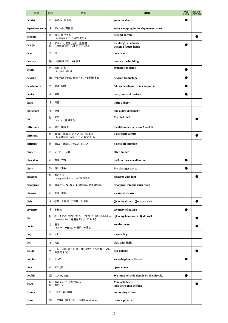| 単語               | 品詞     | 意味                                                          | 用例                                             | 単語<br>を追加 | 品詞·意味·<br>用例を追加 |
|------------------|--------|-------------------------------------------------------------|------------------------------------------------|-----------|-----------------|
| dentist          | 名      | 歯科医、歯医者                                                     | go to the dentist                              |           |                 |
| department store | 名      | デパート、百貨店                                                    | enjoy shopping in the department store         |           |                 |
| depend           | 動      | 頼る、依存する<br>depend on ~ ~次第である                               | depend on you                                  |           |                 |
| design           | 名<br>動 | デザイン、図案、設計、設計図<br>~を設計する、~をデザインする                           | the design of a house<br>design a future house |           |                 |
| desk             | 名      | 机                                                           | on a desk                                      |           |                 |
| destroy          | 動      | ~を破壊する、~を壊す                                                 | destroy the building                           |           |                 |
| detail           | 名      | 細部、詳細<br>in detail 詳しく                                      | explain it in detail                           |           |                 |
| develop          | 動      | ~を発達させる、発達する、~を開発する                                         | develop technology                             |           |                 |
| development      | 名      | 発達、開発                                                       | AI is a development in computers.              |           |                 |
| device           | 名      | 装置                                                          | many musical devices                           |           |                 |
| diary            | 名      | 日記                                                          | write a diary                                  |           |                 |
| dictionary       | 名      | 辞書                                                          | buy a new dictionary                           |           |                 |
| die              | 動      | 死ぬ<br>die out 絶滅する                                          | My bird died.                                  |           |                 |
| difference       | 名      | 違い、相違点                                                      | the difference between A and B                 |           |                 |
| different        | 形      | 違った、異なる、いろいろな、様々な<br>be different from ~ ~と違っている            | a different culture                            |           |                 |
| difficult        | 形      | 難しい、困難な、苦しい、厳しい                                             | a difficult question                           |           |                 |
| dinner           | 名      | ディナー、夕食                                                     | after dinner                                   |           |                 |
| direction        | 名      | 方角、方向                                                       | walk in the same direction                     |           |                 |
| dirty            | 形      | 汚い、汚れた                                                      | My shirt got dirty.                            |           |                 |
| disagree         | 動      | 反対する<br>disagree with ~ ~に反対する                              | disagree with him                              |           |                 |
| disappear        | 動      | 消滅する、なくなる、いなくなる、見えなくなる                                      | disappear into the dark room                   |           |                 |
| disaster         | 名      | 災害、惨事                                                       | a natural disaster                             |           |                 |
| dish             | 名      | 1皿、食器類 2料理、食べ物                                              | <b>Odo the dishes</b> 2a main dish             |           |                 |
| diversity        | 名      | 多様性                                                         | diversity of nature                            |           |                 |
| do               | 動      | ①~をする ②やっていく、うまくいく《活用》did-done<br>do one's best 最善を尽くす、がんばる | Odo my homework 2do well                       |           |                 |
| doctor           | 名      | 医者<br>Dr. ~ ~先生、~医師、~博士                                     | see the doctor                                 |           |                 |
| dog              | 名      | イヌ                                                          | have a dog                                     |           |                 |
| doll             | 名      | 人形                                                          | play with dolls                                |           |                 |
| dollar           | 名      | ドル (米国・カナダ・オーストラリア・シンガポールなど<br>の貨幣単位)                       | five dollars                                   |           |                 |
| dolphin          | 名      | イルカ                                                         | see a dolphin in the sea                       |           |                 |
| door             | 名      | ドア、扉                                                        | open a door                                    |           |                 |
| double           | 副      | 二人で、2倍に                                                     | We must not ride double on the bicycle.        |           |                 |
| down             | 形<br>副 | 落ち込んだ、元気がない<br>下に[へ]                                        | You look down.<br>look down into the box       |           |                 |
| drama            | 名      | ドラマ、劇、演劇                                                    | an exciting drama                              |           |                 |
| draw             | 動      | ~を描く、(線を)引く《活用》drew-drawn                                   | draw a picture                                 |           |                 |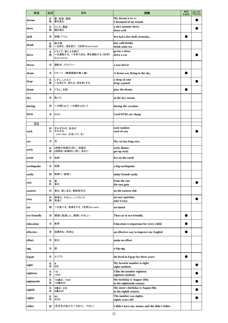| 単語           | 品詞     | 意味                                                      | 用例                                                           | 単語<br>を追加 | 品詞·意味·<br>用例を追加 |
|--------------|--------|---------------------------------------------------------|--------------------------------------------------------------|-----------|-----------------|
| dream        | 名<br>動 | 夢、希望、理想<br>夢を見る                                         | My dream is to $\sim$ .<br>I dreamed of my friend.           |           |                 |
| dress        | 名<br>動 | ドレス、服装<br>服を着る                                          | a nice summer dress<br>dress well                            |           |                 |
| drill        | 名      | 訓練、ドリル                                                  | We had a fire drill yesterday.                               |           |                 |
| drink        | 名<br>動 | 飲み物<br>~を飲む、酒を飲む 《活用》drank-drunk                        | buy cold drinks<br>drink some tea                            |           |                 |
| drive        | 名<br>動 | ドライブ、車による旅行<br>~を運転する、~を車で送る、車を運転する《活用》<br>drove-driven | go for a drive<br>drive a car                                |           |                 |
| driver       | 名      | 運転手、ドライバー                                               | a taxi driver                                                |           |                 |
| drone        | 名      | ドローン (無線操縦の無人機)                                         | A drone was flying in the sky.                               |           |                 |
| drop         | 名<br>動 | しずく、したたり<br>~を落とす、落ちる、体を低くする                            | a drop of rain<br>drop a pencil                              |           |                 |
| drum         | 名      | ドラム、太鼓                                                  | play the drums                                               |           |                 |
| dry          | 形      | 乾いた                                                     | in the dry season                                            |           |                 |
| during       | 前      | ~の間じゅう、~の間をとおして                                         | during the vacation                                          |           |                 |
| <b>DVD</b>   | 名      | <b>DVD</b>                                              | Used DVDs are cheap.                                         |           |                 |
| 【e】          |        |                                                         |                                                              |           |                 |
| each         | 形<br>代 | それぞれの、各自の<br>それぞれ<br>each other お互い(に・を)                | each student<br>each of you                                  |           |                 |
| ear          | 名      | 耳                                                       | My cat has long ears.                                        |           |                 |
| early        | 形<br>副 | (時間や時期が)早い、初期の<br>(時間的・時期的に)早く、早めに                      | early dinner<br>get up early                                 |           |                 |
| earth        | 名      | 地球                                                      | live on the earth                                            |           |                 |
| earthquake   | 名      | 地震                                                      | a big earthquake                                             |           |                 |
| easily       | 副      | 簡単に、容易に                                                 | make friends easily                                          |           |                 |
| east         | 名<br>形 | 東<br>東の                                                 | from the east<br>the east gate                               |           |                 |
| eastern      | 形      | 東の、東にある、東部地方の                                           | on the eastern side                                          |           |                 |
| easy         | 形<br>副 | 簡単な、やさしい、くつろいだ<br>気楽に                                   | an easy question<br>take it easy                             |           |                 |
| eat          | 動      | ~を食べる、食事をする《活用》ate-eaten                                | eat lunch                                                    |           |                 |
| eco-friendly | 形      | 環境に配慮した、環境にやさしい                                         | That car is eco-friendly.                                    |           |                 |
| education    | 名      | 教育                                                      | Education is important for every child.                      |           |                 |
| effective    | 形      | 効果的な、有効な                                                | an effective way to improve my English                       |           |                 |
| effort       | 名      | 努力                                                      | make an effort                                               |           |                 |
| egg          | 名      | 卵                                                       | a big egg                                                    |           |                 |
| Egypt        | 名      | エジプト                                                    | He lived in Egypt for three years.                           |           |                 |
| eight        | 名<br>形 | 8<br>8の                                                 | My favorite number is eight.<br>eight students               |           |                 |
| eighteen     | 名<br>形 | 18<br>18の                                               | I like the number eighteen.<br>eighteen students             |           |                 |
| eighteenth   | 名<br>形 | 18番め、18日<br>18番めの                                       | My birthday is August 18th.<br>in the eighteenth century     |           |                 |
| eighth       | 名<br>形 | 8番め、8日<br>8番めの                                          | My sister's birthday is August 8th.<br>in the eighth century |           |                 |
| eighty       | 名<br>形 | 80<br>80の                                               | The number was eighty.<br>eighty years old                   |           |                 |
| either       | 副      | (否定文のあとで)~もまた(でない)                                      | I didn't have any money and she didn't either.               |           |                 |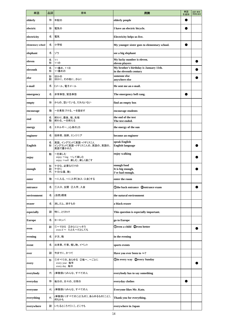| 単語                | 品詞          | 意味                                                           | 用例                                                                | 単語<br>を追加 | 品詞・意味・<br>用例を追加 |
|-------------------|-------------|--------------------------------------------------------------|-------------------------------------------------------------------|-----------|-----------------|
| elderly           | 形           | 年配の                                                          | elderly people                                                    |           |                 |
| electric          | 形           | 電気の                                                          | I have an electric bicycle.                                       |           |                 |
| electricity       | 名           | 電気                                                           | Electricity helps us live.                                        |           |                 |
| elementary school | 名           | 小学校                                                          | My younger sister goes to elementary school.                      |           |                 |
| elephant          | 名           | ゾウ                                                           | see a big elephant                                                |           |                 |
| eleven            | 名<br>形      | 11<br>11の                                                    | My lucky number is eleven.<br>eleven players                      |           |                 |
| eleventh          | 名<br>形      | 11番め、11日<br>11番めの                                            | My brother's birthday is January 11th.<br>in the eleventh century |           |                 |
| else              | 形<br>副      | ほかの<br>ほかに、その他に、さらに                                          | someone else<br>anywhere else                                     |           |                 |
| e-mail            | 名           | Eメール、電子メール                                                   | He sent me an e-mail.                                             |           |                 |
| emergency         | 名           | 非常事態、緊急事態                                                    | The emergency bell rang.                                          |           |                 |
| empty             | 形           | からの、空いている、だれもいない                                             | find an empty box                                                 |           |                 |
| encourage         | 動           | ~を勇気づける、~を励ます                                                | encourage students                                                |           |                 |
| end               | 名<br>動      | 終わり、最後、端、先端<br>終わる、~を終える                                     | the end of the test<br>The test ended.                            |           |                 |
| energy            | 名           | エネルギー、(心身の)力                                                 | the energy of the sun                                             |           |                 |
| engineer          | 名           | 技術者、技師、エンジニア                                                 | become an engineer                                                |           |                 |
| English           | 名<br>形      | 英語、イングランド〔英国・イギリス〕人<br>イングランド〔英国・イギリス〕人の、英語の、英国の、<br>英語で書かれた | speak English<br><b>English language</b>                          |           |                 |
| enjoy             | 動           | ~を楽しむ<br>enjoy ~ing ~して楽しむ<br>enjoy ~self 楽しむ、楽しく過ごす         | enjoy walking                                                     |           |                 |
| enough            | 形<br>副<br>代 | 十分な、必要なだけの<br>十分に<br>十分(な量、数)                                | enough food<br>It is big enough.<br>I've had enough.              |           |                 |
| enter             | 動           | ~に入る、~に入学〔加入・入会〕する                                           | enter the room                                                    |           |                 |
| entrance          | 名           | ①入口、玄関 ②入学、入会                                                | Othe back entrance 2 entrance exam                                |           |                 |
| environment       | 名           | (自然)環境                                                       | the natural environment                                           |           |                 |
| eraser            | 名           | 消しゴム、消すもの                                                    | a black eraser                                                    |           |                 |
| especially        | 副           | 特に、とりわけ                                                      | This question is especially important.                            |           |                 |
| <b>Europe</b>     | 名           | ヨーロッパ                                                        | go to Europe                                                      |           |                 |
| even              | 副           | ①~でさえ ②さらにいっそう<br>even if ~ たとえ~だとしても                        | Deven a child 2even better                                        |           |                 |
| evening           | 名           | 夕方、晩                                                         | in the evening                                                    |           |                 |
| event             | 名           | 出来事、行事、催し物、イベント                                              | sports events                                                     |           |                 |
| ever              | 副           | 今までに、かつて                                                     | Have you ever been to $\sim$ ?                                    |           |                 |
| every             | 形           | ①すべての、あらゆる ②毎~、~ごとに<br>every year 每年<br>every day 每日         | <b>Oin every way Qevery Sunday</b>                                |           |                 |
| everybody         | 代           | (単数扱い)みんな、すべての人                                              | everybody has to say something                                    |           |                 |
| everyday          | 形           | 毎日の、日々の、日常の                                                  | everyday clothes                                                  |           |                 |
| everyone          | 代           | (単数扱い)みんな、すべての人                                              | Everyone likes Mr. Kato.                                          |           |                 |
| everything        | 代           | (単数扱い)すべてのこと〔もの〕、あらゆるもの〔こと〕、<br>何もかも                         | Thank you for everything.                                         |           |                 |
| everywhere        | 副           | いたるところで〔に〕、どこでも                                              | everywhere in Japan                                               |           |                 |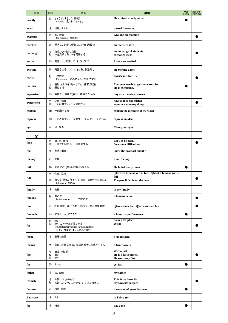| 単語           | 品詞          | 意味                                                                                   | 用例                                                         | 単語<br>を追加 | 品詞·意味·<br>用例を追加 |
|--------------|-------------|--------------------------------------------------------------------------------------|------------------------------------------------------------|-----------|-----------------|
| exactly      | 副           | ちょうど、まさしく、正確に<br>Exactly. 全くそのとおり。                                                   | He arrived exactly at ten.                                 |           |                 |
| exam         | 名           | 試験、テスト                                                                               | passed the exam                                            |           |                 |
| example      | 名           | 例、実例<br>for example 例えば                                                              | Give me an example.                                        |           |                 |
| excellent    | 形           | 優秀な、非常に優れた、(評点が)優の                                                                   | an excellent idea                                          |           |                 |
| exchange     | 名<br>動      | 交流、やりとり、交換<br>~を交換する、~を両替する                                                          | an exchange of students<br>exchange ideas                  |           |                 |
| excited      | 形           | 興奮した、興奮して、わくわくして                                                                     | I was very excited.                                        |           |                 |
| exciting     | 形           | 興奮させる、わくわくさせる、刺激的な                                                                   | an exciting game                                           |           |                 |
| excuse       | 動           | ~を許す<br>Excuse me. すみません。失礼ですが。                                                      | Excuse me, but $\sim$ .                                    |           |                 |
| exercise     | 名<br>動      | 運動、(身体を)動かすこと、練習(問題)<br>運動する                                                         | Everyone needs to get some exercise.<br>He is exercising.  |           |                 |
| expensive    | 形           | 高価な、(値段が)高い、費用のかかる                                                                   | buy an expensive camera                                    |           |                 |
| experience   | 名<br>動      | 経験、体験<br>~を経験する、~を体験する                                                               | have a good experience<br>experienced many things          |           |                 |
| explain      | 動           | ~を説明する                                                                               | explain the meaning of the word                            |           |                 |
| express      | 動           | ~を表現する、~を表す、~を示す、~を述べる                                                               | express an idea                                            |           |                 |
| eye          | 名           | 目、視力                                                                                 | Close your eyes.                                           |           |                 |
| $\mathbf{f}$ |             |                                                                                      |                                                            |           |                 |
| face         | 名<br>動      | 顔、面、表情<br>~に立ち向かう、~に直面する                                                             | Look at his face.<br>face some difficulties                |           |                 |
| fact         | 名           | 事実、現実                                                                                | know the real fact about $\sim$                            |           |                 |
| factory      | 名           | 工場                                                                                   | a car factory                                              |           |                 |
| fail         | 動           | 失敗する、(学科・試験に)落ちる                                                                     | He failed many times.                                      |           |                 |
|              | 名           | ①秋 ②滝                                                                                | (DLeaves become red in fall. (2) visit a famous water      |           |                 |
| fall         | 動           | 落ちる、降る、落下する、転ぶ 《活用》fell-fallen<br>fall down 倒れる                                      | fall<br>The pencil fell from the desk.                     |           |                 |
| family       | 名           | 家族                                                                                   | in my family                                               |           |                 |
| famous       | 形           | 有名な<br>be famous for ~ ~で有名な                                                         | a famous actor                                             |           |                 |
| fan          | 名           | ①扇風機、扇、うちわ ②ファン、熱心な愛好者                                                               | <b>Oan electric fan <i>Qa</i></b> basketball fan           |           |                 |
| fantastic    | 形           | すばらしい、すてきな                                                                           | a fantastic performance                                    |           |                 |
| far          | 形<br>副      | 遠い<br>遠くに、~の及ぶ限りでは<br>《活用》farther/further-farthest/furthest<br>so far 今まで(は)、これまで(は) | from a far place<br>go far                                 |           |                 |
| farm         | 名           | 農場、農園                                                                                | a small farm                                               |           |                 |
| farmer       | 名           | 農民、農業従事者、農場経営者、農業をする人                                                                | a fruit farmer                                             |           |                 |
| fast         | 名<br>形<br>副 | 断食(の期間)<br>速い<br>速く                                                                  | start a fast<br>He is a fast runner.<br>He runs very fast. |           |                 |
| fat          | 形           | 太った                                                                                  | get fat                                                    |           |                 |
| father       | 名           | 父、父親                                                                                 | my father                                                  |           |                 |
| favorite     | 名<br>形      | お気に入り(のもの)<br>お気に入りの、大好きな、いちばん好きな                                                    | This is my favorite.<br>my favorite subject                |           |                 |
| feature      | 名           | 特色、特徴                                                                                | have a lot of great features                               |           |                 |
| February     | 名           | 2月                                                                                   | in February                                                |           |                 |
| fee          | 名           | 料金                                                                                   | pay a fee                                                  |           |                 |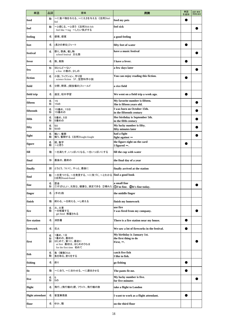| 単語               | 品詞          | 意味                                                                                   | 用例                                                                      | 単語<br>を追加 | 品詞·意味·<br>用例を追加 |
|------------------|-------------|--------------------------------------------------------------------------------------|-------------------------------------------------------------------------|-----------|-----------------|
| feed             | 動           | ~に食べ物を与える、~にえさを与える《活用》fed-<br>fed                                                    | feed my pets                                                            |           |                 |
| feel             | 動           | ~と感じる、~と思う 《活用》felt-felt<br>feel like ~ing ~したい気がする                                  | feel sick                                                               |           |                 |
| feeling          | 名           | 感情、感覚                                                                                | a good feeling                                                          |           |                 |
| feet             | 名           | (長さの単位)フィート                                                                          | fifty feet of water                                                     |           |                 |
| festival         | 名           | 祭り、祭典、催し物<br>school festival 文化祭                                                     | have a music festival                                                   |           |                 |
| fever            | 名           | 熱、発熱                                                                                 | I have a fever.                                                         |           |                 |
| few              | 形           | ほとんど~ない<br>a few 小数の、少しの                                                             | a few days later                                                        |           |                 |
| fiction          | 名           | 小説、フィクション、作り話<br>science fiction SF、空想科学小説                                           | You can enjoy reading this fiction.                                     |           |                 |
| field            | 名           | 分野、野原、(競技場の)フィールド                                                                    | a rice field                                                            |           |                 |
| field trip       | 名           | 遠足、校外学習                                                                              | We went on a field trip a week ago.                                     |           |                 |
| fifteen          | 名<br>形      | 15<br>15の                                                                            | My favorite number is fifteen.<br>She is fifteen years old.             |           |                 |
| fifteenth        | 名<br>形      | 15番め、15日<br>15番めの                                                                    | I was born on October 15th.<br>in the fifteenth century                 |           |                 |
| fifth            | 名<br>形      | 5番め、5日<br>5番めの                                                                       | Her birthday is September 5th.<br>in the fifth century                  |           |                 |
| fifty            | 名<br>形      | 50<br>50の                                                                            | My lucky number is fifty.<br>fifty minutes later                        |           |                 |
| fight            | 名<br>動      | 戦い、奮闘<br>戦う、奮闘する《活用》fought-fought                                                    | had a fight                                                             |           |                 |
| figure           | 名<br>動      | 図、数字<br>~と思う                                                                         | fight against $\sim$<br>the figure eight on the card                    |           |                 |
| fill             | 動           | ~を満たす、いっぱいになる、~をいっぱいにする                                                              | I figured $\sim$ .<br>fill the cup with water                           |           |                 |
| final            | 形           | 最後の、最終の                                                                              | the final day of a year                                                 |           |                 |
| finally          | 副           | とうとう、ついに、やっと、最後に                                                                     | finally arrived at the station                                          |           |                 |
| find             | 動           | ~を見つける、~を発見する、~に気づく、~とわかる<br>《活用》found-found                                         | find a good book                                                        |           |                 |
| fine             | 名<br>形      | 罰金<br>①すばらしい、元気な、健康な、満足できる ②晴れた  ①I'm fine. ②It's fine today.                        | a small fine                                                            |           |                 |
| finger           | 名           | (手の)指                                                                                | the middle finger                                                       |           |                 |
| finish           | 動           | 終わる、~を終える、~し終える                                                                      | finish my homework                                                      |           |                 |
| fire             | 名<br>動      | 火、火事<br>~を解雇する<br>get fired 解雇される                                                    | use fire<br>I was fired from my company.                                |           |                 |
| fire station     | 名           | 消防署                                                                                  | There is a fire station near my house.                                  |           |                 |
| firework         | 名           | 花火                                                                                   | We saw a lot of fireworks in the festival.                              |           |                 |
| first            | 名<br>形<br>副 | 1番め、1日<br>1番めの、最初の<br>はじめて、第1に、最初に<br>at first 最初は、はじめのうちは<br>for the first time 初めて | My birthday is January 1st.<br>the first thing to do<br>First, $\sim$ . |           |                 |
| fish             | 名<br>動      | 魚 《複数》fish<br>魚を取る、釣りをする                                                             | catch five fish<br>I like to fish.                                      |           |                 |
| fishing          | 名           | 釣り                                                                                   | go fishing                                                              |           |                 |
| fit              | 動           | ~に合う、~に合わせる、~に適合させる                                                                  | The pants fit me.                                                       |           |                 |
| five             | 名<br>形      | 5<br>5の                                                                              | My lucky number is five.<br>for five minutes                            |           |                 |
| flight           | 名           | 飛行、(飛行機の)便、フライト、飛行機の旅                                                                | take a flight to London                                                 |           |                 |
| flight attendant | 名           | 客室乗務員                                                                                | I want to work as a flight attendant.                                   |           |                 |
| floor            | 名           | ゆか、階                                                                                 | on the third floor                                                      |           |                 |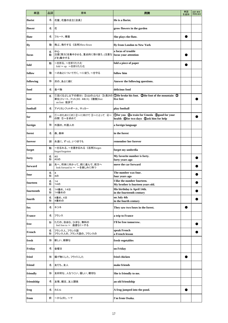| 単語            | 品詞     | 意味                                                               | 用例                                                                                        | 単語<br>を追加 | 品詞·意味·<br>用例を追加 |
|---------------|--------|------------------------------------------------------------------|-------------------------------------------------------------------------------------------|-----------|-----------------|
| florist       | 名      | 花屋、花屋の店主〔店員〕                                                     | He is a florist.                                                                          |           |                 |
| flower        | 名      | 花                                                                | grow flowers in the garden                                                                |           |                 |
| flute         | 名      | フルート、横笛                                                          | She plays the flute.                                                                      |           |                 |
| fly           | 動      | 飛ぶ、飛行する《活用》flew-flown                                            | fly from London to New York                                                               |           |                 |
| focus         | 名<br>動 | 中心<br>注意〔努力〕を集中させる、重点的に取り扱う、(注意な focus your attention<br>どを)集中する | a focus of trouble                                                                        |           |                 |
| fold          | 動      | ~を折る、~を折りたたむ<br>fold ~ up ~を折りたたむ                                | fold a piece of paper                                                                     |           |                 |
| follow        | 動      | ~のあとについて行く、~に従う、~を守る                                             | follow him                                                                                |           |                 |
| following     | 形      | 次の、あとに続く                                                         | Answer the following questions.                                                           |           |                 |
| food          | 名      | 食べ物                                                              | delicious food                                                                            |           |                 |
| foot          | 名      | 単位)フィート、フット(30. 48cm) 《複数》feet<br>on foot 徒歩で                    | ①足(くるぶし以下の部分) 2(山の)ふもと 3(長さの 1He broke his foot. 2the foot of the mountain 3<br>five feet |           |                 |
| football      | 名      | アメリカンフットボール、サッカー                                                 | play football                                                                             |           |                 |
| for           | 前      | ①~のために〔の〕 ②~に向けて ③~にとって ④~<br>の間 5~を求めて                          | Ofor you 2a train for Umeda 3good for your<br>health @for two days 5ask him for help      |           |                 |
| foreign       | 形      | 外国の、外国人の                                                         | a foreign language                                                                        |           |                 |
| forest        | 名      | 森、森林                                                             | in the forest                                                                             |           |                 |
| forever       | 副      | 永遠に、ずっと、いつまでも                                                    | remember her forever                                                                      |           |                 |
| forget        | 動      | ~を忘れる、~を置き忘れる 《活用》forgot-<br>forgot/forgotten                    | forget my umbrella                                                                        |           |                 |
| forty         | 名<br>形 | 40<br>40の                                                        | My favorite number is forty.<br>forty years ago                                           |           |                 |
| forward       | 副      | 先へ、将来に向かって、前に進んで、前方へ<br>look forward to ~ ~を楽しみに待つ               | move the car forward                                                                      |           |                 |
| four          | 名<br>形 | 4<br>4の                                                          | The number was four.<br>four years ago                                                    |           |                 |
| fourteen      | 名<br>形 | 14<br>14の                                                        | I like the number fourteen.<br>My brother is fourteen years old.                          |           |                 |
| fourteenth    | 名<br>形 | 14番め、14日<br>14番めの                                                | His birthday is April 14th.<br>in the fourteenth century                                  |           |                 |
| fourth        | 名<br>形 | 4番め、4日<br>4番めの                                                   | on July 4th<br>in the fourth century                                                      |           |                 |
| fox           | 名      | キツネ                                                              | They saw two foxes in the forest.                                                         |           |                 |
| <b>France</b> | 名      | フランス                                                             | a trip to France                                                                          |           |                 |
| free          | 形      | ただの、自由な、ひまな、無料の<br>feel free to ~ 遠慮なく~する                        | I'll be free tomorrow.                                                                    |           |                 |
| French        | 名<br>形 | フランス人、フランス語<br>フランス人の、フランス語の、フランスの                               | speak French<br>a French lesson                                                           |           |                 |
| fresh         | 形      | 新しい、新鮮な                                                          | fresh vegetables                                                                          |           |                 |
| Friday        | 名      | 金曜日                                                              | on Friday                                                                                 |           |                 |
| fried         | 形      | 揚げ物にした、フライにした                                                    | fried chicken                                                                             |           |                 |
| friend        | 名      | 友だち、友人                                                           | make friends                                                                              |           |                 |
| friendly      | 形      | 友好的な、人なつこい、優しい、親切な                                               | She is friendly to me.                                                                    |           |                 |
| friendship    | 名      | 友情、親交、友人関係                                                       | an old friendship                                                                         |           |                 |
| frog          | 名      | カエル                                                              | A frog jumped into the pond.                                                              |           |                 |
| from          | 前      | ~から(の)、~で                                                        | I'm from Osaka.                                                                           |           |                 |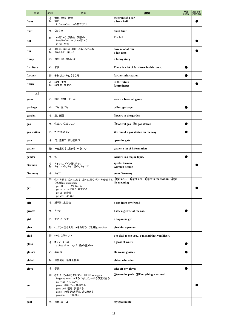| 単語             | 品詞     | 意味                                                                                                                                                                | 用例                                                                                    | 単語<br>を追加 | 品詞·意味·<br>用例を追加 |
|----------------|--------|-------------------------------------------------------------------------------------------------------------------------------------------------------------------|---------------------------------------------------------------------------------------|-----------|-----------------|
| front          | 名<br>形 | 前部、前面、前方<br>前の<br>in front of $\sim \sim$ の前で[に]                                                                                                                  | the front of a car<br>a front hall                                                    |           |                 |
| fruit          | 名      | くだもの                                                                                                                                                              | fresh fruit                                                                           |           |                 |
| full           | 形      | いっぱいの、満ちた、満腹の<br>be full of ~ ~ でいっぱいの<br>in full 全部                                                                                                              | I'm full.                                                                             |           |                 |
| fun            | 名<br>形 | 楽しみ、楽しさ、喜び、おもしろいもの<br>おもしろい、楽しい                                                                                                                                   | have a lot of fun<br>a fun time                                                       |           |                 |
| funny          | 形      | おかしな、おもしろい                                                                                                                                                        | a funny story                                                                         |           |                 |
| furniture      | 名      | 家具                                                                                                                                                                | There is a lot of furniture in this room.                                             |           |                 |
| further        | 形      | それ以上(の)、さらなる                                                                                                                                                      | further information                                                                   |           |                 |
| future         | 名<br>形 | 将来、未来<br>将来の、未来の                                                                                                                                                  | in the future<br>future hopes                                                         |           |                 |
| [g]            |        |                                                                                                                                                                   |                                                                                       |           |                 |
| game           | 名      | 試合、競技、ゲーム                                                                                                                                                         | watch a baseball game                                                                 |           |                 |
| garbage        | 名      | ごみ、生ごみ                                                                                                                                                            | collect garbage                                                                       |           |                 |
| garden         | 名      | 庭、庭園                                                                                                                                                              | flowers in the garden                                                                 |           |                 |
| gas            | 名      | ①ガス ②ガソリン                                                                                                                                                         | <b>Onatural gas</b> 2a gas station                                                    |           |                 |
| gas station    | 名      | ガソリンスタンド                                                                                                                                                          | We found a gas station on the way.                                                    |           |                 |
| gate           | 名      | 門、通用門、扉、搭乗口                                                                                                                                                       | open the gate                                                                         |           |                 |
| gather         | 動      | ~を集める、集まる、~をつむ                                                                                                                                                    | gather a lot of information                                                           |           |                 |
| gender         | 名      | 性                                                                                                                                                                 | Gender is a major topic.                                                              |           |                 |
| German         | 名<br>形 | ドイツ人、ドイツ語、ドイツ<br>ドイツ人の、ドイツ語の、ドイツの                                                                                                                                 | speak German<br>German people                                                         |           |                 |
| <b>Germany</b> | 名      | ドイツ                                                                                                                                                               | go to Germany                                                                         |           |                 |
| get            | 動      | 《活用》got-got/gotten<br>get off ~ ~ から降りる<br>get to ~ ~に着く、到着する<br>get up 起きる<br>get well よくなる                                                                      | ①~を得る ②~になる ③~に着く ④~を理解する ①get a CD ②get sick ③get to the station ④get<br>his meaning |           |                 |
| gift           | 名      | 贈り物、土産物                                                                                                                                                           | a gift from my friend                                                                 |           |                 |
| giraffe        | 名      | キリン                                                                                                                                                               | I saw a giraffe at the zoo.                                                           |           |                 |
| girl           | 名      | 女の子、少女                                                                                                                                                            | a Japanese girl                                                                       |           |                 |
| give           | 動      | (に)~を与える、~をあげる《活用》gave-given                                                                                                                                      | give him a present                                                                    |           |                 |
| glad           | 形      | (~して)うれしい                                                                                                                                                         | I'm glad to see you. / I'm glad that you like it.                                     |           |                 |
| glass          | 名      | コップ、グラス<br>a glass of ~ コップ1杯(の量)の~                                                                                                                               | a glass of water                                                                      |           |                 |
| glasses        | 名      | めがね                                                                                                                                                               | He wears glasses.                                                                     |           |                 |
| global         | 形      | 世界的な、地球全体の                                                                                                                                                        | global education                                                                      |           |                 |
| glove          | 名      | 手袋                                                                                                                                                                | take off my gloves                                                                    |           |                 |
| go             | 動      | ①行く ②(事が)進行する《活用》went-gone<br>be going to ~ ~するつもりだ、~する予定である<br>go ~ing ~しにいく<br>go out 出かける、外出する<br>go to bed 寝る、就寝する<br>go by (時間が)過ぎる、通り過ぎる<br>go on to ~ ~に移る | Ogo to the park 2Everything went well.                                                |           |                 |
| goal           | 名      | 目標、ゴール                                                                                                                                                            | my goal in life                                                                       |           |                 |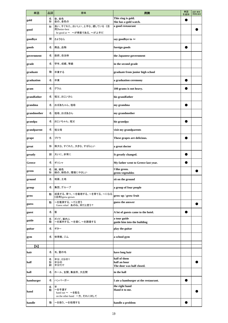| 単語          | 品詞          | 意味                                                                      | 用例                                                        | 単語<br>を追加 | 品詞·意味·<br>用例を追加 |
|-------------|-------------|-------------------------------------------------------------------------|-----------------------------------------------------------|-----------|-----------------|
| gold        | 名<br>形      | 金、金色<br>金の、金色の                                                          | This ring is gold.<br>She has a gold watch.               |           |                 |
| good        | 形           | 良い、すぐれた、おいしい、上手な、適している《活<br>用》better-best<br>be good at ~ ~が得意である、~が上手だ | a good restaurant                                         |           |                 |
| goodbye     | 間           | さようなら                                                                   | say goodbye to $\sim$                                     |           |                 |
| goods       | 名           | 商品、品物                                                                   | foreign goods                                             |           |                 |
| government  | 名           | 政府、自治体                                                                  | the Japanese government                                   |           |                 |
| grade       | 名           | 学年、成績、等級                                                                | in the second grade                                       |           |                 |
| graduate    | 動           | 卒業する                                                                    | graduate from junior high school                          |           |                 |
| graduation  | 名           | 卒業                                                                      | a graduation ceremony                                     |           |                 |
| gram        | 名           | グラム                                                                     | 100 grams is not heavy.                                   |           |                 |
| grandfather | 名           | 祖父、おじいさん                                                                | his grandfather                                           |           |                 |
| grandma     | 名           | おばあちゃん、祖母                                                               | my grandma                                                |           |                 |
| grandmother | 名           | 祖母、おばあさん                                                                | my grandmother                                            |           |                 |
| grandpa     | 名           | おじいちゃん、祖父                                                               | his grandpa                                               |           |                 |
| grandparent | 名           | 祖父母                                                                     | visit my grandparents                                     |           |                 |
| grape       | 名           | ブドウ                                                                     | These grapes are delicious.                               |           |                 |
| great       | 形           | 偉大な、すぐれた、大きな、すばらしい                                                      | a great doctor                                            |           |                 |
| greatly     | 副           | 大いに、非常に                                                                 | It greatly changed.                                       |           |                 |
| Greece      | 名           | ギリシャ                                                                    | My father went to Greece last year.                       |           |                 |
| green       | 名<br>形      | 緑、緑色<br>緑の、緑色の、環境にやさしい                                                  | I like green.<br>green vegetables                         |           |                 |
| ground      | 名           | 地面、土地                                                                   | sit on the ground                                         |           |                 |
| group       | 名           | 集団、グループ                                                                 | a group of four people                                    |           |                 |
| grow        | 動           | 成長する、育つ、〜を栽培する、〜を育てる、〜になる<br>《活用》grew-grown                             | grow up / grow fruit                                      |           |                 |
| guess       | 動           | ~を推測する、~だと思う<br>Guess what! あのね、何だと思う?                                  | guess the answer                                          |           |                 |
| guest       | 名           | 客                                                                       | A lot of guests came to the hotel.                        |           |                 |
| guide       | 名<br>動      | ガイド、案内人<br>~を案内する、~を導く、~を誘導する                                           | a tour guide<br>guide him into the building               |           |                 |
| guitar      | 名           | ギター                                                                     | play the guitar                                           |           |                 |
| gym         | 名           | 体育館、ジム                                                                  | a school gym                                              |           |                 |
| [h]         |             |                                                                         |                                                           |           |                 |
| hair        | 名           | 毛、髪の毛                                                                   | have long hair                                            |           |                 |
| half        | 名<br>形<br>副 | 半分、2分の1<br>半分の<br>半分だけ                                                  | half of them<br>half an hour<br>The door was half closed. |           |                 |
| hall        | 名           | ホール、玄関、集会所、大広間                                                          | in the hall                                               |           |                 |
| hamburger   | 名           | ハンバーガー                                                                  | I ate a hamburger at the restaurant.                      |           |                 |
| hand        | 名<br>動      | 手<br>~を手渡す<br>hand out ~ ~を配る<br>on the other hand 一方、それに対して            | the right hand<br>Hand it to me.                          |           |                 |
| handle      | 動           | ~を扱う、~を処理する                                                             | handle a problem                                          |           |                 |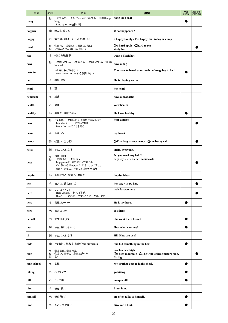| 単語          | 品詞          | 意味                                                                                                           | 用例                                                                               | 単語<br>を追加 | 品詞・意味・<br>用例を追加 |
|-------------|-------------|--------------------------------------------------------------------------------------------------------------|----------------------------------------------------------------------------------|-----------|-----------------|
| hang        | 動           | ~をつるす、~を掛ける、ぶらぶらする《活用》hung-<br>hung<br>hang up ~ ~を掛ける                                                       | hang up a coat                                                                   |           |                 |
| happen      | 動           | 起こる、生じる                                                                                                      | <b>What happened?</b>                                                            |           |                 |
| happy       | 形           | 幸せな、楽しい、(~して)うれしい                                                                                            | a happy family / I'm happy that today is sunny.                                  |           |                 |
| hard        | 形<br>副      | ①かたい ②難しい、困難な、苦しい<br>いっしょうけんめいに、熱心に                                                                          | <b>1</b> Oa hard apple 2hard to see<br>study hard                                |           |                 |
| hat         | 名           | (縁のある)帽子                                                                                                     | wear a black hat                                                                 |           |                 |
| have        | 動           | ~を持っている、~を食べる、~を飼っている《活用》<br>had-had                                                                         | have a dog                                                                       |           |                 |
| have to     |             | ~しなければならない<br>don't have to ~ ~する必要はない                                                                       | You have to brush your teeth before going to bed.                                |           |                 |
| he          | 代           | 彼は、彼が                                                                                                        | He is playing soccer.                                                            |           |                 |
| head        | 名           | 頭                                                                                                            | her head                                                                         |           |                 |
| headache    | 名           | 頭痛                                                                                                           | have a headache                                                                  |           |                 |
| health      | 名           | 健康                                                                                                           | vour health                                                                      |           |                 |
| healthy     | 形           | 健康な、健康によい                                                                                                    | He looks healthy.                                                                |           |                 |
| hear        | 動           | ~を聞く、~が聞こえる《活用》heard-heard<br>hear about ~ ~について聞く<br>hear of ~ ~のことを聞く                                      | hear a noise                                                                     |           |                 |
| heart       | 名           | 心臓、心                                                                                                         | my heart                                                                         |           |                 |
| heavy       | 形           | ①重い ②ひどい                                                                                                     | <b>OThat bag is very heavy. 2the heavy rain</b>                                  |           |                 |
| hello       | 間           | やぁ、こんにちは                                                                                                     | Hello, everyone.                                                                 |           |                 |
| help        | 名<br>動      | 援助、助け<br>~を助ける、~を手伝う<br>help yourself 自由にとって食べる<br>Can [May] I help you? いらっしゃいませ。<br>help ~ with  ~がするのを手伝う | Do you need any help?<br>help my sister do her homework                          |           |                 |
| helpful     | 形           | 助けになる、役立つ、有用な                                                                                                | helpful ideas                                                                    |           |                 |
| her         | 代           | 彼女の、彼女を[に]                                                                                                   | her bag / I saw her.                                                             |           |                 |
| here        | 副           | ここに[へ・で]<br>Here you are. はい、どうぞ。<br>Here's ~. これが~です。ここに~があります。                                             | wait for you here                                                                |           |                 |
| hero        | 名           | 英雄、ヒーロー                                                                                                      | He is my hero.                                                                   |           |                 |
| hers        | 代           | 彼女のもの                                                                                                        | It is hers.                                                                      |           |                 |
| herself     | 代           | 彼女自身(で)                                                                                                      | She went there herself.                                                          |           |                 |
| hey         | 間           | やぁ、おい、ちょっと                                                                                                   | Hey, what's wrong?                                                               |           |                 |
| hi          | 間           | やぁ、こんにちは                                                                                                     | Hi! How are you?                                                                 |           |                 |
| hide        | 動           | ~を隠す、隠れる《活用》hid-hid/hidden                                                                                   | She hid something in the box.                                                    |           |                 |
| high        | 名<br>形<br>副 | 最高気温、最高水準<br>①高い、高等の ②高さが~の<br>高く                                                                            | reach a new high<br>Da high mountain 2The wall is three meters high.<br>fly high |           |                 |
| high school | 名           | 高校                                                                                                           | My brother goes to high school.                                                  |           |                 |
| hiking      | 名           | ハイキング                                                                                                        | go hiking                                                                        |           |                 |
| hill        | 名           | 丘、小山                                                                                                         | go up a hill                                                                     |           |                 |
| him         | 代           | 彼を、彼に                                                                                                        | I met him.                                                                       |           |                 |
| himself     | 代           | 彼自身(で)                                                                                                       | He often talks to himself.                                                       |           |                 |
| hint        | 名           | ヒント、手がかり                                                                                                     | Give me a hint.                                                                  |           |                 |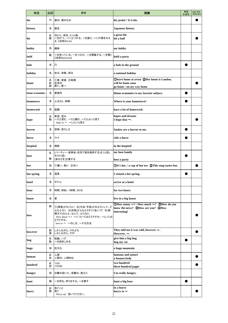| 単語             | 品詞          | 意味                                                                                                                                                  | 用例                                                                                                      | 単語<br>を追加 | 品詞·意味·<br>用例を追加 |
|----------------|-------------|-----------------------------------------------------------------------------------------------------------------------------------------------------|---------------------------------------------------------------------------------------------------------|-----------|-----------------|
| his            | 代           | 彼の、彼のもの                                                                                                                                             | his jacket / It is his.                                                                                 |           |                 |
| history        | 名           | 歴史                                                                                                                                                  | <b>Japanese history</b>                                                                                 |           |                 |
| hit            | 名<br>動      | 当たり、成功、ヒット曲<br>~を打つ、~にぶつかる、~を襲う、~に打撃を与え<br>る《活用》hit-hit                                                                                             | a great hit<br>hit a ball                                                                               |           |                 |
| hobby          | 名           | 趣味                                                                                                                                                  | my hobby                                                                                                |           |                 |
| hold           | 動           | ~を持っている、~をつかむ、~を開催する、~を開く<br>《活用》held-held                                                                                                          | hold a party                                                                                            |           |                 |
| hole           | 名           | 穴                                                                                                                                                   | a hole in the ground                                                                                    |           |                 |
| holiday        | 名           | 休日、休暇、祝日                                                                                                                                            | a national holiday                                                                                      |           |                 |
| home           | 名<br>形<br>副 | ①家、家庭 ②故郷<br>在宅の<br>家に、家へ                                                                                                                           | Oleave home at seven 2Her home is London.<br>will be home soon<br>go home / on my way home              |           |                 |
| home economics | 名           | 家庭科                                                                                                                                                 | Home economics is my favorite subject.                                                                  |           |                 |
| hometown       | 名           | ふるさと、故郷                                                                                                                                             | Where is your hometown?                                                                                 |           |                 |
| homework       | 名           | 宿題                                                                                                                                                  | have a lot of homework                                                                                  |           |                 |
| hope           | 名<br>動      | 希望、望み<br>~だと望む、~だと願う、~だとよいと思う<br>hope to ~ ~したいと思う                                                                                                  | hopes and dreams<br>I hope that $\sim$ .                                                                |           |                 |
| horror         | 名           | 恐怖、恐ろしさ                                                                                                                                             | Snakes are a horror to me.                                                                              |           |                 |
| horse          | 名           | ウマ                                                                                                                                                  | ride a horse                                                                                            |           |                 |
| hospital       | 名           | 病院                                                                                                                                                  | in the hospital                                                                                         |           |                 |
| host           | 名<br>動      | (パーティー・食事会・自宅で客を接待する)主人(役)、<br>ホスト(役)<br>(会などを)主催する                                                                                                 | my host family<br>host a party                                                                          |           |                 |
| hot            | 形           | ①暑い、熱い ②辛い                                                                                                                                          | OIt's hot. / a cup of hot tea QThis soup tastes hot.                                                    |           |                 |
| hot spring     | 名           | 温泉                                                                                                                                                  | I visited a hot spring.                                                                                 |           |                 |
| hotel          | 名           | ホテル                                                                                                                                                 | arrive at a hotel                                                                                       |           |                 |
| hour           | 名           | 時間、時刻、1時間、60分                                                                                                                                       | for two hours                                                                                           |           |                 |
| house          | 名           | 家                                                                                                                                                   | live in a big house                                                                                     |           |                 |
| how            | 副           | ①(程度)どれくらい ②(方法・手段)どのようにして、ど<br>んなふうに ③(状態)どんなようす〔ぐあい〕で 4(感<br>嘆文で)なんと、なんて、どんなに<br>How about ~? ~についてはどうですか。~(して)は<br>どうですか。<br>how to ~ ~のし方、~する方法 | ①How many $\sim$ ? / How much $\sim$ ? ②How do you<br>know the news? 3How are you? 4How<br>interesting! |           |                 |
| however        | 副<br>接      | しかしながら、けれども<br>しかしながら、だが                                                                                                                            | They told me it was cold, however $\sim$ .<br>However, $\sim$ .                                         |           |                 |
| hug            | 名<br>動      | 抱擁、ハグ<br>~を抱きしめる                                                                                                                                    | give him a big hug<br>hug my cat                                                                        |           |                 |
| huge           | 形           | 巨大な                                                                                                                                                 | a huge mountain                                                                                         |           |                 |
| human          | 名<br>形      | 人間<br>人間の、人間的な                                                                                                                                      | humans and nature<br>a human body                                                                       |           |                 |
| hundred        | 名<br>形      | 100<br>100の                                                                                                                                         | two hundred<br>three hundred pages                                                                      |           |                 |
| hungry         | 形           | お腹の空いた、空腹の、飢えた                                                                                                                                      | I'm really hungry.                                                                                      |           |                 |
| hunt           | 動           | ~を狩る、狩りをする、~を捜す                                                                                                                                     | hunt a big bear                                                                                         |           |                 |
| hurry          | 名<br>動      | 急ぐこと<br>急ぐ<br>Hurry up! 急いでください。                                                                                                                    | in a hurry<br>hurry to $\sim$                                                                           |           |                 |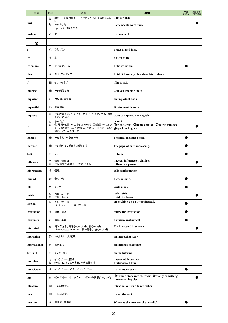| 単語               | 品詞     | 意味                                                                                   | 用例                                                                                            | 単語<br>を追加 | 品詞·意味·<br>用例を追加 |
|------------------|--------|--------------------------------------------------------------------------------------|-----------------------------------------------------------------------------------------------|-----------|-----------------|
|                  | 動      | 痛む、~を傷つける、~にけがをさせる《活用》hurt-                                                          | hurt my arm                                                                                   |           |                 |
| hurt             | 形      | hurt<br>けがをした<br>get hurt けがをする                                                      | Some people were hurt.                                                                        |           |                 |
| husband          | 名      | 夫                                                                                    | my husband                                                                                    |           |                 |
| $\overline{[i]}$ |        |                                                                                      |                                                                                               |           |                 |
| I                | 代      | 私は、私が                                                                                | I have a good idea.                                                                           |           |                 |
| ice              | 名      | 氷                                                                                    | a piece of ice                                                                                |           |                 |
| ice cream        | 名      | アイスクリーム                                                                              | I like ice cream.                                                                             |           |                 |
| idea             | 名      | 考え、アイディア                                                                             | I didn't have any idea about his problem.                                                     |           |                 |
| if               | 接      | もし~ならば                                                                               | if he is sick                                                                                 |           |                 |
| imagine          | 動      | ~を想像する                                                                               | Can you imagine that?                                                                         |           |                 |
| important        | 形      | 大切な、重要な                                                                              | an important book                                                                             |           |                 |
| impossible       | 形      | 不可能な                                                                                 | It is impossible to $\sim$ .                                                                  |           |                 |
| improve          | 動      | ~を改善する、~を上達させる、~を向上させる、進歩<br>する、よくなる                                                 | want to improve my English                                                                    |           |                 |
| in               | 副<br>前 | 中へ〔に〕<br>①(場所・位置)~(の中)に〔で・の〕 ②(範囲)~におい<br>て ③(時間)~に、~の間に、~後に ④(方法・道具・<br>材料)~で、~を使って | come in<br><b>Oin the street Qin my opinion Gin five minutes</b><br><b>4</b> Speak in English |           |                 |
| include          | 動      | ~を含む、~を含める                                                                           | The meal includes coffee.                                                                     |           |                 |
| increase         | 動      | ~を増やす、増える、増加する                                                                       | The population is increasing.                                                                 |           |                 |
| India            | 名      | インド                                                                                  | in India                                                                                      |           |                 |
| influence        | 名<br>動 | 影響、影響力<br>~に影響を及ぼす、~を感化する                                                            | have an influence on children<br>influence a person                                           |           |                 |
| information      | 名      | 情報                                                                                   | collect information                                                                           |           |                 |
| injured          | 形      | 傷ついた                                                                                 | I was injured.                                                                                |           |                 |
| ink              | 名      | インク                                                                                  | write in ink                                                                                  |           |                 |
| inside           | 副<br>前 | 内側に、中で<br>~の中に〔で〕                                                                    | look inside<br>inside the house                                                               |           |                 |
| instead          | 副      | その代わりに<br>instead of ~ ~の代わりに                                                        | He couldn't go, so I went instead.                                                            |           |                 |
| instruction      | 名      | 指示、指図                                                                                | follow the instruction                                                                        |           |                 |
| instrument       | 名      | 道具、楽器                                                                                | a musical instrument                                                                          |           |                 |
| interested       | 形      | 興味がある、興味をもっている、関心がある<br>be interested in ~ ~に興味[関心]をもっている                            | I'm interested in science.                                                                    |           |                 |
| interesting      | 形      | おもしろい、興味深い                                                                           | an interesting story                                                                          |           |                 |
| international    | 形      | 国際的な                                                                                 | an international flight                                                                       |           |                 |
| Internet         | 名      | インターネット                                                                              | on the Internet                                                                               |           |                 |
| interview        | 名<br>動 | インタビュー、面接<br>(~に)インタビューする、~を面接する                                                     | have a job interview<br>I interviewed him.                                                    |           |                 |
| interviewer      | 名      | インタビューする人、インタビュアー                                                                    | many interviewers                                                                             |           |                 |
| into             | 前      | ①~の中へ、中に向かって ②~(の状態)に(なって)                                                           | Othrow a stone into the river 2change something<br>into something else                        |           |                 |
| introduce        | 動      | ~を紹介する                                                                               | introduce a friend to my father                                                               |           |                 |
| invent           | 動      | ~を発明する                                                                               | invent the radio                                                                              |           |                 |
| inventor         | 名      | 発明家、発明者                                                                              | Who was the inventor of the radio?                                                            |           |                 |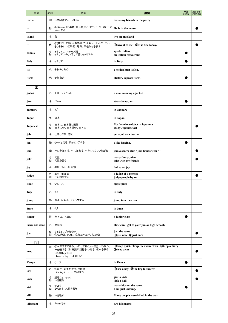| 単語                      | 品詞     | 意味                                                                                         | 用例                                                                                     | 単語<br>を追加 | 品詞·意味·<br>用例を追加 |
|-------------------------|--------|--------------------------------------------------------------------------------------------|----------------------------------------------------------------------------------------|-----------|-----------------|
| invite                  | 動      | ~を招待する、~を招く                                                                                | invite my friends to the party                                                         |           |                 |
| is                      | 動      | (beの三人称·単数·現在形)①~です、~だ ②(~に)<br>いる、ある                                                      | He is in the house.                                                                    |           |                 |
| island                  | 名      | 島                                                                                          | live on an island                                                                      |           |                 |
| it                      | 代      | ①(前に出てきたものをさして)それは、それが、それ<br>を、それに 2時間、曜日、天候などを表す                                          | ①Give it to me. ②It is fine today.                                                     |           |                 |
| <b>Italian</b>          | 名<br>形 | イタリア人、イタリア語<br>イタリア人の、イタリア語、イタリアの                                                          | speak Italian<br>an Italian restaurant                                                 |           |                 |
| <b>Italy</b>            | 名      | イタリア                                                                                       | in Italy                                                                               |           |                 |
| its                     | 代      | それの、その                                                                                     | The dog hurt its leg.                                                                  |           |                 |
| itself                  | 代      | それ自身                                                                                       | History repeats itself.                                                                |           |                 |
| (i)                     |        |                                                                                            |                                                                                        |           |                 |
| jacket                  | 名      | 上着、ジャケット                                                                                   | a man wearing a jacket                                                                 |           |                 |
| jam                     | 名      | ジャム                                                                                        | strawberry jam                                                                         |           |                 |
| <b>January</b>          | 名      | 1月                                                                                         | in January                                                                             |           |                 |
| Japan                   | 名      | 日本                                                                                         | in Japan                                                                               |           |                 |
| <b>Japanese</b>         | 名<br>形 | 日本人、日本語、国語<br>日本人の、日本語の、日本の                                                                | My favorite subject is Japanese.<br>study Japanese art                                 |           |                 |
| job                     | 名      | 仕事、作業、務め                                                                                   | get a job as a teacher                                                                 |           |                 |
| jog                     | 動      | ゆっくり走る、ジョギングする                                                                             | I like jogging.                                                                        |           |                 |
| join                    | 動      | ~に参加する、~に加わる、~をつなぐ、つながる                                                                    | join a soccer club / join hands with $\sim$                                            |           |                 |
| joke                    | 名<br>動 | 冗談<br>冗談を言う                                                                                | many funny jokes<br>joke with my friends                                               |           |                 |
| joy                     | 名      | 喜び、うれしさ、歓喜                                                                                 | feel great joy                                                                         |           |                 |
| judge                   | 名<br>動 | 審判、審査員<br>~を判断する                                                                           | a judge of a contest<br>judge people by $\sim$                                         |           |                 |
| juice                   | 名      | ジュース                                                                                       | apple juice                                                                            |           |                 |
| July                    | 名      | 7月                                                                                         | in July                                                                                |           |                 |
| jump                    | 動      | 跳ぶ、はねる、ジャンプする                                                                              | jump into the river                                                                    |           |                 |
| June                    | 名      | 6月                                                                                         | in June                                                                                |           |                 |
| junior                  | 形      | 年下の、下級の                                                                                    | a junior class                                                                         |           |                 |
| junior high school      | 名      | 中学校                                                                                        | How can I get to your junior high school?                                              |           |                 |
| just                    | 形<br>副 | ちょうど、ぴったりの<br>①ちょうど、まさに ②ただ~だけ、ちょっと                                                        | just the same<br><b>O</b> just now <b>Q</b> just once                                  |           |                 |
| $\overline{\textbf{k}}$ |        |                                                                                            |                                                                                        |           |                 |
| keep                    | 動      | ①~のままである、 ~にしておく、(~を)(に)保つ、<br>~を続ける ②(日記や記録を)つける 3~を飼う<br>《活用》kept-kept<br>keep~ing ~し続ける | <b>OKeep quiet.</b> / keep the room clean <b>Q</b> keep a diary<br><b>3</b> keep a cat |           |                 |
| Kenya                   | 名      | ケニア                                                                                        | in Kenya                                                                               |           |                 |
| key                     | 名      | ①かぎ ②手がかり、秘けつ<br>the key to ~ ~の秘けつ                                                        | Olose a key 2the key to success                                                        |           |                 |
| kick                    | 名<br>動 | 蹴ること、キック<br>~を蹴る                                                                           | give a kick<br>kick a ball                                                             |           |                 |
| kid                     | 名<br>動 | 子ども<br>からかう、冗談を言う                                                                          | many kids on the street<br>I am just kidding.                                          |           |                 |
| kill                    | 動      | ~を殺す                                                                                       | Many people were killed in the war.                                                    |           |                 |
| kilogram                | 名      | キログラム                                                                                      | two kilograms                                                                          |           |                 |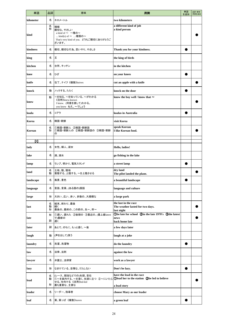| 単語        | 品詞          | 意味                                                                                                                            | 用例                                                                            | 単語<br>を追加 | 品詞·意味·<br>用例を追加 |
|-----------|-------------|-------------------------------------------------------------------------------------------------------------------------------|-------------------------------------------------------------------------------|-----------|-----------------|
| kilometer | 名           | キロメートル                                                                                                                        | two kilometers                                                                |           |                 |
| kind      | 名<br>形      | 種類<br>親切な、やさしい<br>a kind of $\sim$ 一種の~<br>kind(s) of ~ 種類の~<br>That's very kind of you. どうもご親切にありがとうご<br>ざいます。               | a different kind of job<br>a kind person                                      |           |                 |
| kindness  | 名           | 親切、親切な行為、思いやり、やさしさ                                                                                                            | Thank you for your kindness.                                                  |           |                 |
| king      | 名           | Ξ                                                                                                                             | the king of birds                                                             |           |                 |
| kitchen   | 名           | 台所、キッチン                                                                                                                       | in the kitchen                                                                |           |                 |
| knee      | 名           | ひざ                                                                                                                            | on your knees                                                                 |           |                 |
| knife     | 名           | 包丁、ナイフ《複数》knives                                                                                                              | cut an apple with a knife                                                     |           |                 |
| knock     | 動           | ノックする、たたく                                                                                                                     | knock on the door                                                             |           |                 |
| know      | 動           | ~を知る、~を知っている、~がわかる<br>《活用》knew-known<br>I know. (同意を表して)わかる。<br>you know ねえ、~でしょう                                             | know the boy well / know that $\sim$                                          |           |                 |
| koala     | 名           | コアラ                                                                                                                           | koalas in Australia                                                           |           |                 |
| Korea     | 名           | 韓国・朝鮮                                                                                                                         | visit Korea                                                                   |           |                 |
| Korean    | 名<br>形      | ①韓国・朝鮮人 ②韓国・朝鮮語<br>①韓国・朝鮮人の ②韓国・朝鮮語の ③韓国・朝鮮<br>の                                                                              | speak Korean<br>I like Korean food.                                           |           |                 |
| $\bf{u}$  |             |                                                                                                                               |                                                                               |           |                 |
| lady      | 名           | 女性、婦人、淑女                                                                                                                      | Hello, ladies!                                                                |           |                 |
| lake      | 名           | 湖、湖水                                                                                                                          | go fishing in the lake                                                        |           |                 |
| lamp      | 名           | ランプ、明かり、電気スタンド                                                                                                                | a street lamp                                                                 |           |                 |
| land      | 名<br>動      | 土地、陸、陸地<br> 着陸する、上陸する、〜を上陸させる                                                                                                 | dry land<br>The pilot landed the plane.                                       |           |                 |
| landscape | 名           | 風景、景色                                                                                                                         | a beautiful landscape                                                         |           |                 |
| language  | 名           | 言語、言葉、(ある国の)国語                                                                                                                | language and culture                                                          |           |                 |
| large     | 形           | 大きい、広い、多い、多数の、大規模な                                                                                                            | a large park                                                                  |           |                 |
| last      | 名<br>動<br>形 | 結末、終わり、最後<br>続く<br>最後の、最終の、この前の、先~、昨~                                                                                         | the last in the race<br>The weather lasted for two days.<br>last night        |           |                 |
| late      | 形<br>副      | 1遅い、遅れた 2後期の 3最近の、(最上級latest<br>で)最新の<br>遅く                                                                                   | Obe late for school 2in the late 1970's 3the latest<br>news<br>back home late |           |                 |
| later     | 副           | あとで、のちに、もっと遅く、~後                                                                                                              | a few days later                                                              |           |                 |
| laugh     | 動           | (声を出して)笑う                                                                                                                     | laugh at a joke                                                               |           |                 |
| laundry   | 名           | 洗濯、洗濯物                                                                                                                        | do the laundry                                                                |           |                 |
| law       | 名           | 法律、法則                                                                                                                         | against the law                                                               |           |                 |
| lawyer    | 名           | 弁護士、法律家                                                                                                                       | work as a lawyer                                                              |           |                 |
| lazy      | 形           | なまけている、怠惰な、だらしない                                                                                                              | Don't be lazy.                                                                |           |                 |
| lead      | 名<br>動<br>形 | (レース、競技などでの)先頭、首位<br>①~を案内する、~を導く、先頭に立つ ②~にいたら ①lead her to the station ②be led to believe<br>せる、仕向ける《活用》led-led<br>最も重要な、主要な | have the lead in the race<br>a lead story                                     |           |                 |
| leader    | 名           | リーダー、指導者                                                                                                                      | choose Mary as our leader                                                     |           |                 |
| leaf      | 名           | 葉、葉っぱ《複数》leaves                                                                                                               | a green leaf                                                                  |           |                 |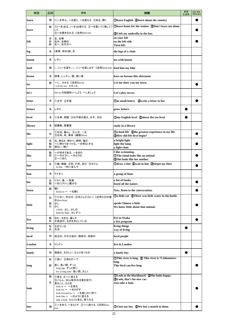| 単語      | 品詞          | 意味                                                                                                                                                                 | 用例                                                                                                                         | 単語<br>を追加 | 品詞·意味·<br>用例を追加 |
|---------|-------------|--------------------------------------------------------------------------------------------------------------------------------------------------------------------|----------------------------------------------------------------------------------------------------------------------------|-----------|-----------------|
| learn   | 動           | ①~を学ぶ、~を習う、~を覚える ②知る、聞く                                                                                                                                            | <b>Olearn English Qlearn about the country</b>                                                                             |           |                 |
|         | 動           | ①(~を)去る、(~を)出発する ②~を置いて〔残して〕                                                                                                                                       | Oleave home for the station 2Don't leave me alone.                                                                         |           |                 |
| leave   |             | いく<br>③~を置き忘れる 《活用》left-left                                                                                                                                       | <b>3</b> I left my umbrella in the bus.                                                                                    |           |                 |
| left    | 名<br>形<br>副 | 左、左側<br>左の、左側の<br>左へ、左の方へ                                                                                                                                          | on your left<br>on the left side<br>Turn left.                                                                             |           |                 |
| leg     | 名           | (家具、体の)脚、足                                                                                                                                                         | the legs of a chair                                                                                                        |           |                 |
| lemon   | 名           | レモン                                                                                                                                                                | tea with lemon                                                                                                             |           |                 |
| lend    | 動           | (に)~を貸す、(に)~を貸し出す 《活用》lent-lent                                                                                                                                    | lend him my bike                                                                                                           |           |                 |
| lesson  | 名           | 授業、レッスン、課、習い事                                                                                                                                                      | have no lessons this afternoon                                                                                             |           |                 |
| let     | 動           | ~にさせる 《活用》let-let<br>Let me see. ええっと。                                                                                                                             | Let me show you my town.                                                                                                   |           |                 |
| let's   |             | (let us の短縮形)~しよう、 ~しましょう                                                                                                                                          | Let's play soccer.                                                                                                         |           |                 |
| letter  | 名           | ①文字 ②手紙                                                                                                                                                            | <b>Oin small letters Qwrite a letter to her</b>                                                                            |           |                 |
| lettuce | 名           | レタス                                                                                                                                                                | grow lettuce                                                                                                               |           |                 |
| level   | 名           | ①水準、段階 ②水平面の高さ、水平、水位                                                                                                                                               | <b>Omy English level 2above the sea level</b>                                                                              |           |                 |
| library | 名           | 図書館、図書室                                                                                                                                                            | study in a library                                                                                                         |           |                 |
| life    | 名           | 1生活、暮らし ②人生、一生<br>③生命、命、寿命《複数》lives                                                                                                                                | <b>Oschool life</b> 2the greatest experience in my life<br><b>3</b> How did life first begin?                              |           |                 |
| light   | 名<br>動<br>形 | 光、明るさ、明かり、照明、電灯<br>~に明かりをつける、~を明るくする<br>明るい、軽い                                                                                                                     | a bright light<br>light the lamp<br>a light chair                                                                          |           |                 |
| like    | 動<br>前      | ~が好きである、~を好む<br>①~のように、~のような<br>②~に似た                                                                                                                              | I like swimming.<br><b>The cloud looks like an animal.</b><br>2She looks like her mother.                                  |           |                 |
| line    | 名           | ①線、路線 ②列、行列、並び ③せりふ<br>in line 1列に並んで                                                                                                                              | Odraw a line Qwait in line 3forget my lines                                                                                |           |                 |
| lion    | 名           | ライオン                                                                                                                                                               | a group of lions                                                                                                           |           |                 |
| list    | 名<br>動      | リスト、表、一覧表<br>~を(リストに)載せる                                                                                                                                           | a list of books<br>listed all the names                                                                                    |           |                 |
| listen  | 動           | 聞く<br>listen to ~ ~を聞く                                                                                                                                             | Now, listen to the conversation.                                                                                           |           |                 |
| little  | 形<br>副<br>代 | ①小さい、年少の ②ほとんど(ない)《活用》(2)の場<br>合)less-least<br>少し<br>少し<br>a little 少し、少しの<br>little by little 少しずつ                                                                | <b>Oa little cat QThere was little water in the bottle.</b><br>speak Chinese a little<br>We know little about that animal. |           |                 |
| live    | 動<br>形      | 住む、生きる、暮らす<br>生放送の、生き生きとしている                                                                                                                                       | live in Osaka<br>a live program                                                                                            |           |                 |
| living  | 形<br>名      | 生きている<br>生活                                                                                                                                                        | living things<br>way of living                                                                                             |           |                 |
| local   | 形           | 地元の、その土地の、現地の、地域の                                                                                                                                                  | local people                                                                                                               |           |                 |
| London  | 名           | ロンドン                                                                                                                                                               | live in London                                                                                                             |           |                 |
| lonely  | 形           | 孤独な、さびしい、ひとりぼっちの                                                                                                                                                   | a lonely boy                                                                                                               |           |                 |
|         | 形           | ①長い ②長さが~で                                                                                                                                                         | $\bigcirc$ This river is long. $\bigcirc$ This river is 75 kilometers<br>long.                                             |           |                 |
| long    | 副           | 長く、長い間、ずっと<br>long ago ずっと前に<br>for a long time 長い間、久しく                                                                                                            | This bird can live long.                                                                                                   |           |                 |
| look    | 動<br>名      | ①見る ②~に見える<br>③ごらん、ほら(相手の注意を促す)<br>見ること、ひと目<br>look at ~ ~を見る<br>look for ~ ~をさがす<br>look forward to ~ ~を楽しみに待つ<br>look like ~ ~のように見える<br>take a look ちらりと見る、見てみる | <b>OLook at the blackboard. 2She looks happy.</b><br><b>3</b> Look, that's his new car.<br>Just take a look.               |           |                 |
| lose    | 動           | ①~を失う、~をなくす ②~に負ける《活用》lost-                                                                                                                                        | 10 I lose my key. 2We lost a match to them.                                                                                |           |                 |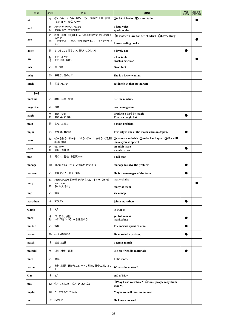| 単語             | 品詞     | 意味                                              | 用例                                                                   | 単語<br>を追加 | 品詞·意味·<br>用例を追加 |
|----------------|--------|-------------------------------------------------|----------------------------------------------------------------------|-----------|-----------------|
| lot            | 名      | ①たくさん、たくさんのこと ②(一区画の)土地、敷地<br>a lot of ~ たくさんの~ | <b>Ta</b> lot of books 2an empty lot                                 |           |                 |
| loud           | 形<br>副 | (音・声が)大きい、うるさい<br>大きな音で、大きな声で                   | a loud voice<br>speak louder                                         |           |                 |
|                | 名      | ①愛、恋愛 ②(親しい人への手紙などの結びで)愛を<br>込めて                | <b>10 mother's love for her children 2Love, Mary</b>                 |           |                 |
| love           | 動      | ~を愛する、~のことが大好きである、~をとても気に<br>入る                 | I love reading books.                                                |           |                 |
| lovely         | 形      | すてきな、すばらしい、美しい、かわいい                             | a lovely dog                                                         |           |                 |
| low            | 形<br>名 | 低い、少ない<br>低い水準(数値)                              | a low table<br>reach a new low                                       |           |                 |
| luck           | 名      | 運、つき                                            | Good luck!                                                           |           |                 |
| lucky          | 形      | 幸運な、運のよい                                        | She is a lucky woman.                                                |           |                 |
| lunch          | 名      | 昼食、ランチ                                          | eat lunch at that restaurant                                         |           |                 |
| $\mathbf{[m]}$ |        |                                                 |                                                                      |           |                 |
| machine        | 名      | 機械、装置、機具                                        | use the machine                                                      |           |                 |
| magazine       | 名      | 雑誌                                              | read a magazine                                                      |           |                 |
| magic          | 名<br>形 | 魔法、奇術<br>魔法の、奇術の                                | produce a bird by magic<br>That's a magic hat.                       |           |                 |
| main           | 形      | 主な、主要な                                          | a main problem                                                       |           |                 |
| major          | 形      | 主要な、大きな                                         | This city is one of the major cities in Japan.                       |           |                 |
| make           | 動      | ①~を作る ②~を…にする ③~に…させる《活用》<br>made-made          | Omake a sandwich 2make her happy 3Hot milk<br>makes you sleep well.  |           |                 |
| male           | 名<br>形 | 雄、男性<br>雄の、男性の                                  | an adult male<br>a male driver                                       | a         |                 |
| man            | 名      | 男の人、男性 《複数》men                                  | a tall man                                                           |           |                 |
| manage         | 動      | 何とかうまく~する、どうにかやっていく                             | manage to solve the problem                                          |           |                 |
| manager        | 名      | 管理する人、園長、監督                                     | He is the manager of the team.                                       |           |                 |
| many           | 形      | (数えられる名詞の前で)たくさんの、多くの 《活用》<br>more-most         | many chairs                                                          |           |                 |
|                | 代      | 多くの人(もの)                                        | many of them                                                         |           |                 |
| map            | 名      | 地図                                              | see a map                                                            |           |                 |
| marathon       | 名      | マラソン                                            | join a marathon                                                      | O         |                 |
| March          | 名      | 3月                                              | in March                                                             |           |                 |
| mark           | 名<br>動 | 印、記号、点数<br>~に印をつける、~を採点する                       | get full marks<br>mark a box                                         |           |                 |
| market         | 名      | 市場                                              | The market opens at nine.                                            |           |                 |
| marry          | 動      | (~と)結婚する                                        | He married my sister.                                                |           |                 |
| match          | 名      | 試合、競技                                           | a tennis match                                                       |           |                 |
| material       | 名      | 材料、素材、原料                                        | use eco-friendly materials                                           |           |                 |
| math           | 名      | 数学                                              | I like math.                                                         |           |                 |
| matter         | 名      | 事柄、問題、困ったこと、事件、故障、具合の悪いとこ<br>ろ                  | What's the matter?                                                   |           |                 |
| May            | 名      | 5月                                              | end of May                                                           |           |                 |
| may            | 助      | ①~してもよい ②~かもしれない                                | <b>OMay I use your bike?</b> 2Some people may think<br>that $\sim$ . |           |                 |
| maybe          | 副      | もしかすると、たぶん                                      | Maybe we will meet tomorrow.                                         |           |                 |
| me             | 代      | 私を〔に〕                                           | He knows me well.                                                    |           |                 |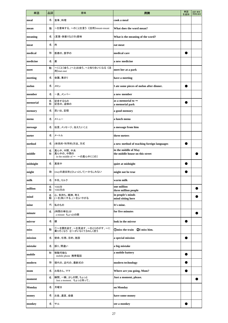| 単語       | 品詞     | 意味                                                                            | 用例                                                      | 単語<br>を追加 | 品詞·意味·<br>用例を追加 |
|----------|--------|-------------------------------------------------------------------------------|---------------------------------------------------------|-----------|-----------------|
| meal     | 名      | 食事、料理                                                                         | cook a meal                                             |           |                 |
| mean     | 動      | ~を意味する、~のことを言う《活用》meant-meant                                                 | What does the word mean?                                |           |                 |
| meaning  | 名      | (言葉・身振りなどの)意味                                                                 | What is the meaning of the word?                        |           |                 |
| meat     | 名      | 肉                                                                             | eat meat                                                |           |                 |
| medical  | 形      | 医療の、医学の                                                                       | medical care                                            |           |                 |
| medicine | 名      | 薬                                                                             | a new medicine                                          |           |                 |
| meet     | 動      | ~に〔と〕会う、(~と)出会う、~と知り合いになる 《活<br>用》met-met                                     | meet her at a park                                      |           |                 |
| meeting  | 名      | 会議、集まり                                                                        | have a meeting                                          |           |                 |
| melon    | 名      | メロン                                                                           | I ate some pieces of melon after dinner.                |           |                 |
| member   | 名      | -員、メンバー                                                                       | a new member                                            |           |                 |
| memorial | 名<br>形 | 記念するもの<br>記念の、追悼の                                                             | as a memorial to $\sim$<br>a memorial park              |           |                 |
| memory   | 名      | 思い出、記憶                                                                        | a good memory                                           |           |                 |
| menu     | 名      | メニュー                                                                          | a lunch menu                                            |           |                 |
| message  | 名      | 伝言、メッセージ、伝えたいこと                                                               | a message from him                                      |           |                 |
| meter    | 名      | メートル                                                                          | three meters                                            |           |                 |
| method   | 名      | (体系的•科学的)方法、方式                                                                | a new method of teaching foreign languages              |           |                 |
| middle   | 名<br>形 | 真ん中、中間、中央<br>真ん中の、中間の<br>in the middle of $\sim \sim \mathcal{O}(\mathbb{R})$ | in the middle of May<br>the middle house on this street |           |                 |
| midnight | 名      | 真夜中                                                                           | quiet at midnight                                       |           |                 |
| might    | 助      | (mayの過去形)(ひょっとして)~かもしれない                                                      | might not be true                                       |           |                 |
| milk     | 名      | 牛乳、ミルク                                                                        | warm milk                                               |           |                 |
| million  | 名<br>形 | 100万<br>100万の                                                                 | one million<br>three million people                     |           |                 |
| mind     | 名<br>動 | 心、気持ち、精神、考え<br>(~を)気にする、(~を)いやがる                                              | in people's minds<br>mind sitting here                  |           |                 |
| mine     | 代      | 私のもの                                                                          | It's mine.                                              |           |                 |
| minute   | 名      | (時間の単位)分<br>a minute ちょっとの間                                                   | for five minutes                                        |           |                 |
| mirror   | 名      | 鏡                                                                             | look in the mirror                                      |           |                 |
| miss     | 動      | ①~を聞き逃す、~を見逃す、~をとりのがす、~に<br>乗りそこなう ②~がいなくてさみしく思う                              | 10 Omiss the train 20 miss him.                         |           |                 |
| mission  | 名      | 使命、任務、目的、施設                                                                   | a special mission                                       |           |                 |
| mistake  | 名      | 誤り、間違い                                                                        | a big mistake                                           |           |                 |
| mobile   | 形      | 移動可能な<br>mobile phone 携帯電話                                                    | a mobile battery                                        |           |                 |
| modern   | 形      | 現代の、近代の、最新式の                                                                  | modern technology                                       |           |                 |
| mom      | 名      | お母さん、ママ                                                                       | Where are you going, Mom?                               |           |                 |
| moment   | 名      | 瞬間、一瞬、少しの間、ちょっと<br>Just a moment. ちょっと待って。                                    | Just a moment, please.                                  |           |                 |
| Monday   | 名      | 月曜日                                                                           | on Monday                                               |           |                 |
| money    | 名      | お金、通貨、金銭                                                                      | have some money                                         |           |                 |
| monkey   | 名      | サル                                                                            | see a monkey                                            |           |                 |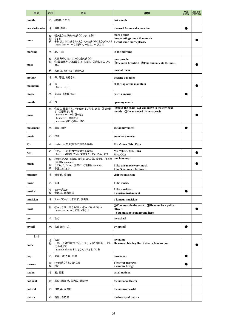| 単語                | 品詞          | 意味                                                                                              | 用例                                                                                              | 単語<br>を追加 | 品詞·意味·<br>用例を追加 |
|-------------------|-------------|-------------------------------------------------------------------------------------------------|-------------------------------------------------------------------------------------------------|-----------|-----------------|
| month             | 名           | (暦)月、1か月                                                                                        | last month                                                                                      |           |                 |
| moral education   | 名           | 道徳(教科)                                                                                          | the need for moral education                                                                    |           |                 |
| more              | 形<br>副<br>代 | (数・量などが)もっと多くの、もっと多い<br>もっと<br>それ以上のこと〔もの・人〕、もっと多くのこと〔もの・人〕<br>more than ~ ~より多い、~以上、~以上の       | more people<br>love paintings more than music<br>I want some more, please.                      |           |                 |
| morning           | 名           | 朝、午前                                                                                            | in the morning                                                                                  |           |                 |
| most              | 形<br>副      | 大部分の、たいていの、最も多くの<br> ①(最上級をつくる)最も、いちばん ②最も多く、いち<br>ばん                                           | most people<br>Othe most beautiful QThis animal eats the most.                                  |           |                 |
|                   | 代           | 大部分、たいてい、ほとんど                                                                                   | most of them                                                                                    |           |                 |
| mother            | 名           | 母、母親、お母さん                                                                                       | become a mother                                                                                 |           |                 |
| mountain          | 名           | Щ<br>$Mt \sim ~ 1$                                                                              | at the top of the mountain                                                                      |           |                 |
| mouse             | 名           | ネズミ《複数》mice                                                                                     | catch a mouse                                                                                   |           |                 |
| mouth             | 名           | $\Box$                                                                                          | open my mouth                                                                                   |           |                 |
| move              | 動           | ①動く、移動する、~を動かす、移る、進む ②引っ越<br>す ③感動させる<br>move to ~ ~に引っ越す<br>be moved 感動する<br>move on (次へ)移る、進む | (Dmove the chair (2) I will move to the city next<br>month. <b>3</b> I was moved by her speech. |           |                 |
| movement          | 名           | 運動、動き                                                                                           | social movement                                                                                 |           |                 |
| movie             | 名           | 映画                                                                                              | go to see a movie                                                                               |           |                 |
| Mr.               | 名           | ~さん、~先生(男性に対する敬称)                                                                               | Mr. Green / Mr. Kato                                                                            |           |                 |
| Ms.               | 名           | ~さん、~先生(女性に対する敬称)<br>Mrs.~ (結婚している女性をさして)~さん、先生                                                 | Ms. White / Ms. Hara<br>Mrs. Oda                                                                |           |                 |
|                   | 形           | (数えられない名詞の前で)たくさんの、多量の、多くの<br>《活用》more-most                                                     | much money                                                                                      |           |                 |
| much              | 副<br>代      | とても、たいへん、非常に《活用》more-most<br>多量、たくさん                                                            | I like this movie very much.<br>I don't eat much for lunch.                                     |           |                 |
| museum            | 名           | 博物館、美術館                                                                                         | visit the museum                                                                                |           |                 |
| music             | 名           | 音楽                                                                                              | I like music.                                                                                   |           |                 |
| musical           | 名<br>形      | ミュージカル<br>音楽の、音楽用の                                                                              | I like musicals.<br>a musical instrument                                                        |           |                 |
| musician          | 名           | ミュージシャン、音楽家、演奏家                                                                                 | a famous musician                                                                               |           |                 |
| must              | 助           | ①~しなければならない ②~にちがいない<br>must not ~ ~してはいけない                                                     | (1) You must do the work. (2) He must be a police<br>officer.<br>You must not run around here.  |           |                 |
| my                | 代           | 私の                                                                                              | my school                                                                                       |           |                 |
| myself            | 代           | 私自身を〔に〕                                                                                         | by myself                                                                                       |           |                 |
| $\lceil n \rceil$ |             |                                                                                                 |                                                                                                 |           |                 |
| name              | 名<br>動      | 名前<br>~に(と)名前をつける、~を(と)名づける、~を(<br>と)命名する<br>name A after B BにちなんでAと名づける                        | my name<br>He named his dog Hachi after a famous dog.                                           |           |                 |
| nap               | 名           | 昼寝、うたた寝、仮眠                                                                                      | have a nap                                                                                      |           |                 |
| narrow            | 動<br>形      | (~を)狭くする、狭くなる<br>狭い                                                                             | The river narrows.<br>a narrow bridge                                                           |           |                 |
| nation            | 名           | 国、国家                                                                                            | small nations                                                                                   |           |                 |
| national          | 形           | 国の、国立の、国内の、国家の                                                                                  | the national flower                                                                             |           |                 |
| natural           | 形           | 自然の、天然の                                                                                         | the natural world                                                                               |           |                 |
| nature            | 名           | 自然、自然界                                                                                          | the beauty of nature                                                                            |           |                 |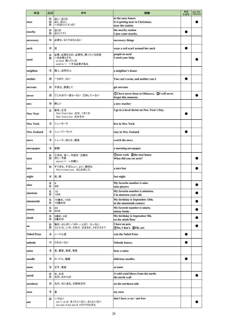| 単語                 | 品詞          | 意味                                                                     | 用例                                                                         | 単語<br>を追加 | 品詞·意味·<br>用例を追加 |
|--------------------|-------------|------------------------------------------------------------------------|----------------------------------------------------------------------------|-----------|-----------------|
| near               | 形<br>副<br>前 | 近い、近くの<br>近く、近くに<br>~の近くに〔で・の〕                                         | in the near future<br>It is getting near to Christmas.<br>near the station |           |                 |
| nearby             | 形<br>副      | 近くの<br>近くに[で]                                                          | the nearby station<br>I just came nearby.                                  |           |                 |
| necessary          | 形           | 必要な、なくてはならない                                                           | necessary things                                                           |           |                 |
| neck               | 名           | 首                                                                      | wear a red scarf around her neck                                           |           |                 |
| need               | 名<br>動      | 必要、必要なもの、必要性、困っている状態<br>~を必要とする<br>in need 困っている<br>need to ~ ~する必要がある | people in need<br>I need your help.                                        |           |                 |
| neighbor           | 名           | 隣人、近所の人                                                                | a neighbor's house                                                         |           |                 |
| neither            | 副           | ~もまた…ない                                                                | You can't swim, and neither can I.                                         |           |                 |
| nervous            | 形           | 不安な、緊張して                                                               | get nervous                                                                |           |                 |
| never              | 副           | ①これまで一度も~ない ②決して~ない                                                    | (1) I have never been to Okinawa. (2) I will never<br>forget this moment.  |           |                 |
| new                | 形           | 新しい                                                                    | a new teacher                                                              |           |                 |
| <b>New Year</b>    | 名           | 新年、正月<br>New Year's Day 元日、1月1日<br>New Year's Eve 大みそか                 | I go to a local shrine on New Year's Day.                                  |           |                 |
| <b>New York</b>    | 名           | ニューヨーク                                                                 | live in New York                                                           |           |                 |
| <b>New Zealand</b> | 名           | ニュージーランド                                                               | stay in New Zealand                                                        |           |                 |
| news               | 名           | ニュース、知らせ、報道                                                            | watch the news                                                             |           |                 |
| newspaper          | 名           | 新聞                                                                     | a morning newspaper                                                        |           |                 |
| next               | 形<br>副      | ①次の、来~、今度の ②隣の<br>次に、今度<br>next to ~ ~の隣に                              | <b>Onext week</b> 2the next house<br>What did you see next?                |           |                 |
| nice               | 形           | すてきな、すばらしい、よい、親切な<br>Nice to meet you. はじめまして。                         | a nice boy                                                                 |           |                 |
| night              | 名           | 夜、晩                                                                    | last night                                                                 |           |                 |
| nine               | 名形          | 9<br>9の                                                                | My favorite number is nine.<br>nine players                                |           |                 |
| nineteen           | 名<br>形      | 19<br>19の                                                              | My favorite number is nineteen.<br>I'm nineteen years old.                 |           |                 |
| nineteenth         | 名<br>形      | 19番め、19日<br>19番めの                                                      | My birthday is September 19th.<br>in the nineteenth century                |           |                 |
| ninety             | 名<br>形      | 90<br>90の                                                              | My favorite number is ninety.<br>ninety books                              |           |                 |
| ninth              | 名<br>形      | 9番め、9日<br>9番めの                                                         | My birthday is September 9th.<br>on the ninth floor                        |           |                 |
| $\bf{no}$          | 形<br>副      | 無の、少しの[一つの・一人の]…も~ない<br>①いいえ、いや、だめだ ②まさか、うそだろう?                        | I have no pen.<br>DNo, I don't. 20h, no!                                   |           |                 |
| <b>Nobel Prize</b> | 名           | ノーベル賞                                                                  | win the Nobel Prize                                                        |           |                 |
| nobody             | 代           | だれも~ない                                                                 | Nobody knows.                                                              |           |                 |
| noise              | 名           | 音、騒音、雑音、物音                                                             | hear a noise                                                               |           |                 |
| noodle             | 名           | ヌードル、麺類                                                                | delicious noodles                                                          |           |                 |
| noon               | 名           | 正午、真昼                                                                  | at noon                                                                    |           |                 |
| north              | 名<br>形      | 北、北方<br>北の、北からの                                                        | A cold wind blows from the north.<br>the north wall                        |           |                 |
| northern           | 形           | 北の、北にある、北部地方の                                                          | on the northern side                                                       |           |                 |
| nose               | 名           | 鼻                                                                      | my nose                                                                    |           |                 |
| not                | 副           | ~でない<br>not ~ at all まったく~ない、少しも~ない<br>not only A but also B AだけでなくBも  | don't have a car / not free                                                |           |                 |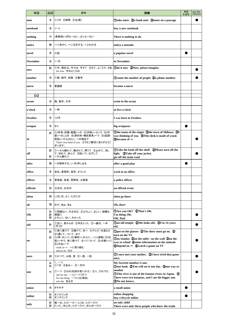| 単語                      | 品詞          | 意味                                                                                                                                                     | 用例                                                                                                                                                                                                                                    | 単語<br>を追加 | 品詞·意味·<br>用例を追加 |
|-------------------------|-------------|--------------------------------------------------------------------------------------------------------------------------------------------------------|---------------------------------------------------------------------------------------------------------------------------------------------------------------------------------------------------------------------------------------|-----------|-----------------|
| note                    | 名           | ①メモ ②紙幣 ③注(釈)                                                                                                                                          | Otake notes 2a bank note 3notes on a passage                                                                                                                                                                                          |           |                 |
| notebook                | 名           | ノート                                                                                                                                                    | buy a new notebook                                                                                                                                                                                                                    |           |                 |
| nothing                 | 代           | (単数扱い)何も~ない、少しも~ない                                                                                                                                     | There is nothing to do.                                                                                                                                                                                                               |           |                 |
| notice                  | 動           | ~に気付く、~に注目する、~とわかる                                                                                                                                     | notice a mistake                                                                                                                                                                                                                      |           |                 |
| novel                   | 名           | 小説                                                                                                                                                     | a popular novel                                                                                                                                                                                                                       |           |                 |
| <b>November</b>         | 名           | 11月                                                                                                                                                    | in November                                                                                                                                                                                                                           |           |                 |
| now                     | 副           | ①今、現在は、今では、今すぐ ②さて、ところで、さあ<br>for now 今のところは                                                                                                           | Odo it now 2Now, please imagine.                                                                                                                                                                                                      |           |                 |
| number                  | 名           | ①数、数字、総数 ②番号                                                                                                                                           | Ocount the number of people 2a phone number                                                                                                                                                                                           |           |                 |
| nurse                   | 名           | 看護師                                                                                                                                                    | become a nurse                                                                                                                                                                                                                        |           |                 |
| $\mathbf{(\mathbf{o})}$ |             |                                                                                                                                                        |                                                                                                                                                                                                                                       |           |                 |
| ocean                   | 名           | 海、海洋、大洋                                                                                                                                                | swim in the ocean                                                                                                                                                                                                                     |           |                 |
| o'clock                 | 名           | ~時                                                                                                                                                     | at five o'clock                                                                                                                                                                                                                       |           |                 |
| October                 | 名           | 10月                                                                                                                                                    | I was born in October.                                                                                                                                                                                                                |           |                 |
| octopus                 | 名           | タコ                                                                                                                                                     | big octopuses                                                                                                                                                                                                                         |           |                 |
| of                      | 前           | ①(所有・所属・範囲)~の ②(同格)~という ③(内<br>容)~のことを ④(原材料・構成要素)~で ⑤(起源・<br>原因)~から(出た)、~の理由で<br>That's very kind of you. どうもご親切にありがとうご<br>ざいます。                      | Othe name of the singer 2the town of Shibuya 3I<br>was thinking of you. <b>4</b> This desk is made of wood.<br>(5) because of $\sim$                                                                                                  |           |                 |
| off                     | 副<br>前      | ①~から離れて、離されて、降りて ②止めて、消し<br>て、切れて、休んで ③脱いで、はずして<br>~から離れて                                                                                              | <b>1</b> Take the book off the shelf. <b>2</b> Please turn off the<br>light. <b>3</b> Take off your jacket.<br>get off the main road                                                                                                  |           |                 |
| offer                   | 動           | ~を提供する、(~を)申し出る                                                                                                                                        | offer a good plan                                                                                                                                                                                                                     |           |                 |
| office                  | 名           | 会社、事務所、役所、オフィス                                                                                                                                         | work in an office                                                                                                                                                                                                                     |           |                 |
| officer                 | 名           | 事務員、係員、警察官、公務員                                                                                                                                         | a police officer                                                                                                                                                                                                                      |           |                 |
| official                | 形           | 公式の、正式の                                                                                                                                                | an official event                                                                                                                                                                                                                     |           |                 |
| often                   | 副           | しばしば、よく、たびたび                                                                                                                                           | often go there                                                                                                                                                                                                                        |           |                 |
| oh                      | 間           | おや、あぁ、まぁ                                                                                                                                               | Oh, dear!                                                                                                                                                                                                                             |           |                 |
| OК                      | 形<br>副<br>間 | 1問題ない、大丈夫な ②よろしい、正しい、結構な<br>順調に<br>よろしい、はい、わかった                                                                                                        | <b>OAre you OK? QThat's OK.</b><br>I'm doing OK.<br>OK, Dad.                                                                                                                                                                          |           |                 |
| old                     | 形           | ①古い、昔からの ②年をとった ③~歳の、~年<br>[月]の                                                                                                                        | <b>The Oxymup On Service COShe looks old. 3I'm 14 years</b><br>old.                                                                                                                                                                   |           |                 |
| on                      | 副<br>前      | ①身に着けて ②続けて、先へ ③(テレビ・水道など<br>が通じて、ついて、出て<br>①(時・日)~に ②(場所)~の上に、~に(接触) ③(状<br>態)~中で、身に着けて 4~について 5(対象)~に<br>⑥(方法)~で<br>work on ~ ~に取り組む<br>and so on など | Oput on the glasses 2The show must go on. 3<br>turn on the TV<br><b>Oon Sunday 200 the table / on the wall 300 the</b><br>way to school @some information on the animals<br>$\bigcirc$ depend on $\sim$ $\bigcirc$ watch a game on TV |           |                 |
| once                    | 副           | ①かつて、以前、昔 ②一度、一回                                                                                                                                       | 10 OI once met your mother. 2I have tried that game<br>once.                                                                                                                                                                          |           |                 |
| one                     | 名<br>形<br>代 | $1, -2$<br>①1の ②ある~ ③一方の<br>①一つ ②もの(名詞の言いかえ) ③人、だれでも<br>one by one 一人[一つ]ずつ<br>for one thing 一つには(理由)<br>one day ある日                                   | My favorite number is one.<br>Oone book QYou will see it one day. 3one way or<br>another<br><b>This river is one of the famous rivers in Japan.</b> ②<br>There were two bananas, and I ate the bigger one.<br>3 No one knows.         |           |                 |
| onion                   | 名           | タマネギ                                                                                                                                                   | a small onion                                                                                                                                                                                                                         |           |                 |
| online                  | 形<br>副      | オンラインの<br>オンラインで                                                                                                                                       | online shopping<br>buy a bicycle online                                                                                                                                                                                               |           |                 |
| only                    | 形<br>副      | 唯一の、ただ一つ〔一人〕の、ただ~だけ<br>たった、ほんの、ただ~だけ、ほんの~だけ                                                                                                            | an only child<br>There were only three people who knew the truth.                                                                                                                                                                     |           |                 |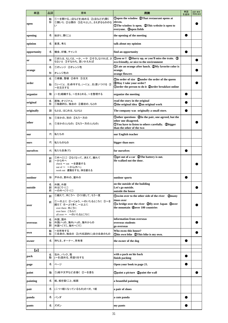| 単語          | 品詞          | 意味                                                                                                        | 用例                                                                                                                                          | 単語<br>を追加 | 品詞·意味·<br>用例を追加 |
|-------------|-------------|-----------------------------------------------------------------------------------------------------------|---------------------------------------------------------------------------------------------------------------------------------------------|-----------|-----------------|
| open        | 動<br>形      | ①~を開ける、(店などを)始める ②(店などが)開く<br>①開いた ②公開の ③広々とした、さえぎるもののな<br>い                                              | Oopen the window QThat restaurant opens at<br>eleven.<br><b>OThe window is open. QThis website is open to</b><br>everyone. 3open fields     |           |                 |
| opening     | 名           | 始まり、開くこと                                                                                                  | the opening of the meeting                                                                                                                  |           |                 |
| opinion     | 名           | 意見、考え                                                                                                     | talk about my opinion                                                                                                                       |           |                 |
| opportunity | 名           | 機会、好機、チャンス                                                                                                | find an opportunity                                                                                                                         |           |                 |
| or          | 接           | ①または、もしくは、~か、~や ②そうしなければ、さ<br>もないと 3すなわち、言いかえれば                                                           | $\mathbb Q$ you or I $\mathbb Q$ Hurry up, or you'll miss the train. $\mathbb Q$<br>eco-friendly, or nice to the environment                |           |                 |
| orange      | 名<br>形      | ①オレンジ ②オレンジ色<br>オレンジ色の                                                                                    | 10 (1) OI ate an orange after lunch. 2My favorite color is<br>orange.                                                                       |           |                 |
|             | 名           | ①順番、整頓 ②命令 ③注文                                                                                            | orange flowers                                                                                                                              |           |                 |
| order       | 動           | ①(~に)(…を)命令する、(~に)(…を)言いつける ②<br>~を注文する                                                                   | (Din order of size Qunder the order of the queen<br><b>3</b> May I take your order?<br>Oorder the person to do it 2 Oorder breakfast online |           |                 |
| organize    | 動           | (~を)組織する、~をまとめる、~を整理する                                                                                    | organize the meeting                                                                                                                        |           |                 |
| original    | 名<br>形      | 原物、オリジナル<br>1)独創的な、独自の 2最初の、もとの                                                                           | read the story in the original<br>Othe original idea 2an original work                                                                      |           |                 |
| originally  | 副           | もとは、はじめは、もともと                                                                                             | The company was originally a small store.                                                                                                   |           |                 |
|             | 形           | ①ほかの、別の ②もう一方の                                                                                            | Dother questions 2In the pair, one agreed, but the<br>other one disagreed.                                                                  |           |                 |
| other       | 代           | ①ほかの人(もの) ②もう一方の人(もの)                                                                                     | OYou have to listen to others carefully. 2bigger<br>than the other of the two                                                               |           |                 |
| our         | 代           | 私たちの                                                                                                      | our English teacher                                                                                                                         |           |                 |
| ours        | 代           | 私たちのもの                                                                                                    | bigger than ours                                                                                                                            |           |                 |
| ourselves   | 代           | 私たち自身(で)                                                                                                  | for ourselves                                                                                                                               |           |                 |
| out         | 副<br>前      | 1外へ〔に〕 ②なくなって、消えて、離れて<br>~から外へ<br>check ~ out ~を調査する<br>out of ~ ~ から(外へ)<br>work out 運動をする、体を鍛える         | Oget out of a car QThe battery is out.<br>He walked out the door.                                                                           |           |                 |
| outdoor     | 形           | 戸外の、野外の、屋外の                                                                                               | outdoor sports                                                                                                                              |           |                 |
| outside     | 名<br>副<br>前 | 外側、外部<br>外は[で・に]<br>~の外へ〔で・に〕                                                                             | on the outside of the building<br>Let's go outside.<br>outside the house                                                                    |           |                 |
|             | 副           | ①越えて、向こうへ ②くり返して、もう一度                                                                                     | Oswim over to the other side of the river 2many                                                                                             |           |                 |
| over        | 前           | ①~の上に ②~じゅう、~のいたるところに ③~を<br>越えて ④~より多く、~以上に<br>over there 向こうに<br>over here こちらに<br>all over ~ ~のいたるところに | times over<br><b>Da bridge over the river 2fly over Japan 3over</b><br>the mountain 4 over 100 countries                                    |           |                 |
| overseas    | 名<br>形<br>副 | 外国、国外<br>外国(へ)の、海外(へ)の、海外からの<br>外国へ[で]、海外へ[で]                                                             | information from overseas<br>overseas students<br>go overseas                                                                               |           |                 |
| own         | 動<br>形      | ~を所有する<br>①自身の、独自の ②(代名詞的に)自分自身のもの                                                                        | Who owns this house?<br>Ohis own bike 2This bike is my own.                                                                                 |           |                 |
| owner       | 名           | 持ち主、オーナー、所有者                                                                                              | the owner of the dog                                                                                                                        |           |                 |
| [p]         |             |                                                                                                           |                                                                                                                                             |           |                 |
| pack        | 名<br>動      | 包み、パック、箱<br>(~を)詰める、荷造りをする                                                                                | with a pack on his back<br>finish packing                                                                                                   |           |                 |
| page        | 名           | ページ                                                                                                       | Open your book to page 21.                                                                                                                  |           |                 |
| paint       | 動           | ①(絵や文字など)を描く ②~を塗る                                                                                        | Opaint a picture 2 paint the wall                                                                                                           |           |                 |
| painting    | 名           | 絵、絵を描くこと、絵画                                                                                               | a beautiful painting                                                                                                                        |           |                 |
| pair        | 名           | (二つ1組になっているもの)の1対、1組                                                                                      | a pair of shoes                                                                                                                             |           |                 |
| panda       | 名           | パンダ                                                                                                       | a cute panda                                                                                                                                |           |                 |
| pants       | 名           | ズボン                                                                                                       | my pants                                                                                                                                    |           |                 |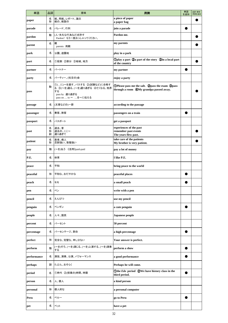| 単語          | 品詞          | 意味                                                                                                       | 用例                                                                                                 | 単語<br>を追加 | 品詞·意味·<br>用例を追加 |
|-------------|-------------|----------------------------------------------------------------------------------------------------------|----------------------------------------------------------------------------------------------------|-----------|-----------------|
| paper       | 名<br>形      | 紙、用紙、レポート、論文<br>紙の、紙製の                                                                                   | a piece of paper<br>a paper bag                                                                    |           |                 |
| parade      | 名           | パレード、行列                                                                                                  | join a parade                                                                                      |           |                 |
| pardon      | 動           | (人・失礼な行為など)を許す<br>Pardon? もう一度おっしゃってください。                                                                | Pardon me.                                                                                         |           |                 |
| parent      | 名           | 親<br>parents 両親                                                                                          | my parents                                                                                         |           |                 |
| park        | 名           | 公園、遊園地                                                                                                   | play in a park                                                                                     |           |                 |
| part        | 名           | ①役割 ②部分 ③地域、地方                                                                                           | Oplay a part 2a part of the story 3in a local part<br>of the country                               |           |                 |
| partner     | 名           | パートナー                                                                                                    | my partner                                                                                         |           |                 |
| party       | 名           | パーティー、(社交の)会                                                                                             | enjoy a party                                                                                      |           |                 |
| pass        | 動           | ①(に)~を渡す、パスする ②(試験など)に合格す<br>る 3(~を)通る、(~を)通り過ぎる 4亡くなる、他界<br>する<br>pass by 通り過ぎる<br>pass on  to ~ を~に伝える | <b>OPlease pass me the salt. 2 pass the exam 3 pass</b><br>through a room @My grandpa passed away. |           |                 |
| passage     | 名           | (文章などの)一節                                                                                                | according to the passage                                                                           |           |                 |
| passenger   | 名           | 乗客、旅客                                                                                                    | passengers on a train                                                                              |           |                 |
| passport    | 名           | パスポート                                                                                                    | get a passport                                                                                     |           |                 |
| past        | 名<br>形<br>副 | 過去、昔<br>過去の、ここ~<br>通り過ぎて                                                                                 | experiences of the past<br>remember past events<br>The years flew past.                            |           |                 |
| patient     | 名<br>形      | 患者、病人<br>忍耐強い、我慢強い                                                                                       | take care of the patients<br>My brother is very patient.                                           |           |                 |
| pay         | 動           | (~を)払う 《活用》paid-paid                                                                                     | pay a lot of money                                                                                 |           |                 |
| P.E.        | 名           | 体育                                                                                                       | I like P.E.                                                                                        |           |                 |
| peace       | 名           | 平和                                                                                                       | bring peace to the world                                                                           |           |                 |
| peaceful    | 形           | 平和な、おだやかな                                                                                                | peaceful places                                                                                    |           |                 |
| peach       | 名           | l€€                                                                                                      | a small peach                                                                                      |           |                 |
| pen         | 名           | ペン                                                                                                       | write with a pen                                                                                   |           |                 |
| pencil      | 名           | えんぴつ                                                                                                     | use my pencil                                                                                      |           |                 |
| penguin     | 名           | ペンギン                                                                                                     | a cute penguin                                                                                     |           |                 |
| people      | 名           | 人々、国民                                                                                                    | Japanese people                                                                                    |           |                 |
| percent     | 名           | パーセント                                                                                                    | 50 percent                                                                                         |           |                 |
| percentage  | 名           | パーセンテージ、割合                                                                                               | a high percentage                                                                                  |           |                 |
| perfect     | 形           | 完全な、完璧な、申し分ない                                                                                            | Your answer is perfect.                                                                            |           |                 |
| perform     | 動           | (~を)行う、(~を)演じる、(~を)上演する、(~を)演奏<br>する                                                                     | perform a show                                                                                     |           |                 |
| performance | 名           | 演技、演奏、公演、パフォーマンス                                                                                         | a good performance                                                                                 |           |                 |
| perhaps     | 副           | たぶん、おそらく                                                                                                 | Perhaps he will come.                                                                              |           |                 |
| period      | 名           | ①時代 2(授業の)時間、時限                                                                                          | Othe <i>Edo</i> period 2We have history class in the<br>third period.                              |           |                 |
| person      | 名           | 人、個人                                                                                                     | a kind person                                                                                      |           |                 |
| personal    | 形           | 個人的な                                                                                                     | a personal computer                                                                                |           |                 |
| Peru        | 名           | ペルー                                                                                                      | go to Peru                                                                                         | $\bullet$ |                 |
| pet         | 名           | ペット                                                                                                      | have a pet                                                                                         |           |                 |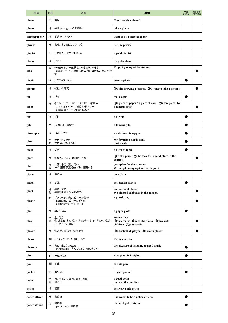| 単語             | 品詞     | 意味                                                                             | 用例                                                                                         | 単語<br>を追加 | 品詞·意味·<br>用例を追加 |
|----------------|--------|--------------------------------------------------------------------------------|--------------------------------------------------------------------------------------------|-----------|-----------------|
| phone          | 名      | 電話                                                                             | Can I use this phone?                                                                      |           |                 |
| photo          | 名      | 写真(photographの短縮形)                                                             | take a photo                                                                               |           |                 |
| photographer   | 名      | 写真家、カメラマン                                                                      | want to be a photographer                                                                  |           |                 |
| phrase         | 名      | 表現、言い回し、フレーズ                                                                   | use the phrase                                                                             |           |                 |
| pianist        | 名      | ピアニスト、ピアノを弾く人                                                                  | a good pianist                                                                             |           |                 |
| piano          | 名      | ピアノ                                                                            | play the piano                                                                             |           |                 |
| pick           | 動      | (~を)取る、(~を)摘む、~を拾う、~をもぐ<br>pick up ~ ~を迎えに行く、拾い上げる、(速力を)増<br>す                 | I'll pick you up at the station.                                                           |           |                 |
| picnic         | 名      | ピクニック、遠足                                                                       | go on a picnic                                                                             |           |                 |
| picture        | 名      | ①絵 ②写真                                                                         | 1 (1) U like drawing pictures. (2) want to take a picture.                                 |           |                 |
| pie            | 名      | パイ                                                                             | make a pie                                                                                 |           |                 |
| piece          | 名      | ①1個、一つ、一枚、一片、部分 ②作品<br>piece(s) of ~  個[本・枚]の~<br>a piece of $\sim -$ つ[個・枚]の~ | <b>The Danmin of paper / a piece of cake 2a few pieces by</b><br>a famous artist           |           |                 |
| pig            | 名      | ブタ                                                                             | a big pig                                                                                  |           |                 |
| pilot          | 名      | パイロット、操縦士                                                                      | a famous pilot                                                                             |           |                 |
| pineapple      | 名      | パイナップル                                                                         | a delicious pineapple                                                                      |           |                 |
| pink           | 名<br>形 | 桃色、ピンク色<br>桃色の、ピンク色の                                                           | My favorite color is pink.<br>pink cards                                                   |           |                 |
| pizza          | 名      | ピザ                                                                             | a piece of pizza                                                                           |           |                 |
| place          | 名      | ①場所、ところ ②順位、立場                                                                 | (Din this place 2She took the second place in the<br>contest.                              |           |                 |
| plan           | 名<br>動 | 計画、予定、案、プラン<br>~の計画(予定)を立てる、計画する                                               | your plan for the summer<br>We are planning a picnic in the park.                          |           |                 |
| plane          | 名      | 飛行機                                                                            | on a plane                                                                                 |           |                 |
| planet         | 名      | 惑星                                                                             | the biggest planet                                                                         |           |                 |
| plant          | 名<br>動 | 植物、草花<br>(植物)を植える、(種)をまく                                                       | animals and plants<br>We planted cabbages in the garden.                                   |           |                 |
| plastic        | 形      | プラスチック製の、ビニール製の<br>plastic bag ビニールぶくろ<br>plastic bottle ペットボトル                | a plastic bag                                                                              |           |                 |
| plate          | 名      | 皿、取り皿                                                                          | a paper plate                                                                              |           |                 |
| play           | 名<br>動 | 劇、芝居<br>①(運動)をする ②(~を)演奏する、(~を)ひく ③遊<br>ぶ 4(~を)演じる                             | go to a play<br>Oplay tennis 2 play the piano 3 play with<br>children <b>4</b> play a role |           |                 |
| player         | 名      | ①選手、競技者 ②演奏者                                                                   | <b>Ta basketball player 2a violin player</b>                                               |           |                 |
| please         | 副      | どうぞ、どうか、お願いします                                                                 | Please come in.                                                                            |           |                 |
| pleasure       | 名      | 喜び、楽しさ、楽しみ<br>My pleasure. 喜んで。どういたしまして。                                       | the pleasure of listening to good music                                                    |           |                 |
| plus           | 前      | ~を加えた                                                                          | Two plus six is eight.                                                                     |           |                 |
| p.m.           | 副      | 午後                                                                             | at 6:30 p.m.                                                                               |           |                 |
| pocket         | 名      | ポケット                                                                           | in your pocket                                                                             |           |                 |
| point          | 名<br>動 | 点、ポイント、要点、考え、点数<br>指さす                                                         | a good point<br>point at the building                                                      |           |                 |
| police         | 名      | 警察                                                                             | the New York police                                                                        |           |                 |
| police officer | 名      | 警察官                                                                            | She wants to be a police officer.                                                          |           |                 |
| police station | 名      | 警察署<br>police office 警察署                                                       | the local police station                                                                   |           |                 |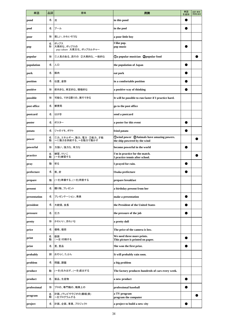| 単語           | 品詞     | 意味                                              | 用例                                                                         | 単語<br>を追加 | 品詞·意味·<br>用例を追加 |
|--------------|--------|-------------------------------------------------|----------------------------------------------------------------------------|-----------|-----------------|
| pond         | 名      | 池                                               | in this pond                                                               |           |                 |
| pool         | 名      | プール                                             | in the pool                                                                |           |                 |
| poor         | 形      | 貧しい、かわいそうな                                      | a poor little boy                                                          |           |                 |
| pop          | 名<br>形 | ポップス<br>大衆的な、ポップスの<br>pop culture 大衆文化、ポップカルチャー | I like pop.<br>pop music                                                   |           |                 |
| popular      | 形      | ①人気のある、流行の ②大衆的な、一般的な                           | <b>1</b> Oa popular musician <b>2</b> popular food                         |           |                 |
| population   | 名      | 人口                                              | the population of Japan                                                    |           |                 |
| pork         | 名      | 豚肉                                              | eat pork                                                                   |           |                 |
| position     | 名      | 位置、姿勢                                           | in a comfortable position                                                  |           |                 |
| positive     | 形      | 前向きな、肯定的な、積極的な                                  | a positive way of thinking                                                 |           |                 |
| possible     | 形      | 可能な、できる限りの、実行できる                                | It will be possible to run faster if I practice hard.                      |           |                 |
| post office  | 名      | 郵便局                                             | go to the post office                                                      |           |                 |
| postcard     | 名      | はがき                                             | send a postcard                                                            |           |                 |
| poster       | 名      | ポスター                                            | a poster for this event                                                    |           |                 |
| potato       | 名      | ジャガイモ、ポテト                                       | fried potato                                                               |           |                 |
| power        | 名<br>動 | ①力、エネルギー、動力、電力 ②能力、才能<br>~に動力を供給する、~を動力で動かす     | Owind power 2 Animals have amazing powers.<br>the ship powered by the wind |           |                 |
| powerful     | 形      | 力強い、強力な、有力な                                     | become powerful in the world                                               |           |                 |
| practice     | 名<br>動 | 練習、けいこ<br>(~を)練習する                              | I'm in practice for the match.<br>I practice tennis after school.          |           |                 |
| pray         | 動      | 祈る                                              | I prayed for rain.                                                         |           |                 |
| prefecture   | 名      | 県、府                                             | Osaka prefecture                                                           |           |                 |
| prepare      | 動      | (~を)準備する、(~を)用意する                               | prepare breakfast                                                          |           |                 |
| present      | 名      | 贈り物、プレゼント                                       | a birthday present from her                                                |           |                 |
| presentation | 名      | プレゼンテーション、発表                                    | make a presentation                                                        |           |                 |
| president    | 名      | 大統領、会長                                          | the President of the United States                                         |           |                 |
| pressure     | 名      | 圧力                                              | the pressure of the job                                                    |           |                 |
| pretty       | 形      | かわいい、きれいな                                       | a pretty doll                                                              |           |                 |
| price        | 名      | 価格、値段                                           | The price of the camera is low.                                            |           |                 |
| print        | 名<br>動 | 版画<br>(~を)印刷する                                  | We need three more prints.<br>This picture is printed on paper.            |           |                 |
| prize        | 名      | 賞、賞品                                            | She won the first prize.                                                   |           |                 |
| probably     | 副      | おそらく、たぶん                                        | It will probably rain soon.                                                |           |                 |
| problem      | 名      | 問題、課題                                           | a big problem                                                              |           |                 |
| produce      | 動      | (~を)生み出す、(~を)産出する                               | The factory produces hundreds of cars every week.                          |           |                 |
| product      | 名      | 製品、生産物                                          | a new product                                                              |           |                 |
| professional | 形      | プロの、専門職の、職業上の                                   | professional baseball                                                      |           |                 |
| program      | 名<br>動 | 計画、(テレビやラジオの)番組(表)<br>~をプログラムする                 | a TV program<br>program the computer                                       |           |                 |
| project      | 名      | 計画、企画、事業、プロジェクト                                 | a project to build a new city                                              |           |                 |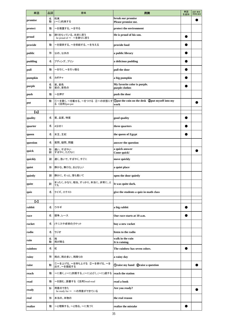| 単語                           | 品詞     | 意味                                         | 用例                                                    | 単語<br>を追加 | 品詞·意味·<br>用例を追加 |
|------------------------------|--------|--------------------------------------------|-------------------------------------------------------|-----------|-----------------|
| promise                      | 名<br>動 | 約束<br>(~に)約束する                             | break our promise<br>Please promise me.               |           |                 |
| protect                      | 動      | ~を保護する、~を守る                                | protect the environment                               |           |                 |
| proud                        | 形      | 誇りをもっている、光栄に思う<br>be proud of ~ ~を誇りに思う    | He is proud of his son.                               |           |                 |
| provide                      | 動      | ~を提供する、~を供給する、~を与える                        | provide food                                          |           |                 |
| public                       | 形      | 公の、公共の                                     | a public library                                      |           |                 |
| pudding                      | 名      | プディング、プリン                                  | a delicious pudding                                   |           |                 |
| pull                         | 動      | ~を引く、~を引っ張る                                | pull the door                                         |           |                 |
| pumpkin                      | 名      | カボチャ                                       | a big pumpkin                                         |           |                 |
| purple                       | 名<br>形 | 紫、紫色<br>紫の、紫色の                             | My favorite color is purple.<br>purple clothes        |           |                 |
| push                         | 動      | ~を押す                                       | push the door                                         |           |                 |
| put                          | 動      | 1)~を置く、~を載せる、~をつける 2~の状態にす<br>る《活用》put-put | Oput the coin on the desk 2put myself into my<br>work |           |                 |
| $\left( \alpha \right)$      |        |                                            |                                                       |           |                 |
| quality                      | 名      | 質、品質、特質                                    | good quality                                          |           |                 |
| quarter                      | 名      | 4分の1                                       | three quarters                                        |           |                 |
| queen                        | 名      | 女王、王妃                                      | the queen of Egypt                                    |           |                 |
| question                     | 名      | 質問、疑問、問題                                   | answer the question                                   |           |                 |
| quick                        | 形<br>副 | 速い、すばやい<br>すばやく、ただちに                       | a quick answer<br>Come quick!                         |           |                 |
| quickly                      | 副      | 速く、急いで、すばやく、すぐに                            | move quickly                                          |           |                 |
| quiet                        | 形      | 静かな、無口な、おとなしい                              | a quiet place                                         |           |                 |
| quietly                      | 副      | 静かに、そっと、落ち着いて                              | open the door quietly                                 |           |                 |
| quite                        | 副      | まったく、かなり、相当、すっかり、本当に、非常に、と<br>ても           | It was quite dark.                                    |           |                 |
| quiz                         | 名      | クイズ、小テスト                                   | give the students a quiz in math class                |           |                 |
| $\lbrack \mathbf{r} \rbrack$ |        |                                            |                                                       |           |                 |
| rabbit                       | 名      | ウサギ                                        | a big rabbit                                          |           |                 |
| race                         | 名      | 競争、レース                                     | Our race starts at 10 a.m.                            |           |                 |
| racket                       | 名      | (テニスや卓球の)ラケット                              | buy a new racket                                      |           |                 |
| radio                        | 名      | ラジオ                                        | listen to the radio                                   |           |                 |
| rain                         | 名<br>動 | 雨<br>雨が降る                                  | walk in the rain<br>It is raining.                    |           |                 |
| rainbow                      | 名      | 虹                                          | The rainbow has seven colors.                         |           |                 |
| rainy                        | 形      | 雨の、雨の多い、雨降りの                               | a rainy day                                           |           |                 |
| raise                        | 動      | ①~を上げる、~を持ち上げる ②~を挙げる、~を<br>出す、〜を提起する      | Oraise my hand Qraise a question                      |           | D               |
| reach                        | 動      | ~に着く、(~に)到着する、(~に)とどく、(~に)達する              | reach the station                                     |           |                 |
| read                         | 動      | ~を読む、読書する《活用》read-read                     | read a book                                           |           |                 |
| ready                        | 形      | 用意のできた<br>be ready for ~ ~の用意ができている        | Are you ready?                                        |           |                 |
| real                         | 形      | 本当の、本物の                                    | the real reason                                       |           |                 |
| realize                      | 動      | ~と理解する、~と悟る、~に気づく                          | realize the mistake                                   |           |                 |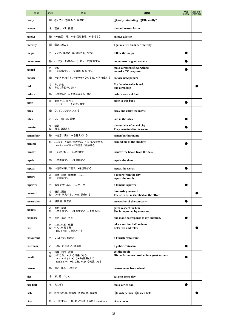| 単語         | 品詞     | 意味                                                                                       | 用例                                                              | 単語<br>を追加 | 品詞·意味·<br>用例を追加 |
|------------|--------|------------------------------------------------------------------------------------------|-----------------------------------------------------------------|-----------|-----------------|
| really     | 副      | ①とても ②本当に、実際に                                                                            | <b>Oreally interesting 200h, really?</b>                        |           |                 |
| reason     | 名      | 理由、わけ、根拠                                                                                 | the real reason for $\sim$                                      |           |                 |
| receive    | 動      | (~を)受ける、(~を)受け取る、(~を)もらう                                                                 | receive a letter                                                |           |                 |
| recently   | 副      | 最近、近ごろ                                                                                   | I got a letter from her recently.                               |           |                 |
| recipe     | 名      | レシピ、調理法、(料理などの)作り方                                                                       | follow the recipe                                               |           |                 |
| recommend  | 動      | (に)(~を)勧める、(に)(~を)推薦する                                                                   | recommend a good camera                                         |           |                 |
| record     | 名<br>動 | 記録<br>~を記録する、~を録画〔録音〕する                                                                  | make a record of everything<br>record a TV program              |           |                 |
| recycle    | 動      | ~を再利用する、~をリサイクルする、~を再生する                                                                 | recycle newspapers                                              |           |                 |
| red        | 名<br>形 | 赤、赤色<br>赤の、赤色の、赤い                                                                        | My favorite color is red.<br>buy a red bag                      |           |                 |
| reduce     | 動      | ~を減らす、~を減少させる、減る                                                                         | reduce waste of food                                            |           |                 |
| refer      | 動      | 参照する、調べる<br>refer to ~ ~を示す、表す                                                           | refer to this book                                              |           |                 |
| relax      | 動      | くつろぐ、リラックスする                                                                             | relax and enjoy the movie                                       |           |                 |
| relay      | 名      | リレー(競技)、競走                                                                               | run in the relay                                                |           |                 |
| remain     | 名<br>動 | 遺跡<br>残る、とどまる                                                                            | the remains of an old city<br>They remained in the room.        |           |                 |
| remember   | 動      | ~を思い出す、~を覚えている                                                                           | remember her name                                               |           |                 |
| remind     | 動      | (に)(~を)思い出させる、(~を)気づかせる<br>remind A of B AにBを思い出させる                                      | remind me of the old days                                       |           |                 |
| remove     | 動      | ~を取り除く、~を取り外す                                                                            | remove the books from the desk                                  |           |                 |
| repair     | 動      | ~を修理する、~を修繕する                                                                            | repair the shoes                                                |           |                 |
| repeat     | 動      | ~を繰り返して言う、~を復唱する                                                                         | repeat the words                                                |           |                 |
| report     | 名<br>動 | 報告、報道、報告書、レポート<br>~を報告する                                                                 | a report from the city<br>report the result                     |           |                 |
| reporter   | 名      | 新聞記者、ニュースレポーター                                                                           | a famous reporter                                               |           |                 |
| research   | 名<br>動 | 研究、調査<br>(~を)研究する、(~を)調査する                                                               | interesting research<br>The scientist researched on the effect. |           |                 |
| researcher | 名      | 研究者、調査員                                                                                  | researcher of the company                                       |           |                 |
| respect    | 名<br>動 | 尊敬、敬意<br>~を尊敬する、~を尊重する、~を重んじる                                                            | great respect for him<br>She is respected by everyone.          |           |                 |
| response   | 名      | 反応、返答、答え                                                                                 | She made no response to my question.                            |           |                 |
| rest       | 名<br>動 | 休息、休憩、休養<br>休む、休息する<br>take a rest ひと休みする                                                | take a rest for half an hour<br>Let's rest and relax.           |           |                 |
| restaurant | 名      | レストラン、料理店                                                                                | a French restaurant                                             |           |                 |
| restroom   | 名      | トイレ、お手洗い、洗面所                                                                             | a public restroom                                               |           |                 |
| result     | 名<br>動 | 結果、結末、成果<br>~になる、~という結果になる<br>as a result (of ~) (~の)結果として<br>result in ~ ~になる、~という結果になる | get the result<br>His performance resulted in a great success.  |           |                 |
| return     | 動      | 戻る、帰る、~を返す                                                                               | return home from school                                         |           |                 |
| rice       | 名      | 米、稲、ごはん                                                                                  | eat rice every day                                              |           |                 |
| rice ball  | 名      | おにぎり                                                                                     | make a rice ball                                                |           |                 |
| rich       | 形      | ①金持ちの、裕福な ②豊かな、豊富な                                                                       | Da rich person 2a rich field                                    |           |                 |
| ride       | 動      | (~に)乗る、(~に)乗っていく《活用》rode-ridden                                                          | ride a horse                                                    |           |                 |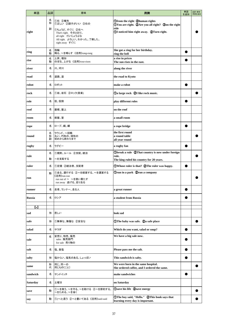| 単語            | 品詞          | 意味                                                                                                                                      | 用例                                                                                                                                       | 単語<br>を追加 | 品詞·意味·<br>用例を追加 |
|---------------|-------------|-----------------------------------------------------------------------------------------------------------------------------------------|------------------------------------------------------------------------------------------------------------------------------------------|-----------|-----------------|
| right         | 名<br>形<br>副 | ①右 ②権利<br>①正しい 2調子がいい 3右の<br>①ちょうど、すぐに ②右へ<br>That's right. そのとおり。<br>all right だいじょうぶな<br>All right. よろしい。わかった。了解した。<br>right away すぐに | Ofrom the right 2human rights<br>OYou are right. @Are you all right? ③on the right<br>side<br>10 DI noticed him right away. 2Turn right. |           |                 |
| ring          | 名           | 指輪                                                                                                                                      | She got a ring for her birthday.                                                                                                         |           |                 |
|               | 動<br>名      | 鳴る、~を鳴らす 《活用》rang-rung<br>上昇、増加                                                                                                         | ring the bell<br>a rise in prices                                                                                                        |           |                 |
| rise          | 動           | のぼる、上がる《活用》rose-risen                                                                                                                   | The sun rises in the east.                                                                                                               |           |                 |
| river         | 名           | 川、河川                                                                                                                                    | along the river                                                                                                                          |           |                 |
| road          | 名           | 道路、道                                                                                                                                    | the road to Kyoto                                                                                                                        |           |                 |
| robot         | 名           | ロボット                                                                                                                                    | make a robot                                                                                                                             |           |                 |
| rock          | 名           | ①岩、岩石 ②ロック(音楽)                                                                                                                          | <b>1</b> Oa large rock 2I like rock music.                                                                                               |           |                 |
| role          | 名           | 役、役割                                                                                                                                    | play different roles                                                                                                                     |           |                 |
| roof          | 名           | 屋根、屋上                                                                                                                                   | on the roof                                                                                                                              |           |                 |
| room          | 名           | 部屋、室                                                                                                                                    | a small room                                                                                                                             |           |                 |
| rope          | 名           | ロープ、縄、綱                                                                                                                                 | a rope bridge                                                                                                                            |           |                 |
| round         | 名<br>形<br>副 | ラウンド、~回戦<br>丸い、円形の、球形の<br>初めから終わりまで                                                                                                     | the first round<br>a round table<br>all year round                                                                                       |           |                 |
| rugby         | 名           | ラグビー                                                                                                                                    | a rugby fan                                                                                                                              |           |                 |
| rule          | 名           | ①規則、ルール ②支配、統治                                                                                                                          | <b>Obreak a rule @That country is now under foreign</b><br>rule.                                                                         |           |                 |
|               | 動           | ~を支配する                                                                                                                                  | The king ruled his country for 20 years.                                                                                                 |           |                 |
| ruler         | 名           | ①定規 ②統治者、支配者                                                                                                                            | OWhose ruler is that? 2The ruler was happy.                                                                                              |           |                 |
| run           | 動           | ①走る、運行する ②~を経営する、~を運営する<br>《活用》ran-run<br>run out of ~ ~を使い果たす<br>run away 逃げる、走り去る                                                     | <b>Orun in a park Qrun a company</b>                                                                                                     |           |                 |
| runner        | 名           | 走者、ランナー、走る人                                                                                                                             | a great runner                                                                                                                           |           |                 |
| <b>Russia</b> | 名           | ロシア                                                                                                                                     | a student from Russia                                                                                                                    |           |                 |
| [s]           |             |                                                                                                                                         |                                                                                                                                          |           |                 |
| sad           | 形           | 悲しい                                                                                                                                     | look sad                                                                                                                                 |           |                 |
| safe          | 形           | ①無事な、無傷な ②安全な                                                                                                                           | <b>The baby was safe.</b> 2a safe place                                                                                                  |           |                 |
| salad         | 名           | サラダ                                                                                                                                     | Which do you want, salad or soup?                                                                                                        |           |                 |
| sale          | 名           | 安売り、特売、販売<br>sales 販売部門<br>for sale 売り物の                                                                                                | We have a big sale now.                                                                                                                  |           |                 |
| salt          | 名           | 塩、食塩                                                                                                                                    | Please pass me the salt.                                                                                                                 |           |                 |
| salty         | 形           | 塩からい、塩気のある、しょっぱい                                                                                                                        | This sandwich is salty.                                                                                                                  |           |                 |
| same          | 形<br>代      | 同じ、同一の<br>同じもの(こと)                                                                                                                      | We were born in the same hospital.<br>She ordered coffee, and I ordered the same.                                                        |           |                 |
| sandwich      | 名           | サンドイッチ                                                                                                                                  | make sandwiches                                                                                                                          |           |                 |
| Saturday      | 名           | 土曜日                                                                                                                                     | on Saturday                                                                                                                              |           |                 |
| save          | 動           | 1~を救う、~を守る、~を助ける 2~を節約する、<br>~をためる、~を省く                                                                                                 | <b>1</b> Save his life 2save energy                                                                                                      |           |                 |
| say           | 動           | ①(~と)言う ②~と書いてある 《活用》said-said                                                                                                          | ①The boy said, "Hello." ②This book says that<br>learning every day is important.                                                         |           |                 |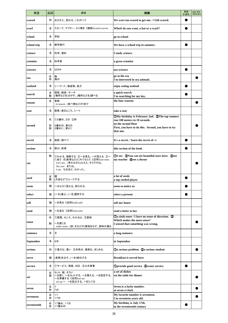| 単語          | 品詞     | 意味                                                                                                                              | 用例                                                                                                                             | 単語<br>を追加 | 品詞·意味·<br>用例を追加 |
|-------------|--------|---------------------------------------------------------------------------------------------------------------------------------|--------------------------------------------------------------------------------------------------------------------------------|-----------|-----------------|
| scared      | 形      | おびえた、恐れる、こわがって                                                                                                                  | We were too scared to get out. / I felt scared.                                                                                |           |                 |
| scarf       | 名      | スカーフ、マフラー、えり巻き《複数》scarfs/scarves                                                                                                | Which do you want, a hat or a scarf?                                                                                           |           |                 |
| school      | 名      | 学校                                                                                                                              | go to school                                                                                                                   |           |                 |
| school trip | 名      | 修学旅行                                                                                                                            | We have a school trip in summer.                                                                                               |           |                 |
| science     | 名      | 科学、理科                                                                                                                           | I study science.                                                                                                               |           |                 |
| scientist   | 名      | 科学者                                                                                                                             | a great scientist                                                                                                              |           |                 |
| scissors    | 名      | はさみ                                                                                                                             | use scissors                                                                                                                   |           |                 |
| sea         | 名<br>形 | 海<br>海の                                                                                                                         | go to the sea<br>I'm interested in sea animals.                                                                                |           |                 |
| seafood     | 名      | シーフード、海産物、魚介                                                                                                                    | enjoy eating seafood                                                                                                           |           |                 |
| search      | 名<br>動 | 探索、検索、サーチ<br>(場所などを)さがす、(場所などを)調べる                                                                                              | a quick search<br>I'm searching for my key.                                                                                    |           |                 |
| season      | 名      | 季節<br>in season (食べ物などが)旬で                                                                                                      | the four seasons                                                                                                               |           |                 |
| seat        | 名      | 座席、座るところ、シート                                                                                                                    | take a seat                                                                                                                    |           |                 |
|             | 名      | ①2番め、2日 ②秒                                                                                                                      | $\Omega_M$ birthday is February 2nd. $\Omega$ The top runners<br>run 100 meters in 10 seconds.                                 |           |                 |
| second      | 形<br>副 | 2番めの、第2の<br>2番めに、第2に                                                                                                            | on the second floor<br>First, you have to do this. Second, you have to try<br>that one.                                        |           |                 |
| secret      | 名      | 秘密、秘けつ                                                                                                                          | It's a secret. / learn the secret of $\sim$                                                                                    |           |                 |
| section     | 名      | 部分、区域                                                                                                                           | this section of the book                                                                                                       |           |                 |
| see         | 動      | ①わかる、理解する ②~を見る、~が見える ③~<br>に会う ④(医者など)にみてもらう《活用》saw-seen<br>Let's see. (考えながら)ええと。そうですね。<br>See you. またね。<br>I see. なるほど。わかった。 | <b>11</b> see. <b>2</b> You can see beautiful stars here. <b>3</b> see<br>my teacher 4 See a doctor                            |           |                 |
| seed        | 名<br>動 | 種<br>(大会などで)シードする                                                                                                               | a lot of seeds<br>a top seeded player                                                                                          |           |                 |
| seem        | 動      | ~のように見える、思われる                                                                                                                   | seem to notice us                                                                                                              |           |                 |
| select      | 動      | (~を)選ぶ、(~を)選択する                                                                                                                 | select a present                                                                                                               |           |                 |
| sell        | 動      | ~を売る《活用》sold-sold                                                                                                               | sell our house                                                                                                                 |           |                 |
| send        | 動      | ~を送る《活用》sent-sent                                                                                                               | send a letter to her                                                                                                           |           |                 |
| sense       | 名<br>動 | ①感覚、センス、わかる心 ②意味<br>~を感じる<br>make sense (話·文などが)意味をなす、意味が通る                                                                     | <b>1</b> Oa sixth sense / I have no sense of direction. 2<br>Which makes the most sense?<br>I sensed that something was wrong. |           |                 |
| sentence    | 名      | 文                                                                                                                               | a long sentence                                                                                                                |           |                 |
| September   | 名      | 9月                                                                                                                              | in September                                                                                                                   |           |                 |
| serious     | 形      | ①重大な、重い ②本気の、真剣な、まじめな                                                                                                           | <b>Da serious problem 2a serious student</b>                                                                                   |           |                 |
| serve       | 動      | (食事)を出す、(~を)給仕する                                                                                                                | Breakfast is served here.                                                                                                      |           |                 |
| service     | 名      | ①サービス、接客、対応 ②公共事業                                                                                                               | <b>Oprovide good service Qwater service</b>                                                                                    |           |                 |
| set         | 名<br>動 | セット、組、そろい<br>~を置く、~をセットする、~を整える、~を設定する、<br>~を準備する《活用》set-set<br>set up ~ ~を設立する、~をたてる                                           | a set of dishes<br>set the table for dinner                                                                                    |           |                 |
| seven       | 名<br>形 | 7<br>7の                                                                                                                         | Seven is a lucky number.<br>at seven o'clock                                                                                   |           |                 |
| seventeen   | 名<br>形 | 17<br>17の                                                                                                                       | My favorite number is seventeen.<br>I'm seventeen years old.                                                                   |           |                 |
| seventeenth | 名<br>形 | 17番め、17日<br>17番めの                                                                                                               | My birthday is July 17th.<br>in the seventeenth century                                                                        |           |                 |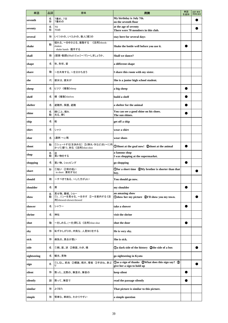| 単語          | 品詞     | 意味                                                              | 用例                                                                               | 単語<br>を追加 | 品詞·意味·<br>用例を追加 |
|-------------|--------|-----------------------------------------------------------------|----------------------------------------------------------------------------------|-----------|-----------------|
| seventh     | 名<br>形 | 7番め、7日<br>7番めの                                                  | My birthday is July 7th.<br>on the seventh floor                                 |           |                 |
| seventy     | 名<br>形 | 70<br>70の                                                       | at the age of seventy<br>There were 70 members in this club.                     |           |                 |
| several     | 形      | いくつかの、いくらかの、数人[個]の                                              | stay here for several days                                                       |           |                 |
| shake       | 動      | 揺れる、~をゆさぶる、振動する<br>《活用》shook-<br>shaken<br>shake hands 握手する     | Shake the bottle well before you use it.                                         |           |                 |
| shall       | 助      | (提案・勧誘)(Shall I〔we〕~?で)~しましょうか。                                 | Shall we dance?                                                                  |           |                 |
| shape       | 名      | 形、形状、姿                                                          | a different shape                                                                |           |                 |
| share       | 動      | ~を共有する、~を分かち合う                                                  | I share this room with my sister.                                                |           |                 |
| she         | 代      | 彼女は、彼女が                                                         | She is a junior high school student.                                             |           |                 |
| sheep       | 名      | ヒツジ《複数》sheep                                                    | a big sheep                                                                      |           |                 |
| shelf       | 名      | 棚《複数》shelves                                                    | build a shelf                                                                    |           |                 |
| shelter     | 名      | 避難所、保護、避難                                                       | a shelter for the animal                                                         |           |                 |
| shine       | 名<br>動 | 輝くこと、晴れ<br>光る、輝く                                                | You can see a good shine on his shoes.<br>The sun shines.                        |           |                 |
| ship        | 名      | 船                                                               | get off a ship                                                                   |           |                 |
| shirt       | 名      | シャツ                                                             | wear a shirt                                                                     |           |                 |
| shoe        | 名      | (通例 ~s)靴                                                        | wear shoes                                                                       |           |                 |
| shoot       | 動      | ①シュートする[を決める] ②(弾丸・矢など)を(~に向<br>かって)撃つ、射る《活用》shot-shot          | <b>OShoot at the goal now! 2shoot at the animal</b>                              |           |                 |
| shop        | 名<br>動 | 店<br>買い物をする                                                     | a famous shop<br>I was shopping at the supermarket.                              |           |                 |
| shopping    | 名      | 買い物、ショッピング                                                      | go shopping                                                                      |           |                 |
| short       | 形      | ①短い ②背の低い<br>in short 要約すると                                     | Ofor a short time 2My brother is shorter than that<br>boy.                       |           |                 |
| should      | 助      | ~すべきである、~した方がよい                                                 | You should go now.                                                               |           |                 |
| shoulder    | 名      | 肩                                                               | my shoulder                                                                      |           |                 |
| show        | 名<br>動 | 見せ物、番組、ショー<br>①(に)~を見せる、~を示す ②~を案内する《活<br>用》showed-shown/showed | an amazing show<br>Oshow her my picture 2I'll show you my town.                  |           |                 |
| shower      | 名      | シャワー                                                            | take a shower                                                                    |           |                 |
| shrine      | 名      | 神社                                                              | visit the shrine                                                                 |           |                 |
| shut        | 動      | ~をしめる、(~を)閉じる 《活用》shut-shut                                     | shut the door                                                                    |           |                 |
| shy         | 形      | 恥ずかしがりの、内気な、人見知りをする                                             | He is very shy.                                                                  |           |                 |
| sick        | 形      | 病気の、具合が悪い                                                       | She is sick.                                                                     |           |                 |
| side        | 名      | ①側、面、派 ②側面、わき、横                                                 | ①a dark side of the history ②the side of a box                                   |           |                 |
| sightseeing | 名      | 観光、見物                                                           | go sightseeing in Kyoto                                                          |           |                 |
| sign        | 名      | ①しるし、前兆 ②標識、掲示、看板 ③手まね、身ぶ<br>LJ                                 | (Das a sign of thanks QWhat does this sign say? 3)<br>give her a sign to hold up |           |                 |
| silent      | 形      | 黙った、沈黙の、無言の、無音の                                                 | keep silent                                                                      |           |                 |
| silently    | 副      | 黙って、無言で                                                         | read the passage silently                                                        |           |                 |
| similar     | 形      | よく似た                                                            | That picture is similar to this picture.                                         |           |                 |
| simple      | 形      | 簡単な、単純な、わかりやすい                                                  | a simple question                                                                |           |                 |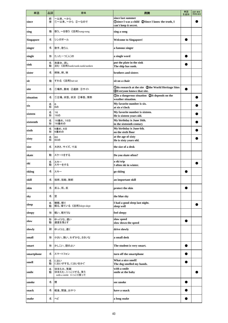| 単語               | 品詞     | 意味                                                | 用例                                                                                                    | 単語<br>を追加 | 品詞·意味·<br>用例を追加 |
|------------------|--------|---------------------------------------------------|-------------------------------------------------------------------------------------------------------|-----------|-----------------|
| since            | 前<br>接 | ~以来、~から<br>①~以来、~から ②~なので                         | since last summer<br><b>Osince I was a child  2Since I know the truth, I</b><br>can't keep it secret. |           |                 |
| sing             | 動      | 歌う、~を歌う《活用》sang-sung                              | sing a song                                                                                           |           |                 |
| <b>Singapore</b> | 名      | シンガポール                                            | <b>Welcome to Singapore!</b>                                                                          |           |                 |
| singer           | 名      | 歌手、歌う人                                            | a famous singer                                                                                       |           |                 |
| single           | 形      | たったーつ〔人〕の                                         | a single word                                                                                         |           |                 |
| sink             | 名<br>動 | 洗面台、流し<br>沈む《活用》sank/sunk-sunk/sunken             | put the plate in the sink<br>The ship has sunk.                                                       |           |                 |
| sister           | 名      | 姉妹、姉、妹                                            | brothers and sisters                                                                                  |           |                 |
| sit              | 動      | すわる《活用》sat-sat                                    | sit on a chair                                                                                        |           |                 |
| site             | 名      | ①場所、敷地 ②遺跡 ③サイト                                   | Odo research at the site 2the World Heritage Sites<br><b>3</b> Everyone knows that site.              |           |                 |
| situation        | 名      | ①立場、状態、状況 ②事態、情勢                                  | <b>Oin a dangerous situation QIt depends on the</b><br>weather situation.                             |           |                 |
| six              | 名<br>形 | 6<br>6の                                           | My favorite number is six.<br>at six o'clock                                                          |           |                 |
| sixteen          | 名<br>形 | 16<br>16の                                         | My favorite number is sixteen.<br>He is sixteen years old.                                            |           |                 |
| sixteenth        | 名<br>形 | 16番め、16日<br>16番めの                                 | My birthday is June 16th.<br>in the sixteenth century                                                 |           |                 |
| sixth            | 名<br>形 | 6番め、6日<br>6番めの                                    | My birthday is June 6th.<br>on the sixth floor                                                        |           |                 |
| sixty            | 名<br>形 | 60<br>60の                                         | at the age of sixty<br>He is sixty years old.                                                         |           |                 |
| size             | 名      | 大きさ、サイズ、寸法                                        | the size of a desk                                                                                    |           |                 |
| skate            | 動      | スケートをする                                           | Do you skate often?                                                                                   |           |                 |
| ski              | 名<br>動 | スキー<br>スキーをする                                     | a ski trip<br>I often ski in winter.                                                                  |           |                 |
| skiing           | 名      | スキー                                               | go skiing                                                                                             |           |                 |
| skill            | 名      | 技術、技能、腕前                                          | an important skill                                                                                    |           |                 |
| skin             | 名      | 皮ふ、肌、皮                                            | protect the skin                                                                                      |           |                 |
| sky              | 名      | 空                                                 | the blue sky                                                                                          |           |                 |
| sleep            | 名<br>動 | 睡眠、眠り<br>眠る、寝ている《活用》slept-slept                   | I had a good sleep last night.<br>sleep well                                                          |           |                 |
| sleepy           | 形      | 眠い、眠そうな                                           | feel sleepy                                                                                           |           |                 |
| slow             | 形<br>動 | ゆっくりな、遅い<br>速度を落とす                                | slow speed<br>slow down the speed                                                                     |           |                 |
| slowly           | 副      | ゆっくりと、遅く                                          | drive slowly                                                                                          |           |                 |
| small            | 形      | 小さい、狭い、わずかな、ささいな                                  | a small desk                                                                                          |           |                 |
| smart            | 形      | かしこい、頭のよい                                         | The student is very smart.                                                                            |           |                 |
| smartphone       | 名      | スマートフォン                                           | turn off the smartphone                                                                               |           |                 |
| smell            | 名<br>動 | におい<br>においがする、においをかぐ                              | What a nice smell!<br>The dog smelled my hands.                                                       |           |                 |
| smile            | 名<br>動 | ほほえみ、笑顔<br>ほほえむ、にっこりする、笑う<br>with a smile にっこり笑って | with a smile<br>smile at the baby                                                                     |           |                 |
| smoke            | 名      | 煙                                                 | see smoke                                                                                             |           |                 |
| snack            | 名      | 軽食、間食、おやつ                                         | have a snack                                                                                          |           |                 |
| snake            | 名      | ヘビ                                                | a long snake                                                                                          |           |                 |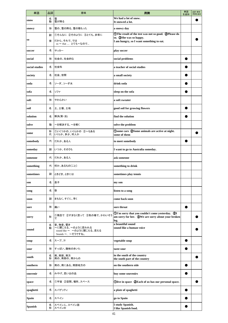| 単語             | 品詞     | 意味                                                                             | 用例                                                                                                                     | 単語<br>を追加 | 品詞・意味・<br>用例を追加 |
|----------------|--------|--------------------------------------------------------------------------------|------------------------------------------------------------------------------------------------------------------------|-----------|-----------------|
| snow           | 名<br>動 | 雪<br>雪が降る                                                                      | We had a lot of snow.<br>It snowed a lot.                                                                              |           |                 |
| snowy          | 形      | 雪の、雪の降る、雪の積もった                                                                 | a snowy day                                                                                                            |           |                 |
|                | 副      | ①そんなに ②そのように ③とても、非常に                                                          | <b>OThe result of the test was not so good. @Please do</b><br>so. <b>3</b> She was so happy.                           |           |                 |
| <b>SO</b>      | 接      | だから、それで、では<br>so ~ that  とても~なので                                               | I am hungry, so I want something to eat.                                                                               |           |                 |
| soccer         | 名      | サッカー                                                                           | play soccer                                                                                                            |           |                 |
| social         | 形      | 社会の、社会的な                                                                       | social problems                                                                                                        |           |                 |
| social studies | 名      | 社会科                                                                            | a teacher of social studies                                                                                            |           |                 |
| society        | 名      | 社会、世間                                                                          | a small society                                                                                                        |           |                 |
| soda           | 名      | ソーダ、ソーダ水                                                                       | drink soda                                                                                                             |           |                 |
| sofa           | 名      | ソファ                                                                            | sleep on the sofa                                                                                                      |           |                 |
| soft           | 形      | やわらかい                                                                          | a soft sweater                                                                                                         |           |                 |
| soil           | 名      | 土、土壌、土地                                                                        | good soil for growing flowers                                                                                          |           |                 |
| solution       | 名      | 解決(策・法)                                                                        | find the solution                                                                                                      |           |                 |
| solve          | 動      | ~を解決する、~を解く                                                                    | solve the problem                                                                                                      |           |                 |
| some           | 形<br>代 | ①いくつかの、いくらかの ②~もある<br>いくらか、多少、何人か                                              | Osome cars 2Some animals are active at night.<br>some of them                                                          |           |                 |
| somebody       | 代      | だれか、ある人                                                                        | to meet somebody                                                                                                       |           |                 |
| someday        | 副      | いつか、そのうち                                                                       | I want to go to Australia someday.                                                                                     |           |                 |
| someone        | 代      | だれか、ある人                                                                        | ask someone                                                                                                            |           |                 |
| something      | 代      | 何か、あるもの〔こと〕                                                                    | something to drink                                                                                                     |           |                 |
| sometimes      | 副      | ときどき、ときには                                                                      | sometimes play tennis                                                                                                  |           |                 |
| son            | 名      | 息子                                                                             | my son                                                                                                                 |           |                 |
| song           | 名      | 歌                                                                              | listen to a song                                                                                                       |           |                 |
| soon           | 副      | まもなく、すぐに、早く                                                                    | come back soon                                                                                                         |           |                 |
| sore           | 形      | 痛い                                                                             | sore throat                                                                                                            |           |                 |
| sorry          | 形      | 1残念で 2すまなく思って 3気の毒で、かわいそう                                                      | 10 T'm sorry that you couldn't come yesterday. 2I<br>am sorry for her. <b>30We are sorry about your broken</b><br>leg. |           |                 |
| sound          | 名<br>動 | 音、物音、響き<br>~に聞こえる、~のように思われる<br>sound like ~ ~のように聞こえる、思える<br>Sounds ~. ~そうですね。 | a beautiful sound<br>sound like a human voice                                                                          |           |                 |
| soup           | 名      | スープ、汁                                                                          | vegetable soup                                                                                                         |           |                 |
| sour           | 形      | すっぱい、酸味のきいた                                                                    | taste sour                                                                                                             |           |                 |
| south          | 名<br>形 | 南、南部、南方<br>南の、南部の、南からの                                                         | in the south of the country<br>the south part of the country                                                           |           |                 |
| southern       | 形      | 南の、南にある、南部地方の                                                                  | on the southern side                                                                                                   |           |                 |
| souvenir       | 名      | みやげ、思い出の品                                                                      | buy some souvenirs                                                                                                     |           |                 |
| ${\bf space}$  | 名      | ①宇宙 ②空間、場所、スペース                                                                | Olive in space 2 Each of us has our personal space.                                                                    |           |                 |
| spaghetti      | 名      | スパゲッティ                                                                         | a plate of spaghetti                                                                                                   |           |                 |
| <b>Spain</b>   | 名      | スペイン                                                                           | go to Spain                                                                                                            |           |                 |
| <b>Spanish</b> | 名<br>形 | スペイン人、スペイン語<br>スペインの                                                           | I study Spanish.<br>I like Spanish food.                                                                               |           |                 |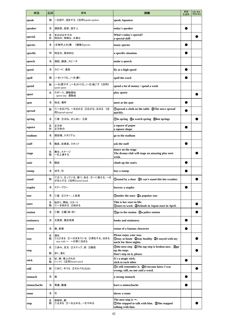| 単語          | 品詞     | 意味                                                    | 用例                                                                                                    | 単語<br>を追加 | 品詞·意味·<br>用例を追加 |
|-------------|--------|-------------------------------------------------------|-------------------------------------------------------------------------------------------------------|-----------|-----------------|
| speak       | 動      | ~を話す、話をする 《活用》spoke-spoken                            | speak Japanese                                                                                        |           |                 |
| speaker     | 名      | 演説者、話者、話す人                                            | today's speaker                                                                                       |           |                 |
| special     | 名<br>形 | 本日のおすすめ<br>特別の、特殊な、大事な                                | What's today's special?<br>a special skill                                                            |           |                 |
| species     | 名      | (生物学上の)種<br>《複数》species                               | many species                                                                                          |           |                 |
| specific    | 形      | 特定の、具体的な                                              | a specific situation                                                                                  |           |                 |
| speech      | 名      | 演説、講演、スピーチ                                            | make a speech                                                                                         |           |                 |
| speed       | 名      | スピード、速度                                               | fly at a high speed                                                                                   |           |                 |
| spell       | 動      | (~を)つづる、(~を)書く                                        | spell the word                                                                                        |           |                 |
| spend       | 動      | (~を)費やす、(~を)かける、(~を)過ごす 《活用》<br>spent-spent           | spend a lot of money / spend a week                                                                   |           |                 |
| sport       | 名      | スポーツ、運動競技<br>sports day 運動会                           | play sports                                                                                           |           |                 |
| spot        | 名      | 地点、場所                                                 | meet at the spot                                                                                      |           |                 |
| spread      | 動      | ①~を広げる、~を広める(②広がる、広まる 《活<br>用》spread-spread           | <b>Ospread a cloth on the table @The news spread</b><br>quickly.                                      |           |                 |
| spring      | 名      | ①春 ②ばね、ぜんまい ③泉                                        | <b>Oin spring 2a watch spring 3hot springs</b>                                                        |           |                 |
| square      | 名<br>形 | 正方形<br>正方形の                                           | a square of paper<br>a square shape                                                                   |           |                 |
| stadium     | 名      | 競技場、スタジアム                                             | go to the stadium                                                                                     |           |                 |
| staff       | 名      | 職員、従業員、スタッフ                                           | ask the staff                                                                                         |           |                 |
| stage       | 名<br>動 | 舞台、ステージ<br>~を上演する                                     | dance on the stage<br>The drama club will stage an amazing play next<br>week.                         |           |                 |
| stair       | 名      | 階段                                                    | climb up the stairs                                                                                   |           |                 |
| stamp       | 名      | 切手、印                                                  | buy a stamp                                                                                           |           |                 |
| stand       | 動      | ①立つ、立っている、建つ、ある ②~に耐える、~を<br>がまんする《活用》stood-stood     | <b>1</b> Ostand by a door 2 Can't stand this hot weather.                                             |           |                 |
| stapler     | 名      | ステープラー                                                | borrow a stapler                                                                                      |           |                 |
| star        | 名      | ①星 ②スター、人気者                                           | Qunder the stars 2a popular star                                                                      |           |                 |
| start       | 名<br>動 | 始まり、開始、スタート<br>①~を始める 2始まる                            | This is her start in life.<br>Ostart to work @Schools in Japan start in April.                        |           |                 |
| station     | 名      | ①駅 2署[局·所]                                            | Ogo to the station 2a police station                                                                  |           |                 |
| stationery  | 名      | 文房具、筆記用具                                              | books and stationery                                                                                  |           |                 |
| statue      | 名      | 像、彫像                                                  | statue of a famous character                                                                          |           |                 |
| stay        | 名<br>動 | 滞在<br>①とどまる ②~のままでいる ③滞在する、泊まる<br>stay with ~ ~の家に泊まる | Please enjoy your stay.<br>Ostay at home 2stay healthy 3I stayed with my<br>uncle for three nights.   |           |                 |
| step        | 名      | ①歩み、足元 ②ステップ、段 ③階段                                    | Othe next step 2The top step is broken now. 3go<br>up the steps                                       |           |                 |
|             | 動<br>名 | 歩く、進む<br>杖、棒、棒上のもの                                    | Don't step on it, please.<br>It's a magic stick.                                                      |           |                 |
| stick       | 動      | くっつく《活用》stuck-stuck                                   | stick to each other                                                                                   |           |                 |
| still       | 副      | 1まだ、今でも ②それでも(なお)                                     | ①I still remember it. ②Everyone knew I was<br>wrong; still, no one said a word.                       |           |                 |
| stomach     | 名      | 胃                                                     | a strong stomach                                                                                      |           |                 |
| stomachache | 名      | 胃痛、腹痛                                                 | have a stomachache                                                                                    |           |                 |
| stone       | 名      | 石                                                     | throw a stone                                                                                         |           |                 |
| stop        | 名<br>動 | 停留所、駅<br>①止まる ②~を止める、~をやめる                            | The next stop is $\sim$ .<br><b>10She stopped to talk with him. 2She stopped</b><br>talking with him. |           |                 |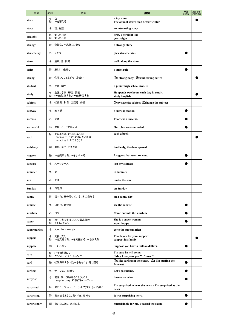| 単語            | 品詞     | 意味                                                           | 用例                                                              | 単語<br>を追加 | 品詞·意味·<br>用例を追加 |
|---------------|--------|--------------------------------------------------------------|-----------------------------------------------------------------|-----------|-----------------|
| store         | 名<br>動 | 店<br>~を蓄える                                                   | a toy store<br>The animal stores food before winter.            |           |                 |
| story         | 名      | 話、物語                                                         | an interesting story                                            |           |                 |
| straight      | 形<br>副 | まっすぐな<br>まっすぐに                                               | draw a straight line<br>go straight                             |           |                 |
| strange       | 形      | 奇妙な、不思議な、変な                                                  | a strange story                                                 |           |                 |
| strawberry    | 名      | イチゴ                                                          | pick strawberries                                               |           |                 |
| street        | 名      | 通り、道、街路                                                      | walk along the street                                           |           |                 |
| strict        | 形      | 厳しい、厳格な                                                      | a strict rule                                                   |           |                 |
| strong        | 形      | ①強い、じょうぶな ②濃い                                                | <b>Da strong body @drink strong coffee</b>                      |           |                 |
| student       | 名      | 生徒、学生                                                        | a junior high school student                                    |           |                 |
| study         | 名<br>動 | 勉強、学業、研究、調査<br>(~を)勉強する、(~を)研究する                             | He spends two hours each day in study.<br>study English         |           |                 |
| subject       | 名      | ①教科、科目 ②話題、件名                                                | Omy favorite subject 2change the subject                        |           |                 |
| subway        | 名      | 地下鉄                                                          | a subway station                                                |           |                 |
| success       | 名      | 成功                                                           | That was a success.                                             |           |                 |
| successful    | 形      | 成功した、うまくいった                                                  | Our plan was successful.                                        |           |                 |
| such          | 形      | そのような、そんな、あんな<br>such as ~ ~のような、たとえば~<br>A such as B BのようなA | such a book                                                     |           |                 |
| suddenly      | 副      | 突然、急に、いきなり                                                   | Suddenly, the door opened.                                      |           |                 |
| suggest       | 動      | ~を提案する、~をすすめる                                                | I suggest that we start now.                                    |           |                 |
| suitcase      | 名      | スーツケース                                                       | lost my suitcase                                                |           |                 |
| summer        | 名      | 夏                                                            | in summer                                                       |           |                 |
| sun           | 名      | 太陽                                                           | under the sun                                                   |           |                 |
| <b>Sunday</b> | 名      | 日曜日                                                          | on Sunday                                                       |           |                 |
| sunny         | 形      | 晴れた、日の照っている、日の当たる                                            | on a sunny day                                                  |           |                 |
| sunrise       | 名      | 日の出、朝焼け                                                      | see the sunrise                                                 |           |                 |
| sunshine      | 名      | 日光                                                           | Come out into the sunshine.                                     |           |                 |
| super         | 形<br>副 | 超~、実にすばらしい、最高級の<br>とても、すごく                                   | She is a super woman.<br>super happy                            |           |                 |
| supermarket   | 名      | スーパーマーケット                                                    | go to the supermarket                                           |           |                 |
| support       | 名<br>動 | 支持、支え<br>~を支持する、~を支援する、~を支える                                 | Thank you for your support.<br>support his family               |           |                 |
| suppose       | 動      | ~だと思う                                                        | Suppose you have a million dollars.                             |           |                 |
| sure          | 形<br>副 | (~を)確信して<br>もちろん、どうぞ、いいとも                                    | I'm sure he will come.<br>"May I use your pen?" "Sure."         |           |                 |
| surf          | 動      | 1波乗りする 2(~をあちこち)見て回る                                         | 1 U like surfing in the ocean. 2I like surfing the<br>Internet. |           |                 |
| surfing       | 名      | サーフィン、波乗り                                                    | Let's go surfing.                                               |           |                 |
| surprise      | 名      | 驚き、びっくりさせること〔もの〕<br>surprise party 不意打ちパーティー                 | have a surprise                                                 |           |                 |
| surprised     | 形      | 驚いた、びっくりした、(~して)驚く、(~に)驚く                                    | I'm surprised to hear the news. / I'm surprised at the<br>news. |           |                 |
| surprising    | 形      | 驚かせるような、驚くべき、意外な                                             | It was surprising news.                                         |           |                 |
| surprisingly  | 副      | 驚いたことに、意外にも                                                  | Surprisingly for me, I passed the exam.                         |           |                 |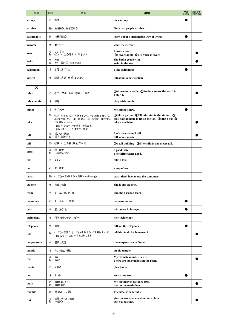| 単語           | 品詞     | 意味                                                                                                  | 用例                                                                                                                                  | 単語<br>を追加 | 品詞·意味·<br>用例を追加 |
|--------------|--------|-----------------------------------------------------------------------------------------------------|-------------------------------------------------------------------------------------------------------------------------------------|-----------|-----------------|
| survey       | 名      | 調査                                                                                                  | do a survey                                                                                                                         |           |                 |
| survive      | 動      | 生き残る、生き延びる                                                                                          | Only two people survived.                                                                                                           |           |                 |
| sustainable  | 形      | 持続可能な                                                                                               | learn about a sustainable way of living                                                                                             |           |                 |
| sweater      | 名      | セーター                                                                                                | wear the sweater                                                                                                                    |           |                 |
| sweet        | 名<br>形 | 甘いもの<br>①甘い ②心地よい、やさしい                                                                              | I love sweets.<br><b>1</b> Oa sweet apple <b>2</b> His voice is sweet.                                                              |           |                 |
| swim         | 名<br>動 | 泳ぎ<br>泳ぐ《活用》swam-swum                                                                               | She had a good swim.<br>swim in the sea                                                                                             |           |                 |
| swimming     | 名      | 水泳、泳ぐこと                                                                                             | I like swimming.                                                                                                                    |           |                 |
| system       | 名      | 装置、方式、体系、システム                                                                                       | introduce a new system                                                                                                              |           |                 |
|              |        |                                                                                                     |                                                                                                                                     |           |                 |
| [t]          |        |                                                                                                     | (1) Osit around a table (2) See how to use the word in                                                                              |           |                 |
| table        | 名      | ①テーブル、食卓 ②表、一覧表                                                                                     | Table 4.                                                                                                                            |           |                 |
| table tennis | 名      | 卓球                                                                                                  | play table tennis                                                                                                                   |           |                 |
| tablet       | 名      | タブレット                                                                                               | My tablet is new.                                                                                                                   |           |                 |
| take         | 動      | 1)(~を)とる ②~を持っていく、~を連れて行く 3<br>(時間が)かかる 4~に乗る 5~を飲む、服用する<br>《活用》took-taken<br>take ~ away ~を奪う、持ち去る | <b>Otake a picture QI'll take him to the station. </b> TIt<br>took half an hour to finish the job. @take a bus 5<br>take a medicine |           |                 |
| talk         | 名<br>動 | take off ~ ~をはずす、脱ぐ<br>話、短い講演<br>話す、話をする                                                            | Let's have a small talk.<br>talk about music                                                                                        |           |                 |
| tall         | 形      | ①高い 2身長[高さ]が~で                                                                                      |                                                                                                                                     |           |                 |
| taste        | 名<br>動 | 味、味覚<br>~な味がする                                                                                      | a good taste<br>The coffee tastes good.                                                                                             |           |                 |
| taxi         | 名      | タクシー                                                                                                | take a taxi                                                                                                                         |           |                 |
| tea          | 名      | 茶、紅茶                                                                                                | a cup of tea                                                                                                                        |           |                 |
| teach        | 動      | (に)(~を)教える《活用》taught-taught                                                                         | teach them how to use the computer                                                                                                  |           |                 |
|              |        |                                                                                                     |                                                                                                                                     |           |                 |
| teacher      | 名      | 先生、教師                                                                                               | She is our teacher.                                                                                                                 |           |                 |
| team         | 名      | チーム、部、組、団                                                                                           | join the baseball team                                                                                                              |           |                 |
| teammate     | 名      | チームメイト、仲間                                                                                           | my teammates                                                                                                                        |           |                 |
| tear         | 名      | 涙、泣くこと                                                                                              | with tears in his eyes                                                                                                              |           |                 |
| technology   | 名      | 科学技術、テクノロジー                                                                                         | new technology                                                                                                                      |           |                 |
| telephone    | 名      | 電話                                                                                                  | talk on the telephone                                                                                                               |           |                 |
| tell         | 動      | (に)~を言う、(に)~を教える 《活用》told-told<br>tell A to ~ Aに~するように言う                                            | tell him to do his homework                                                                                                         |           |                 |
| temperature  | 名      | 温度、気温                                                                                               | the temperature in Osaka                                                                                                            |           |                 |
| temple       | 名      | 寺、寺院、神殿                                                                                             | an old temple                                                                                                                       |           |                 |
| ten          | 名<br>形 | 10<br>10の                                                                                           | My favorite number is ten.<br>There are ten students in the room.                                                                   |           |                 |
| tennis       | 名      | テニス                                                                                                 | play tennis                                                                                                                         |           |                 |
| tent         | 名      | テント                                                                                                 | set up our tent                                                                                                                     |           |                 |
| tenth        | 名<br>形 | 10番め、10日<br>10番めの                                                                                   | My birthday is October 10th.<br>live on the tenth floor                                                                             |           |                 |
| terrible     | 形      | 恐ろしい、ひどい                                                                                            | The news is so terrible.                                                                                                            |           |                 |
| test         | 名<br>動 | 試験、テスト、検査<br>~を試す                                                                                   | give the students a test in math class<br>Did you test me?                                                                          |           |                 |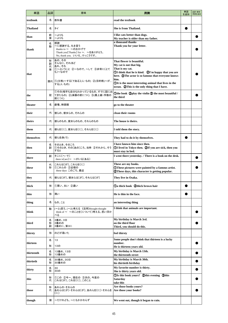| 単語              | 品詞               | 意味                                                                                                                | 用例                                                                                                                                                                                                                                                                                                                         | 単語<br>を追加 | 品詞·意味·<br>用例を追加 |
|-----------------|------------------|-------------------------------------------------------------------------------------------------------------------|----------------------------------------------------------------------------------------------------------------------------------------------------------------------------------------------------------------------------------------------------------------------------------------------------------------------------|-----------|-----------------|
| textbook        | 名                | 教科書                                                                                                               | read the textbook                                                                                                                                                                                                                                                                                                          |           |                 |
| <b>Thailand</b> | 名                | タイ                                                                                                                | She is from Thailand.                                                                                                                                                                                                                                                                                                      |           |                 |
| than            | 前<br>接           | ~よりも<br>~よりも                                                                                                      | I like cats better than dogs.<br>My teacher is older than my father.                                                                                                                                                                                                                                                       |           |                 |
| thank           | 名<br>動           | 感謝<br>~に感謝する、礼を言う<br>thanks to $\sim$ ~のおかげで<br>Thank you (Thanks) for ~. ~をありがとう。<br>No, thank you. いいえ、けっこうです。  | a thousand thanks<br>Thank you for your letter.                                                                                                                                                                                                                                                                            |           |                 |
| that            | 形<br>副<br>代<br>接 | あの、その<br>そんなに、それほど<br>あれ、それ<br>①~ということ ②~なので、~して ③非常に〔とて<br>も]~なので<br>関代 ①(主格)~する[である](人·もの) ②(目的格)~が<br>する(人・もの) | That flower is beautiful.<br>My cat is not that big.<br>That is my cat.<br>10 OI think that he is kind. 2I'm happy that you are<br>here. <b>3</b> The actor is so famous that everyone knows<br>him.<br><b>OIt</b> is the most interesting animal that lives in the<br>ocean. <b>2</b> This is the only thing that I have. |           |                 |
| the             | 冠                | ①その(相手も自分もわかっているもの、すでに話に出<br>てきたもの) ②(楽器の前につく) ③(最上級・序数の<br>前につく)                                                 | Othe book 2play the violin 3 the most beautiful /<br>the third                                                                                                                                                                                                                                                             |           |                 |
| theater         | 名                | 劇場、映画館                                                                                                            | go to the theater                                                                                                                                                                                                                                                                                                          |           |                 |
| their           | 代                | 彼らの、彼女らの、それらの                                                                                                     | clean their rooms                                                                                                                                                                                                                                                                                                          |           |                 |
| theirs          | 代                | 彼らのもの、彼女らのもの、それらのもの                                                                                               | The house is theirs.                                                                                                                                                                                                                                                                                                       |           |                 |
| them            | 代                | 彼らを〔に〕、彼女らを〔に〕、それらを〔に〕                                                                                            | I told them the story.                                                                                                                                                                                                                                                                                                     |           |                 |
| themselves      | 代                | 彼ら自身(で)                                                                                                           | They had to do it by themselves.                                                                                                                                                                                                                                                                                           |           |                 |
| then            | 名<br>副           | そのとき、そのころ<br>①そのとき、その〔あの〕ころ、当時 ②それから、そう<br>すると                                                                    | I have known him since then.<br>10 DI lived in Tokyo then. 2If you are sick, then you<br>must stay in bed.                                                                                                                                                                                                                 |           |                 |
| there           | 副                | そこに[へ・で]<br>there is [are]~ ~がいる[ある]                                                                              | I went there yesterday. / There is a book on the desk.                                                                                                                                                                                                                                                                     |           |                 |
| these           | 代<br>形           | これらは〔が〕、これらを〔に〕<br>①これらの ②近頃の<br>these days このごろ、最近                                                               | These are my books.<br><b>OThese pictures were painted by a famous artist.</b><br><b>2</b> These days, this character is getting popular.                                                                                                                                                                                  |           |                 |
| they            | 代                | 彼らは〔が〕、彼女らは〔が〕、それらは〔が〕                                                                                            | They live in Osaka.                                                                                                                                                                                                                                                                                                        |           |                 |
| thick           | 形                | ①厚い、太い ②濃い                                                                                                        | <b>Da thick book</b> 2thick brown hair                                                                                                                                                                                                                                                                                     |           |                 |
| thin            | 形                | 薄い                                                                                                                | He is thin in the face.                                                                                                                                                                                                                                                                                                    |           |                 |
| thing           | 名                | もの、こと                                                                                                             | an interesting thing                                                                                                                                                                                                                                                                                                       |           |                 |
| think           | 動                | (~と)思う、(~と)考える《活用》thought-thought<br>think of ~ ~のことを[について]考える、思い浮か<br>べる                                         | I think that animals are important.                                                                                                                                                                                                                                                                                        |           |                 |
| third           | 名<br>形<br>副      | 3番め、3日<br>3番めの<br>3番めに、第3に                                                                                        | My birthday is March 3rd.<br>on the third floor<br>Third, you should do this.                                                                                                                                                                                                                                              |           |                 |
| thirsty         | 形                | のどが渇いた                                                                                                            | feel thirsty                                                                                                                                                                                                                                                                                                               |           |                 |
| thirteen        | 名<br>形           | 13<br>13の                                                                                                         | Some people don't think that thirteen is a lucky<br>number.<br>He is thirteen years old.                                                                                                                                                                                                                                   |           |                 |
| thirteenth      | 名<br>形           | 13番め、13日<br>13番めの                                                                                                 | My birthday is March 13th.<br>the thirteenth street                                                                                                                                                                                                                                                                        |           |                 |
| thirtieth       | 名<br>形           | 30番め、30日<br>30番めの                                                                                                 | My birthday is March 30th.<br>his thirtieth birthday                                                                                                                                                                                                                                                                       |           |                 |
| thirty          | 名<br>形           | 30<br>30の                                                                                                         | My favorite number is thirty.<br>She is thirty years old.                                                                                                                                                                                                                                                                  |           |                 |
| this            | 形<br>代           | ①この ②今~、現在の ③次の、今度の<br>これは[が]、これを[に]、このこと                                                                         | <b><i>OIs this book yours? Qthis evening Qthis</i></b><br>Saturday<br>take this                                                                                                                                                                                                                                            |           |                 |
| those           | 形<br>代           | あれらの それらの<br>あれらは〔が〕 それらは〔が〕、あれらを〔に〕 それらを<br>(1)                                                                  | Are those books yours?<br>Are those your books?                                                                                                                                                                                                                                                                            |           |                 |
| though          | 接                | ~だけれども、~にもかかわらず                                                                                                   | We went out, though it began to rain.                                                                                                                                                                                                                                                                                      |           |                 |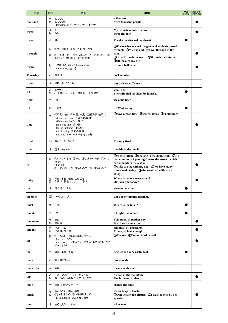| 単語              | 品詞     | 意味                                                                                                                                                                               | 用例                                                                                                                                                                                                                                             | 単語<br>を追加 | 品詞·意味·<br>用例を追加 |
|-----------------|--------|----------------------------------------------------------------------------------------------------------------------------------------------------------------------------------|------------------------------------------------------------------------------------------------------------------------------------------------------------------------------------------------------------------------------------------------|-----------|-----------------|
| thousand        | 名<br>形 | 1,000<br>1,000の<br>thousands of ~ 何千もの~、多くの~                                                                                                                                     | a thousand<br>three thousand people                                                                                                                                                                                                            |           |                 |
| three           | 名<br>形 | 3<br>3の                                                                                                                                                                          | My favorite number is three.<br>three children                                                                                                                                                                                                 |           |                 |
| throat          | 名      | のど                                                                                                                                                                               | The doctor checked my throat.                                                                                                                                                                                                                  |           |                 |
|                 | 副      | 1すり抜けて 2まったく、すっかり                                                                                                                                                                | <b>The teacher opened the gate and students passed</b><br>through. <b>2My</b> dog and I got wet through in the                                                                                                                                 |           |                 |
| through         | 前      | ①~を通って、~をつらぬいて ②~を通じて、~に<br>よって、~のために ③~の間中                                                                                                                                      | rain.<br>Odrive through the town   Qthrough the Internet<br><b>3all through my life</b>                                                                                                                                                        |           |                 |
| throw           | 動      | 〜を投げる《活用》threw-thrown<br>throw away 捨てる                                                                                                                                          | throw a ball to her                                                                                                                                                                                                                            |           |                 |
| <b>Thursday</b> | 名      | 木曜日                                                                                                                                                                              | on Thursday                                                                                                                                                                                                                                    |           |                 |
| ticket          | 名      | 切符、券、チケット                                                                                                                                                                        | buy a ticket to Tokyo                                                                                                                                                                                                                          |           |                 |
| tie             | 名<br>動 | ネクタイ<br>(~を)結ぶ、~をくくりつける、~をつなぐ                                                                                                                                                    | wear a tie<br>The child tied his shoes by himself.                                                                                                                                                                                             |           |                 |
| tiger           | 名      | トラ                                                                                                                                                                               | see a big tiger                                                                                                                                                                                                                                |           |                 |
| till            | 前      | ~まで                                                                                                                                                                              | till Wednesday                                                                                                                                                                                                                                 |           |                 |
| time            | 名      | ①時間・時刻 ②~回、~度 ③(複数形で)時代<br>at that[the] time その当時(には)<br>all the time いつも、常に<br>for a long time 長い間<br>for the first time はじめて<br>time keeping 時間の計測<br>it is time to ~ ~すべき時である | (Dhave a good time (2) several times (3) in old times                                                                                                                                                                                          |           |                 |
| tired           | 形      | 疲れた、くたびれた                                                                                                                                                                        | I'm very tired.                                                                                                                                                                                                                                |           |                 |
| title           | 名      | 題名、タイトル                                                                                                                                                                          | the title of the movie                                                                                                                                                                                                                         |           |                 |
| to              | 前      | ①~へ、~まで ②~に ③まで~分前 ④~に<br>合って<br>(不定詞)<br>①~すること ②~するための ③~するために                                                                                                                 | Oto the station 2I belong to the dance club. 3It's<br>two minutes to 2 p.m. 4 Choose the answer which<br>corresponds to the order.<br>1 U like to play with my dog. 2We have many<br>things to do today. 3She went to the library to<br>study. |           |                 |
| today           | 名<br>副 | 今日、本日、現在、このごろ<br> 今日は、現在では、このごろは                                                                                                                                                 | Where is today's newspaper?<br>How are you today?                                                                                                                                                                                              |           |                 |
| toe             | 名      | 足の指、つま先                                                                                                                                                                          | stand on my toes                                                                                                                                                                                                                               |           |                 |
| together        | 副      | いっしょに、共に                                                                                                                                                                         | Let's go swimming together.                                                                                                                                                                                                                    |           |                 |
| toilet          | 名      | トイレ                                                                                                                                                                              | Where is the toilet?                                                                                                                                                                                                                           |           |                 |
| tomato          | 名      | トマト                                                                                                                                                                              | a bright red tomato                                                                                                                                                                                                                            |           |                 |
| tomorrow        | 名<br>副 | 明日<br>明日は                                                                                                                                                                        | Tomorrow is another day.<br>It will rain tomorrow.                                                                                                                                                                                             |           |                 |
| tonight         | 名<br>副 | 今晚、今夜<br>今晩は、今夜は                                                                                                                                                                 | tonight's TV programs<br>I'll stay at home tonight.                                                                                                                                                                                            |           |                 |
| too             | 副      | ①~もまた ②あまりにも~すぎる<br>Me, too. 私も。<br>too  to ~ ~するにはすぎる、あまりにもなの<br>で~できない                                                                                                         | OMe, too. 2I'm too tired to walk.                                                                                                                                                                                                              |           |                 |
| tool            | 名      | 道具、工具、手段                                                                                                                                                                         | English is a very useful tool.                                                                                                                                                                                                                 |           |                 |
| tooth           | 名      | 歯《複数》teeth                                                                                                                                                                       | lose a tooth                                                                                                                                                                                                                                   |           |                 |
| toothache       | 名      | 歯痛                                                                                                                                                                               | have a toothache                                                                                                                                                                                                                               |           |                 |
| top             | 名<br>形 | -番上の部分、頂上、てっぺん<br>最上位の、いちばん上の、トップの                                                                                                                                               | the top of the mountain<br>She is the top athlete.                                                                                                                                                                                             |           |                 |
| topic           | 名      | 話題、トピック、テーマ                                                                                                                                                                      | change the topic                                                                                                                                                                                                                               |           |                 |
| touch           | 名<br>動 | 触れること、接触、連絡<br>①(~を)さわる ②~を感動させる<br>keep in touch 連絡を取り合う                                                                                                                        | Please keep in touch.<br>(DDon't touch the picture. (2) was touched by her<br>speech.                                                                                                                                                          |           |                 |
| tour            | 名      | 旅行、見学、ツアー                                                                                                                                                                        | a bus tour                                                                                                                                                                                                                                     |           |                 |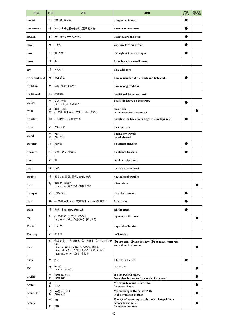| 単語              | 品詞     | 意味                                                                                                                  | 用例                                                                                         | 単語<br>を追加 | 品詞·意味·<br>用例を追加 |
|-----------------|--------|---------------------------------------------------------------------------------------------------------------------|--------------------------------------------------------------------------------------------|-----------|-----------------|
| tourist         | 名      | 旅行者、観光客                                                                                                             | a Japanese tourist                                                                         |           |                 |
| tournament      | 名      | トーナメント、勝ち抜き戦、選手権大会                                                                                                  | a tennis tournament                                                                        |           |                 |
| toward          | 前      | ~の方へ、~へ向かって                                                                                                         | walk toward the door                                                                       |           |                 |
| towel           | 名      | タオル                                                                                                                 | wipe my face on a towel                                                                    |           |                 |
| tower           | 名      | 塔、タワー                                                                                                               | the highest tower in Japan                                                                 |           |                 |
| town            | 名      | 町                                                                                                                   | I was born in a small town.                                                                |           |                 |
| toy             | 名      | おもちゃ                                                                                                                | play with toys                                                                             |           |                 |
| track and field | 名      | 陸上競技                                                                                                                | I am a member of the track and field club.                                                 |           |                 |
| tradition       | 名      | 伝統、慣習、しきたり                                                                                                          | have a long tradition                                                                      |           |                 |
| traditional     | 形      | 伝統的な                                                                                                                | traditional Japanese music                                                                 |           |                 |
| traffic         | 名      | 交通、往来<br>traffic light 交通信号                                                                                         | Traffic is heavy on the street.                                                            |           |                 |
| train           | 名<br>動 | 電車、列車<br>(~を)訓練する、(~を)トレーニングする                                                                                      | on a train<br>train horses for the contest                                                 |           |                 |
| translate       | 動      | ~を訳す、~を翻訳する                                                                                                         | translate the book from English into Japanese                                              |           |                 |
| trash           | 名      | ごみ、くず                                                                                                               | pick up trash                                                                              |           |                 |
| travel          | 名<br>動 | 旅行<br>旅行する                                                                                                          | during my travels<br>travel abroad                                                         |           |                 |
| traveler        | 名      | 旅行者                                                                                                                 | a business traveler                                                                        |           |                 |
| treasure        | 名      | 宝物、財宝、貴重品                                                                                                           | a national treasure                                                                        |           |                 |
| tree            | 名      | 木                                                                                                                   | cut down the trees                                                                         |           |                 |
| trip            | 名      | 旅行                                                                                                                  | my trip to New York                                                                        |           |                 |
| trouble         | 名      | 困ること、困難、苦労、面倒、迷惑                                                                                                    | have a lot of trouble                                                                      |           |                 |
| true            | 形      | 本当の、真実の<br>come true 実現する、本当になる                                                                                     | a true story                                                                               |           |                 |
| trumpet         | 名      | トランペット                                                                                                              | play the trumpet                                                                           |           |                 |
| trust           | 動      | (~を)信用する、(~を)信頼する、(~と)期待する                                                                                          | I trust you.                                                                               |           |                 |
| truth           | 名      | 真実、事実、ほんとうのこと                                                                                                       | tell the truth                                                                             |           |                 |
| try             | 動      | (~を)試す、(~を)やってみる<br>try to ~ ~しようと試みる、努力する                                                                          | try to open the door                                                                       |           |                 |
| <b>T-shirt</b>  | 名      | Tシャツ                                                                                                                | buy a blue T-shirt                                                                         |           |                 |
| <b>Tuesday</b>  | 名      | 火曜日                                                                                                                 | on Tuesday                                                                                 |           |                 |
| turn            | 動      | ①曲がる、(~を)変える ②~を回す ③~になる、変<br>わる<br>turn on (スイッチなど)を入れる、つける<br>turn off (スイッチなど)を切る、消す、止める<br>turn into ~ ~になる、変わる | <b>1DTurn left.</b> 2turn the key 3The leaves turn red<br>and yellow in autumn.            |           |                 |
| turtle          | 名      | カメ                                                                                                                  | a turtle in the sea                                                                        |           |                 |
| TV              | 名      | テレビ<br>on TV テレビで                                                                                                   | watch TV                                                                                   |           |                 |
| twelfth         | 名<br>形 | 12番め、12日<br>12番めの                                                                                                   | It's the twelfth night.<br>December is the twelfth month of the year.                      |           |                 |
| twelve          | 名<br>形 | 12<br>12の                                                                                                           | My favorite number is twelve.<br>for twelve hours                                          |           |                 |
| twentieth       | 名<br>形 | 20番め、20日<br>20番めの                                                                                                   | My birthday is December 20th.<br>in the twentieth century                                  |           |                 |
| twenty          | 名<br>形 | 20<br>20の                                                                                                           | The age of becoming an adult was changed from<br>twenty to eighteen.<br>for twenty minutes |           |                 |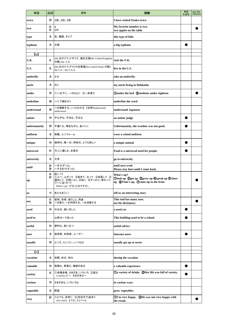| 単語                         | 品詞     | 意味                                                                                                | 用例                                                                                                      | 単語<br>を追加 | 品詞·意味·<br>用例を追加 |
|----------------------------|--------|---------------------------------------------------------------------------------------------------|---------------------------------------------------------------------------------------------------------|-----------|-----------------|
| twice                      | 副      | 2度、2回、2倍                                                                                          | I have visited Osaka twice.                                                                             |           |                 |
| two                        | 名<br>形 | 2<br>20                                                                                           | My favorite number is two.<br>two apples on the table                                                   |           |                 |
| type                       | 名      | 型、種類、タイプ                                                                                          | this type of bike                                                                                       |           |                 |
| typhoon                    | 名      | 台風                                                                                                | a big typhoon                                                                                           |           |                 |
| $\left( \mathrm{u}\right)$ |        |                                                                                                   |                                                                                                         |           |                 |
| U.K.                       | 名      | (the を付けて)イギリス、連合王国(the United Kingdom<br>の略) the. U.K.                                           | visit the U.K.                                                                                          |           |                 |
| U.S.                       | 名      | (the を付けて)アメリカ合衆国(the United States の略)<br>the U.S. / the U.S.A.                                  | live in the U.S.                                                                                        |           |                 |
| umbrella                   | 名      | かさ                                                                                                | take an umbrella                                                                                        |           |                 |
| uncle                      | 名      | おじ                                                                                                | my uncle living in Hokkaido                                                                             |           |                 |
| under                      | 前      | ①~の下に、~のもとに ②~未満で                                                                                 | Qunder the bed Qstudents under eighteen                                                                 |           |                 |
| underline                  | 動      | ~に下線を引く                                                                                           | underline the word                                                                                      |           |                 |
| understand                 | 動      | ~を理解する、(~と)わかる《活用》understood-<br>understood                                                       | understand Japanese                                                                                     |           |                 |
| unfair                     | 形      | 不公平な、不当な、不正な                                                                                      | an unfair judge                                                                                         |           |                 |
| unfortunately              | 副      | 不運にも、残念ながら、あいにく                                                                                   | Unfortunately, the weather was not good.                                                                |           |                 |
| uniform                    | 名      | 制服、ユニフォーム                                                                                         | wear a school uniform                                                                                   |           |                 |
| unique                     | 形      | 独特の、唯一の、特有の、とても珍しい                                                                                | a unique animal                                                                                         |           |                 |
| universal                  | 形      | 万人に通じる、全員の                                                                                        | Food is a universal need for people.                                                                    |           |                 |
| university                 | 名      | 大学                                                                                                | go to university                                                                                        |           |                 |
| until                      | 前<br>接 | ~まで(ずっと)<br>~するまで(ずっと)                                                                            | until next week<br>Please stay here until I come back.                                                  |           |                 |
| up                         | 形<br>副 | 起こって<br>①上へ、上がって ②起きて、立って ③成長して ④<br>増加して 5勢いよく、元気に 6すっかり、終わって<br>⑦~に近づいて<br>What's up? どうしたのですか。 | What's up?<br>Olook up 2get up 3grow up 4speak up 5cheer<br>up <b>OTime's up.</b> Ocome up to the front |           |                 |
| <b>us</b>                  | 代      | 私たちを〔に〕                                                                                           | tell us an interesting story                                                                            |           |                 |
| use                        | 名<br>動 | 使用、利用、使うこと、用途<br>~を使う、~を利用する、~を消費する                                                               | This tool has many uses.<br>use his dictionary                                                          |           |                 |
| used                       | 形      | 中古の、使い古した                                                                                         | a used car                                                                                              |           |                 |
| used to                    |        | 以前は~であった                                                                                          | This building used to be a school.                                                                      |           |                 |
| useful                     | 形      | 便利な、役に立つ                                                                                          | useful advice                                                                                           |           |                 |
| user                       | 名      | 使用者、利用者、ユーザー                                                                                      | <b>Internet users</b>                                                                                   |           |                 |
| usually                    | 副      | ふつう、たいてい、いつもは                                                                                     | usually get up at seven                                                                                 |           |                 |
| $\mathbf{v}$               |        |                                                                                                   |                                                                                                         |           |                 |
| vacation                   | 名      | 休暇、休日、休み                                                                                          | during the vacation                                                                                     |           |                 |
| valuable                   | 形      | 高価な、貴重な、価値のある                                                                                     | a valuable experience                                                                                   |           |                 |
| variety                    | 名      | ①多種多様、さまざま、いろいろ ②変化<br>a variety of ~ さまざまな~                                                      | ①a variety of drinks ②Her life was full of variety.                                                     |           |                 |
| various                    | 形      | さまざまな、いろいろな                                                                                       | in various ways                                                                                         |           |                 |
| vegetable                  | 名      | 野菜                                                                                                | grow vegetables                                                                                         |           |                 |
| very                       | 副      | ①とても、非常に ②(否定文で)あまり<br>very much とても、たいへん                                                         | 11'm very happy. 2He was not very happy with<br>the result.                                             |           |                 |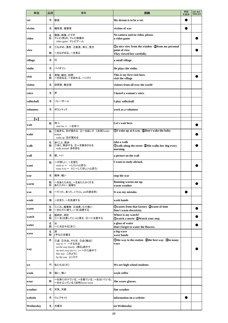| 単語             | 品詞     | 意味                                                                                                                                    | 用例                                                                                                   | 単語<br>を追加 | 品詞·意味·<br>用例を追加 |
|----------------|--------|---------------------------------------------------------------------------------------------------------------------------------------|------------------------------------------------------------------------------------------------------|-----------|-----------------|
| vet            | 名      | 獣医                                                                                                                                    | My dream is to be a vet.                                                                             |           |                 |
| victim         | 名      | 犠牲者、被害者                                                                                                                               | victims of war                                                                                       |           |                 |
| video          | 名<br>形 | 動画、映像、ビデオ<br>テレビ(用)の、テレビ映像の<br>video game テレビゲーム                                                                                      | No camera and no video, please.<br>a video game                                                      |           |                 |
| view           | 名<br>動 | ①ながめ、景色 ②意見、考え、見方<br>~をながめる、~を見る                                                                                                      | <b>Da nice view from the window 2from my personal</b><br>point of view<br>They viewed her carefully. |           |                 |
| village        | 名      | 村                                                                                                                                     | a small village                                                                                      |           |                 |
| violin         | 名      | バイオリン                                                                                                                                 | He plays the violin.                                                                                 |           |                 |
| visit          | 名<br>動 | 見物、観光、訪問<br>~を訪ねる、~を訪れる、~に行く                                                                                                          | This is my first visit here.<br>visit the village                                                    |           |                 |
| visitor        | 名      | 訪問者、観光客                                                                                                                               | visitors from all over the world                                                                     |           |                 |
| voice          | 名      | 声                                                                                                                                     | I heard a woman's voice.                                                                             |           |                 |
| volleyball     | 名      | バレーボール                                                                                                                                | I play volleyball.                                                                                   |           |                 |
| volunteer      | 名      | ボランティア                                                                                                                                | work as a volunteer                                                                                  |           |                 |
| $(\mathbf{w})$ |        |                                                                                                                                       |                                                                                                      |           |                 |
| wait           | 動      | 待つ<br>wait for ~ ~を待つ                                                                                                                 | Let's wait here.                                                                                     |           |                 |
| wake           | 動      | ①起きる、目が覚める ②~を起こす《活用》woke-<br>woken<br>wake up 目が覚める                                                                                  | 10 Wake up at 6 a.m. 20 Don't wake the baby.                                                         |           |                 |
| walk           | 名<br>動 | 歩くこと、散歩<br>①歩く、散歩する ②~を散歩させる<br>walk around 歩き回る                                                                                      | take a walk<br>Owalk along the street 2She walks her dog every<br>morning.                           |           |                 |
| wall           | 名      | 壁、へい                                                                                                                                  | a picture on the wall                                                                                |           |                 |
| want           | 動      | ~が欲しい、~を望む<br>want to ~ ~したい(と思う)<br>want A to ~ Aに~してほしい(と思う)                                                                        | I want to study abroad.                                                                              |           |                 |
| war            | 名      | 戦争、戦い                                                                                                                                 | stop the war                                                                                         |           |                 |
| warm           | 動<br>形 | ~をあたためる、~をあたたかくする<br>あたたかい、温暖な                                                                                                        | Running warms me up.<br>warm weather                                                                 |           |                 |
| was            | 動      | ~だった、あった、いた(is, amの過去形)                                                                                                               | It was my mistake.                                                                                   |           |                 |
| wash           | 動      | ~を洗う、~を洗濯する                                                                                                                           | wash hands                                                                                           |           |                 |
| waste          | 名<br>動 | ①ごみ、廃棄物 ②浪費、むだ使い<br>~をむだに使う、(~を)浪費する                                                                                                  | Owastes from that factory Qwaste of time<br>Don't waste electricity.                                 |           |                 |
| watch          | 名<br>動 | 腕時計、時計<br>①~を(注意してじっと)見る ②~に注意する                                                                                                      | Where is my watch?<br>Owatch a movie 2Watch your step.                                               |           |                 |
| water          | 名<br>動 | 水<br>~に水をやる〔まく〕                                                                                                                       | a glass of water<br>Don't forget to water the flowers.                                               |           |                 |
| wave           | 名<br>動 | 波<br>(手など)を振る                                                                                                                         | a big wave<br>wave hands                                                                             |           |                 |
| way            | 名      | ①道 ②方法、やり方 ③点〔観点〕<br>way to ~ ~する方法<br>on the way (back) (帰る)途中で<br>on one's way (to~) (~へ行く)途中で<br>this way このように<br>by the way ところで | Othe way to the station 2the best way 3in many<br>ways                                               |           |                 |
| we             | 代      | 私たちは[が]                                                                                                                               | We are high school students.                                                                         |           |                 |
| weak           | 形      | 弱い、薄い                                                                                                                                 | weak coffee                                                                                          |           |                 |
| wear           | 動      | ~を身に付けている、~を着ている、~をはいている、<br>~をかぶっている《活用》wore-worn                                                                                    | She wears glasses.                                                                                   |           |                 |
| weather        | 名      | 天気、天候                                                                                                                                 | fine weather                                                                                         |           |                 |
| website        | 名      | ウェブサイト                                                                                                                                | information on a website                                                                             |           |                 |
| Wednesday      | 名      | 水曜日                                                                                                                                   | on Wednesday                                                                                         |           |                 |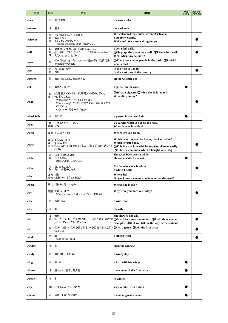| 単語         | 品詞          | 意味                                                                                                                                       | 用例                                                                                                                                                                                                                     | 単語<br>を追加 | 品詞·意味·<br>用例を追加 |
|------------|-------------|------------------------------------------------------------------------------------------------------------------------------------------|------------------------------------------------------------------------------------------------------------------------------------------------------------------------------------------------------------------------|-----------|-----------------|
| week       | 名           | 週、1週間                                                                                                                                    | for two weeks                                                                                                                                                                                                          |           |                 |
| weekend    | 名           | 週末                                                                                                                                       | on weekends                                                                                                                                                                                                            |           |                 |
| welcome    | 動<br>形<br>間 | ~を歓迎する、~を迎える<br>歓迎される<br>ようこそ、いらっしゃい<br>You are welcome. どういたしまして。                                                                       | We welcomed ten students from Australia.<br>You are welcome.<br>Welcome! We were waiting for you.                                                                                                                      |           |                 |
| well       | 形<br>副<br>間 | 健康な、元気な、よい 《活用》better-best<br>①上手に、うまく ②よく、十分に 《活用》better-best<br>ええっと、さて、ところで                                                           | I don't feel well.<br>The plays the piano very well. 2I know him well.<br>Well, where are we now?                                                                                                                      |           |                 |
| were       | 動           | ①~だった、あった、いた(areの過去形) ②(仮定法<br>で)be動詞の過去形                                                                                                | <b>There were many people in the park. 2I wish I</b><br>were a bird.                                                                                                                                                   |           |                 |
| west       | 名<br>形      | 西、西部、西方<br>西の                                                                                                                            | in the west of Japan<br>in the west part of the country                                                                                                                                                                |           |                 |
| western    | 形           | 西の、西にある、西部地方の                                                                                                                            | on the western side                                                                                                                                                                                                    |           |                 |
| wet        | 形           | ぬれた、湿った                                                                                                                                  | I got wet in the rain.                                                                                                                                                                                                 |           |                 |
| what       | 形           | ①(感嘆文で)なんと ②(疑問文で)何の、どんな<br>疑代 何、どんなもの<br>What about $\sim$ ? ~ はどうですか。<br>What's wrong? どうかしたのですか。何か調子が悪<br>いのですか。<br>what to ~ 何を~すべきか | 10What a big cat! 2What day is it today?<br>What did you say?                                                                                                                                                          |           |                 |
| wheelchair | 名           | 車いす                                                                                                                                      | a person in a wheelchair                                                                                                                                                                                               |           |                 |
| when       | 接<br>疑副     | ~するときに、~すると<br>いつ                                                                                                                        | Be careful when you cross the road.<br>When is your birthday?                                                                                                                                                          |           |                 |
| where      |             | 疑副  どこに〔へ・で〕                                                                                                                             | Where are you from?                                                                                                                                                                                                    |           |                 |
| which      | 疑形<br>疑代    | どちらの、どの<br>どちら、どれ<br>(もの)                                                                                                                | Which color do you like better, black or white?<br>Which is your book?<br>……<br>関代  ①(主格)~する〔である〕(もの) ②(目的格)~がする ①This is a machine which can print pictures easily.<br>2I like the computer which I bought yesterday. |           |                 |
| while      | 名<br>接      | 時間、しばらくの間<br>~する間に<br>after a while しばらくして                                                                                               | She came back after a while.<br>He came while I was out.                                                                                                                                                               |           |                 |
| white      | 名<br>形      | 白、白色、白人<br>白い、白色の、白人の                                                                                                                    | My favorite color is white.<br>a white T-shirt                                                                                                                                                                         |           |                 |
| who        | 疑代          | だれ<br>関代 (主格)~する〔である〕(人)                                                                                                                 | Who is he?<br>Do you know the man who lives across the road?                                                                                                                                                           |           |                 |
| whose      |             | 疑代 だれの、だれのもの                                                                                                                             | Whose bag is this?                                                                                                                                                                                                     |           |                 |
| why        | 疑副          | なぜ、どうして<br>Why don't we $\sim$ ? (いっしょに)~しませんか。                                                                                          | Why were you here yesterday?                                                                                                                                                                                           |           |                 |
| wide       | 形           | (幅が)広い                                                                                                                                   | a wide road                                                                                                                                                                                                            |           |                 |
| wife       | 名           | 妻                                                                                                                                        | his wife                                                                                                                                                                                                               |           |                 |
| will       | 名<br>助      | 意思<br>you ~?で)~してくれませんか。                                                                                                                 | She showed her will.<br>①~だろう ②~するつもりだ、~しようと思う ③(Will ①It will be sunny tomorrow.②I will show you an<br>example. <b>3Will you tell me the way to the station?</b>                                                      |           |                 |
| win        | 動           | ①(~に)勝つ ②~を勝ち取る、~を受賞する《活用》 ①win a game ②win the first prize<br>won-won                                                                   |                                                                                                                                                                                                                        |           |                 |
| wind       | 名           | 風<br>wind power 風力                                                                                                                       | a strong wind                                                                                                                                                                                                          |           |                 |
| window     | 名           | 窓                                                                                                                                        | open the window                                                                                                                                                                                                        |           |                 |
| windy      | 形           | 風の強い、風のある                                                                                                                                | a windy day                                                                                                                                                                                                            |           |                 |
| wing       | 名           | 翼、羽                                                                                                                                      | a bird with big wings                                                                                                                                                                                                  |           |                 |
| winner     | 名           | 勝った人、勝者、受賞者                                                                                                                              | the winner of the first prize                                                                                                                                                                                          |           |                 |
| winter     | 名           | 冬                                                                                                                                        | in winter                                                                                                                                                                                                              |           |                 |
| wipe       | 動           | (~を)ふく、(~を)ぬぐう                                                                                                                           | wipe a table with a cloth                                                                                                                                                                                              |           |                 |
| wisdom     | 名           | 知恵、英知、賢明(さ)                                                                                                                              | a man of great wisdom                                                                                                                                                                                                  |           |                 |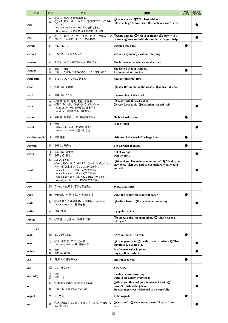| 単語                         | 品詞     | 意味                                                                                                                                                                                             | 用例                                                                                                                             | 単語<br>を追加 | 品詞·意味·<br>用例を追加 |
|----------------------------|--------|------------------------------------------------------------------------------------------------------------------------------------------------------------------------------------------------|--------------------------------------------------------------------------------------------------------------------------------|-----------|-----------------|
| wish                       | 名<br>動 | ①願い、望み ②祝福の言葉<br>①(~を)願う、~したいと思う ②(仮定法で)~であれ<br>ばいいのに<br>Best wishes for ~. ~の幸せを祈ります。<br>Best wishes. それでは。(手紙の結びの言葉)                                                                         | (Dmake a wish (2) With best wishes.<br>1 Wish to go to America. 2I wish you were here.                                         |           |                 |
| with                       | 前      | 付いた、~を所持して 4~があれば                                                                                                                                                                              | ①~と一緒に ②~で、~を使って ③~のある、~の ①come with us ②with your finger ③a boy with a<br>camera We can finish this earlier with your help.   |           |                 |
| within                     | 前      | ~以内に〔で〕                                                                                                                                                                                        | within a few days                                                                                                              |           |                 |
| without                    | 前      | ~なしで、~を持たないで                                                                                                                                                                                   | without any money / without sleeping                                                                                           |           |                 |
| woman                      | 名      | 女の人、女性《複数》women(発音注意)                                                                                                                                                                          | She is the woman who wrote the story.                                                                                          |           |                 |
| wonder                     | 名<br>動 | 驚き、不思議<br>~かしらと思う、~かなと思う、~と不思議に思う                                                                                                                                                              | She looked at it in wonder.<br>I wonder what time it is.                                                                       |           |                 |
| wonderful                  | 形      | すばらしい、すてきな、見事な                                                                                                                                                                                 | have a wonderful time                                                                                                          |           |                 |
| wood                       | 名      | ①木、林 ②木材                                                                                                                                                                                       | 10 Saw the animal in the woods. 2a piece of wood                                                                               |           |                 |
| word                       | 名      | 単語、語、ことば                                                                                                                                                                                       | the meaning of the word                                                                                                        |           |                 |
| work                       | 名<br>動 | ①仕事、作業、労働、勉強(②作品<br>①働く、取り組む ②機能する、(うまく)いく<br>work on ~ ~に取り組む、従事する<br>work out 運動をする、体を鍛える                                                                                                    | <b>Ohard work 2 works of art</b><br>Owork for a bank 2That plan worked well.                                                   |           |                 |
| worker                     | 名      | 労働者、作業員、仕事〔勉強〕をする人                                                                                                                                                                             | He is a hard worker.                                                                                                           |           |                 |
| world                      | 名      | 世界<br>all over the world 世界中に〔で〕<br>around the world 世界中に〔で〕                                                                                                                                   | in the world                                                                                                                   |           |                 |
| <b>World Heritage Site</b> | 名      | 世界遺産                                                                                                                                                                                           | visit one of the World Heritage Sites                                                                                          |           |                 |
| worried                    | 形      | 心配な、不安で                                                                                                                                                                                        | I'm worried about it.                                                                                                          |           |                 |
| worry                      | 名<br>動 | 心配(事)、気苦労<br>心配する、悩む                                                                                                                                                                           | full of worries<br>Don't worry.                                                                                                |           |                 |
| would                      | 助      | (willの過去形)<br>①~(するの)はいかがですか ②~していただけませ<br>んか ③(仮定法で)(もし…なら)~だろうに<br>would like ~ ~がほしい(のですが)<br>would like to ~ ~したい(のですが)<br>would like A to ~ Aに~してほしい(のですが)<br>Would you like ~? ~はいかがですか。 | <b>OWould you like to have some coffee? @Would you</b><br>stay here? <b>3</b> If you had 10,000 dollars, what would<br>vou do? |           |                 |
| <b>WOW</b>                 | 間      | うわぁ、わぁ(驚き、喜びなどを表す)                                                                                                                                                                             | Wow, that's nice.                                                                                                              |           |                 |
| wrap                       | 動      | ~を包む、~をくるむ、~を包装する                                                                                                                                                                              | wrap the book with beautiful paper                                                                                             |           |                 |
| write                      | 動      | ①~を書く ②手紙を書く《活用》wrote-written<br>write A back Aに返事を書く                                                                                                                                          | Owrite a letter 2I wrote to her yesterday.                                                                                     |           |                 |
| writer                     | 名      | 作家、筆者                                                                                                                                                                                          | a popular writer                                                                                                               |           |                 |
| wrong                      | 形      | ①間違った、誤った ②具合の悪い                                                                                                                                                                               | OYou have the wrong number. @What's wrong<br>with you?                                                                         |           |                 |
| $\left[\mathrm{y}\right]$  |        |                                                                                                                                                                                                |                                                                                                                                |           |                 |
| yeah                       | 間      | うん、そう、あぁ                                                                                                                                                                                       | "Are you cold?" "Yeah."                                                                                                        |           |                 |
| year                       | 名      | ①年 ②年度、学年 ③~歳<br>~ year(s) old ~歳、創立~年                                                                                                                                                         | Othree years ago 2the third year students 3That<br>temple is 120 years old.                                                    |           |                 |
| yellow                     | 名<br>形 | 黄色<br>黄色の、黄色い                                                                                                                                                                                  | My favorite color is yellow.<br>buy a yellow T-shirt                                                                           |           |                 |
| yen                        | 名      | 円(日本の貨幣単位)                                                                                                                                                                                     | one hundred yen                                                                                                                |           |                 |
| yes                        | 副      | はい、そうです                                                                                                                                                                                        | Yes, he is.                                                                                                                    |           |                 |
| yesterday                  | 名<br>副 | 昨日<br>昨日(は)                                                                                                                                                                                    | the day before yesterday<br>went to see a movie yesterday                                                                      |           |                 |
|                            | 副      | 1)(疑問文で)もう 2)(否定文で)まだ                                                                                                                                                                          | <b>OHave you finished your homework yet?</b> 2I<br>haven't finished the job yet.                                               |           |                 |
| yet                        | 接      | けれども、それにもかかわらず                                                                                                                                                                                 | He was angry, yet he listened to me carefully.                                                                                 |           |                 |
| yogurt                     | 名      | ヨーグルト                                                                                                                                                                                          | I like yogurt.                                                                                                                 |           |                 |
| you                        | 代      | ①あなた(たち)は、あなた(たち)を(に) ②(一般の)人<br>は、だれでも                                                                                                                                                        | Oyou and I QYou can see beautiful stars from<br>here.                                                                          |           |                 |